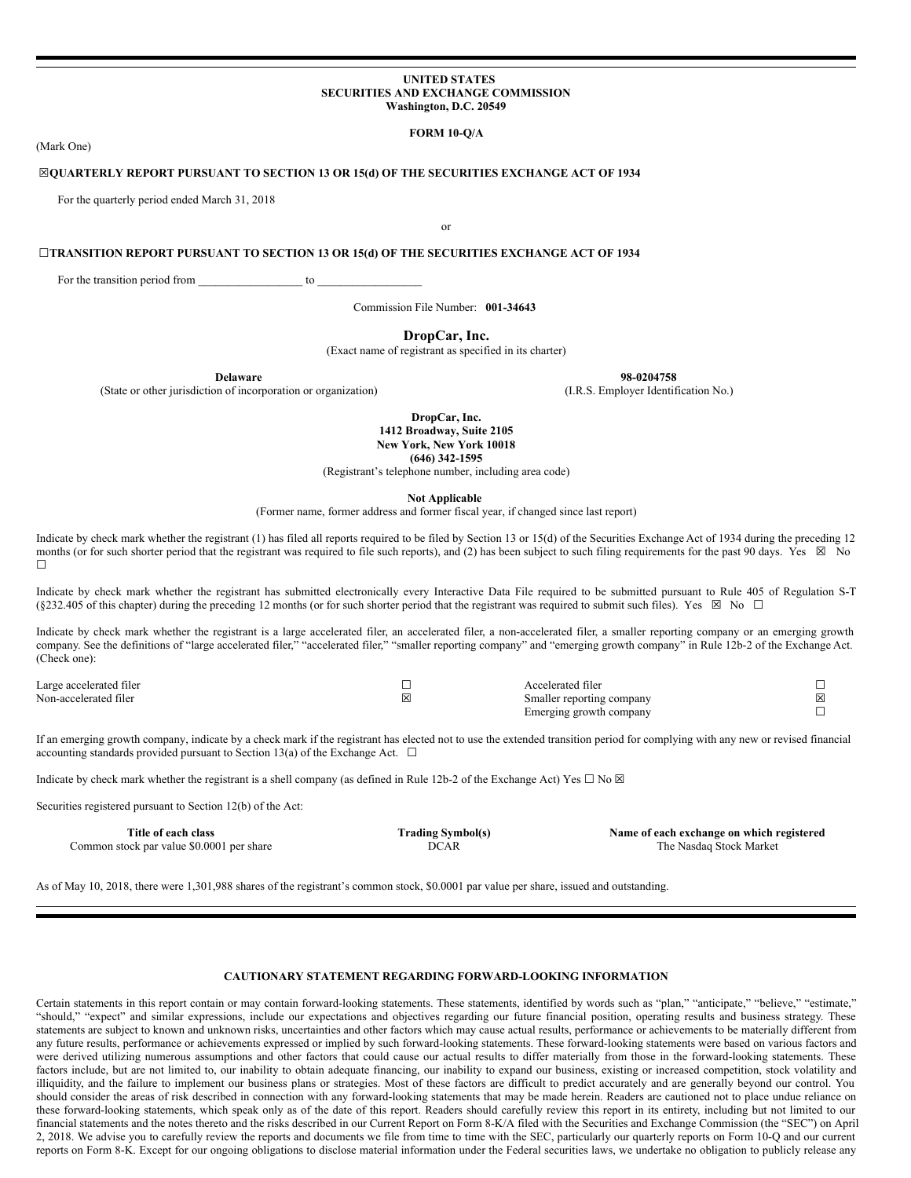#### **UNITED STATES SECURITIES AND EXCHANGE COMMISSION Washington, D.C. 20549**

# **FORM 10-Q/A**

(Mark One)

# **☒QUARTERLY REPORT PURSUANT TO SECTION 13 OR 15(d) OF THE SECURITIES EXCHANGE ACT OF 1934**

For the quarterly period ended March 31, 2018

or

#### **☐TRANSITION REPORT PURSUANT TO SECTION 13 OR 15(d) OF THE SECURITIES EXCHANGE ACT OF 1934**

For the transition period from to  $\sim$ 

Commission File Number: **001-34643**

# **DropCar, Inc.**

(Exact name of registrant as specified in its charter)

**Delaware 98-0204758**

(State or other jurisdiction of incorporation or organization) (I.R.S. Employer Identification No.)

**DropCar, Inc. 1412 Broadway, Suite 2105 New York, New York 10018 (646) 342-1595**

(Registrant's telephone number, including area code)

**Not Applicable**

(Former name, former address and former fiscal year, if changed since last report)

Indicate by check mark whether the registrant (1) has filed all reports required to be filed by Section 13 or 15(d) of the Securities Exchange Act of 1934 during the preceding 12 months (or for such shorter period that the registrant was required to file such reports), and (2) has been subject to such filing requirements for the past 90 days. Yes  $\boxtimes$  No ☐

Indicate by check mark whether the registrant has submitted electronically every Interactive Data File required to be submitted pursuant to Rule 405 of Regulation S-T (§232.405 of this chapter) during the preceding 12 months (or for such shorter period that the registrant was required to submit such files). Yes  $\boxtimes$  No  $\Box$ 

Indicate by check mark whether the registrant is a large accelerated filer, an accelerated filer, a non-accelerated filer, a smaller reporting company or an emerging growth company. See the definitions of "large accelerated filer," "accelerated filer," "smaller reporting company" and "emerging growth company" in Rule 12b-2 of the Exchange Act. (Check one):

| Large accelerated filer | Accelerated filer                     |   |
|-------------------------|---------------------------------------|---|
| Non-accelerated filer   | Smaller reporting company             | ⊠ |
|                         | Emerging growth company<br>$\sqrt{2}$ |   |

If an emerging growth company, indicate by a check mark if the registrant has elected not to use the extended transition period for complying with any new or revised financial accounting standards provided pursuant to Section 13(a) of the Exchange Act.  $\Box$ 

Indicate by check mark whether the registrant is a shell company (as defined in Rule 12b-2 of the Exchange Act) Yes  $\Box$  No  $\boxtimes$ 

Securities registered pursuant to Section 12(b) of the Act:

**Title of each class Trading Symbol(s) Name of each exchange on which registered** Common stock par value \$0.0001 per share  $DCAR$  DCAR The Nasdaq Stock Market

As of May 10, 2018, there were 1,301,988 shares of the registrant's common stock, \$0.0001 par value per share, issued and outstanding.

# **CAUTIONARY STATEMENT REGARDING FORWARD-LOOKING INFORMATION**

Certain statements in this report contain or may contain forward-looking statements. These statements, identified by words such as "plan," "anticipate," "believe," "estimate," "should," "expect" and similar expressions, include our expectations and objectives regarding our future financial position, operating results and business strategy. These statements are subject to known and unknown risks, uncertainties and other factors which may cause actual results, performance or achievements to be materially different from any future results, performance or achievements expressed or implied by such forward-looking statements. These forward-looking statements were based on various factors and were derived utilizing numerous assumptions and other factors that could cause our actual results to differ materially from those in the forward-looking statements. These factors include, but are not limited to, our inability to obtain adequate financing, our inability to expand our business, existing or increased competition, stock volatility and illiquidity, and the failure to implement our business plans or strategies. Most of these factors are difficult to predict accurately and are generally beyond our control. You should consider the areas of risk described in connection with any forward-looking statements that may be made herein. Readers are cautioned not to place undue reliance on these forward-looking statements, which speak only as of the date of this report. Readers should carefully review this report in its entirety, including but not limited to our financial statements and the notes thereto and the risks described in our Current Report on Form 8-K/A filed with the Securities and Exchange Commission (the "SEC") on April 2, 2018. We advise you to carefully review the reports and documents we file from time to time with the SEC, particularly our quarterly reports on Form 10-Q and our current reports on Form 8-K. Except for our ongoing obligations to disclose material information under the Federal securities laws, we undertake no obligation to publicly release any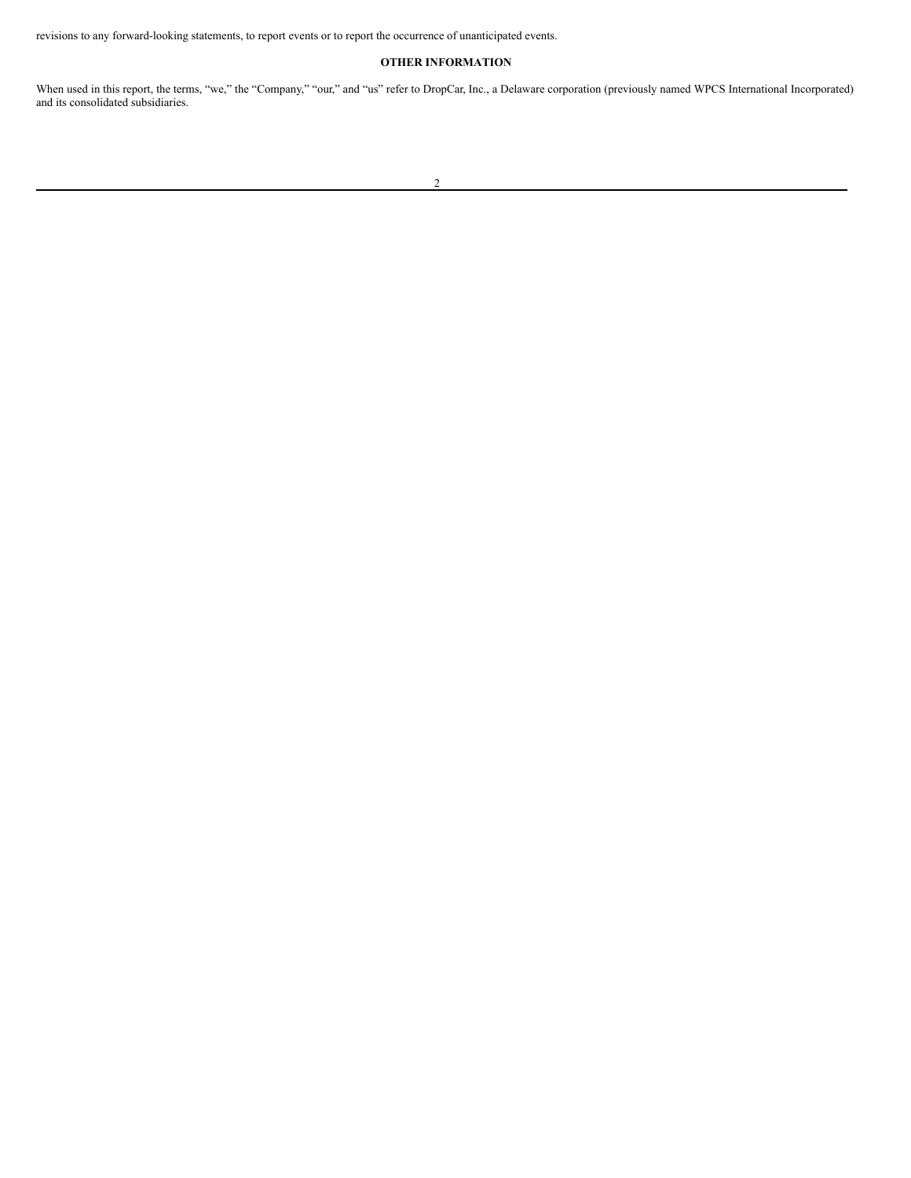revisions to any forward-looking statements, to report events or to report the occurrence of unanticipated events.

# **OTHER INFORMATION**

When used in this report, the terms, "we," the "Company," "our," and "us" refer to DropCar, Inc., a Delaware corporation (previously named WPCS International Incorporated) and its consolidated subsidiaries.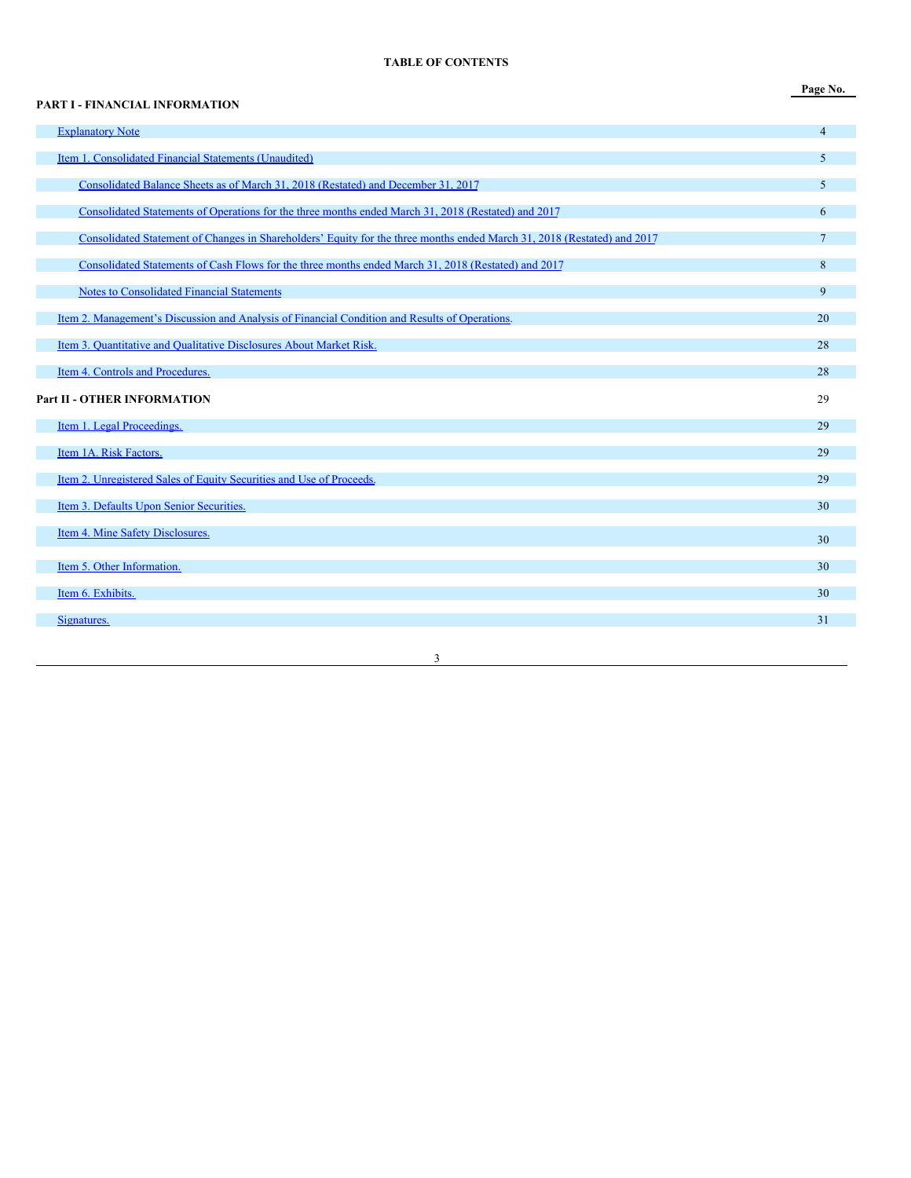# **TABLE OF CONTENTS**

**Page No.**

# **PART I - FINANCIAL INFORMATION [Explanatory](#page-3-0) Note** 4 and 2008 and 2008 and 2008 and 2008 and 2008 and 2008 and 2008 and 2008 and 2008 and 2008 and 2008 and 2008 and 2008 and 2008 and 2008 and 2008 and 2008 and 2008 and 2008 and 2008 and 2008 and 2008 and Item 1. [Consolidated](#page-4-0) Financial Statements (Unaudited) 5 [Consolidated](#page-4-1) Balance Sheets as of March 31, 2018 (Restated) and December 31, 2017 5 [Consolidated](#page-5-0) Statements of Operations for the three months ended March 31, 2018 (Restated) and 2017 6 Consolidated Statement of Changes in [Shareholders'](#page-6-0) Equity for the three months ended March 31, 2018 (Restated) and 2017 7 [Consolidated](#page-7-0) Statements of Cash Flows for the three months ended March 31, 2018 (Restated) and 2017 8 Notes to [Consolidated](#page-8-0) Financial Statements 9 Item 2. [Management's](#page-19-0) Discussion and Analysis of Financial Condition and Results of Operations. 20 Item 3. [Quantitative](#page-27-0) and Qualitative Disclosures About Market Risk. 28 **Item 4. Controls and [Procedures.](#page-27-1)** 28 **Part II - OTHER INFORMATION** 29 **Item 1. Legal [Proceedings.](#page-28-0)** 29 Item 1A. Risk [Factors.](#page-28-1) 29 Item 2. [Unregistered](#page-28-2) Sales of Equity Securities and Use of Proceeds. 29 **Item 3. Defaults Upon Senior [Securities.](#page-29-0)** 30 **Item 4. Mine Safety [Disclosures.](#page-29-1)** 30 **Item 5. Other [Information.](#page-29-2)** 30 **Item 6. [Exhibits.](#page-29-3)**  $\hspace{1.5cm}30$ **[Signatures.](#page-30-0)** 31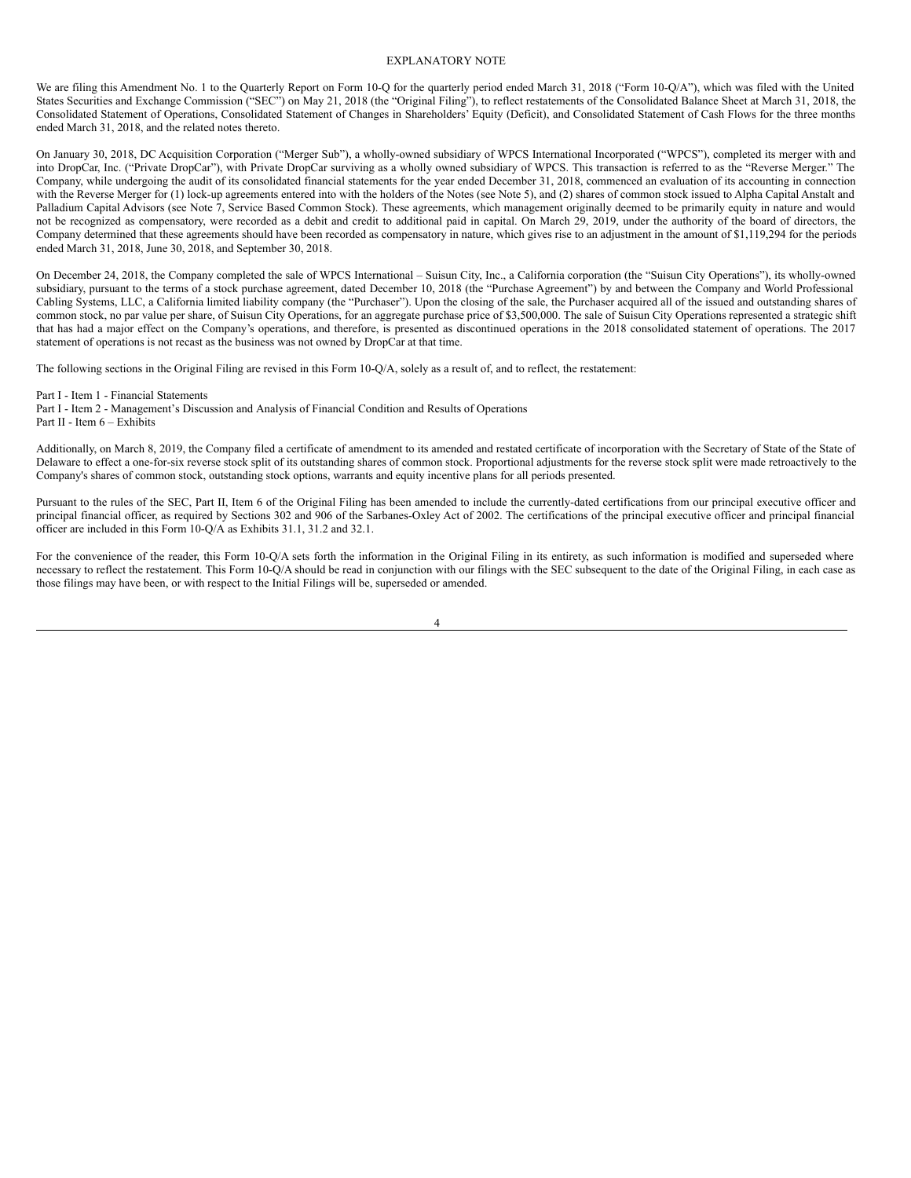# <span id="page-3-0"></span>EXPLANATORY NOTE

We are filing this Amendment No. 1 to the Quarterly Report on Form 10-Q for the quarterly period ended March 31, 2018 ("Form 10-Q/A"), which was filed with the United States Securities and Exchange Commission ("SEC") on May 21, 2018 (the "Original Filing"), to reflect restatements of the Consolidated Balance Sheet at March 31, 2018, the Consolidated Statement of Operations, Consolidated Statement of Changes in Shareholders' Equity (Deficit), and Consolidated Statement of Cash Flows for the three months ended March 31, 2018, and the related notes thereto.

On January 30, 2018, DC Acquisition Corporation ("Merger Sub"), a wholly-owned subsidiary of WPCS International Incorporated ("WPCS"), completed its merger with and into DropCar, Inc. ("Private DropCar"), with Private DropCar surviving as a wholly owned subsidiary of WPCS. This transaction is referred to as the "Reverse Merger." The Company, while undergoing the audit of its consolidated financial statements for the year ended December 31, 2018, commenced an evaluation of its accounting in connection with the Reverse Merger for (1) lock-up agreements entered into with the holders of the Notes (see Note 5), and (2) shares of common stock issued to Alpha Capital Anstalt and Palladium Capital Advisors (see Note 7, Service Based Common Stock). These agreements, which management originally deemed to be primarily equity in nature and would not be recognized as compensatory, were recorded as a debit and credit to additional paid in capital. On March 29, 2019, under the authority of the board of directors, the Company determined that these agreements should have been recorded as compensatory in nature, which gives rise to an adjustment in the amount of \$1,119,294 for the periods ended March 31, 2018, June 30, 2018, and September 30, 2018.

On December 24, 2018, the Company completed the sale of WPCS International – Suisun City, Inc., a California corporation (the "Suisun City Operations"), its wholly-owned subsidiary, pursuant to the terms of a stock purchase agreement, dated December 10, 2018 (the "Purchase Agreement") by and between the Company and World Professional Cabling Systems, LLC, a California limited liability company (the "Purchaser"). Upon the closing of the sale, the Purchaser acquired all of the issued and outstanding shares of common stock, no par value per share, of Suisun City Operations, for an aggregate purchase price of \$3,500,000. The sale of Suisun City Operations represented a strategic shift that has had a major effect on the Company's operations, and therefore, is presented as discontinued operations in the 2018 consolidated statement of operations. The 2017 statement of operations is not recast as the business was not owned by DropCar at that time.

The following sections in the Original Filing are revised in this Form 10-Q/A, solely as a result of, and to reflect, the restatement:

Part I - Item 1 - Financial Statements

Part I - Item 2 - Management's Discussion and Analysis of Financial Condition and Results of Operations Part II - Item 6 – Exhibits

Additionally, on March 8, 2019, the Company filed a certificate of amendment to its amended and restated certificate of incorporation with the Secretary of State of the State of Delaware to effect a one-for-six reverse stock split of its outstanding shares of common stock. Proportional adjustments for the reverse stock split were made retroactively to the Company's shares of common stock, outstanding stock options, warrants and equity incentive plans for all periods presented.

Pursuant to the rules of the SEC, Part II, Item 6 of the Original Filing has been amended to include the currently-dated certifications from our principal executive officer and principal financial officer, as required by Sections 302 and 906 of the Sarbanes-Oxley Act of 2002. The certifications of the principal executive officer and principal financial officer are included in this Form 10-Q/A as Exhibits 31.1, 31.2 and 32.1.

For the convenience of the reader, this Form 10-Q/A sets forth the information in the Original Filing in its entirety, as such information is modified and superseded where necessary to reflect the restatement. This Form 10-Q/A should be read in conjunction with our filings with the SEC subsequent to the date of the Original Filing, in each case as those filings may have been, or with respect to the Initial Filings will be, superseded or amended.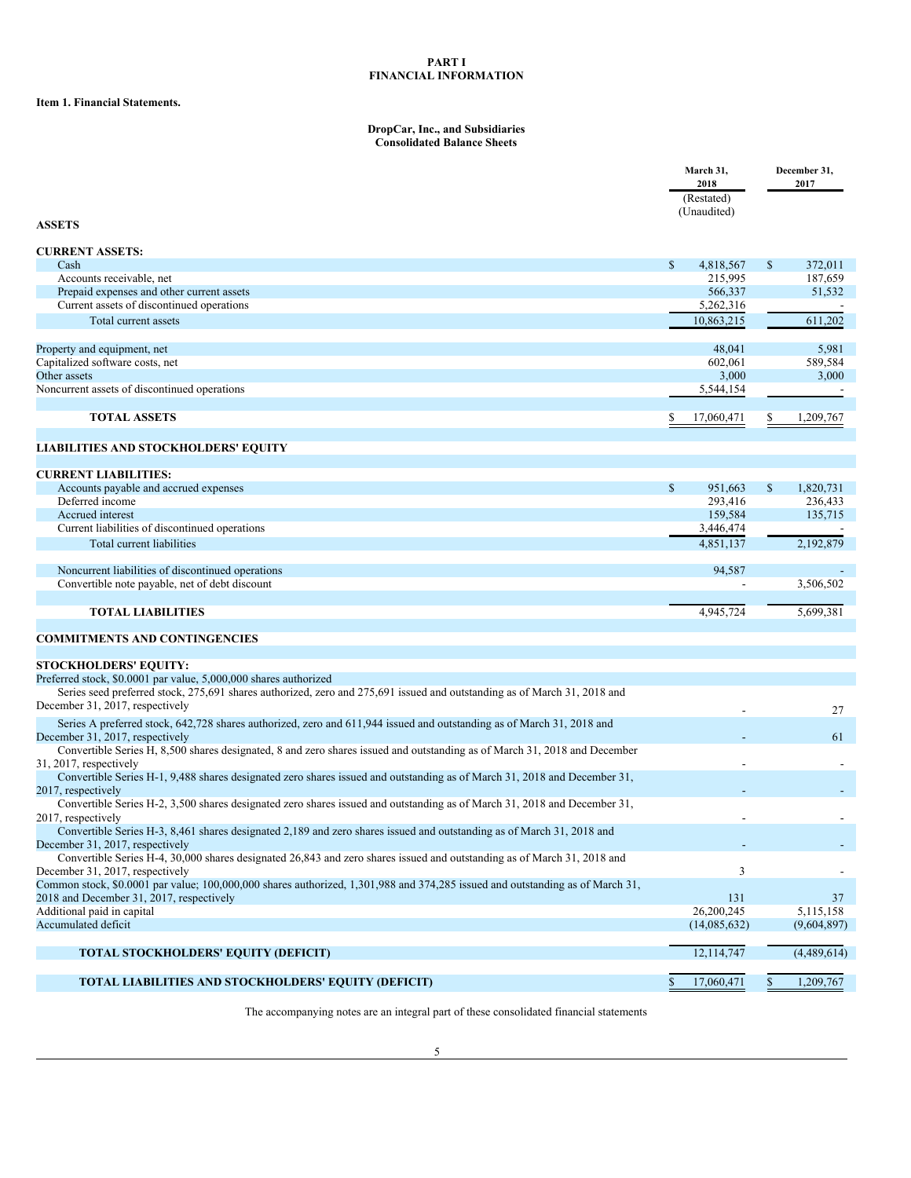# **PART I FINANCIAL INFORMATION**

# <span id="page-4-0"></span>**Item 1. Financial Statements.**

#### <span id="page-4-1"></span>**DropCar, Inc., and Subsidiaries Consolidated Balance Sheets**

|                                                                                                                                                          |              | March 31,<br>2018<br>(Restated) |              | December 31,<br>2017     |
|----------------------------------------------------------------------------------------------------------------------------------------------------------|--------------|---------------------------------|--------------|--------------------------|
| <b>ASSETS</b>                                                                                                                                            |              | (Unaudited)                     |              |                          |
| <b>CURRENT ASSETS:</b>                                                                                                                                   |              |                                 |              |                          |
| Cash                                                                                                                                                     | $\mathbb{S}$ | 4,818,567                       | $\mathbb{S}$ | 372,011                  |
| Accounts receivable, net                                                                                                                                 |              | 215,995<br>566,337              |              | 187,659<br>51,532        |
| Prepaid expenses and other current assets<br>Current assets of discontinued operations                                                                   |              | 5,262,316                       |              |                          |
| Total current assets                                                                                                                                     |              | 10,863,215                      |              | 611,202                  |
|                                                                                                                                                          |              |                                 |              |                          |
| Property and equipment, net                                                                                                                              |              | 48,041                          |              | 5,981                    |
| Capitalized software costs, net                                                                                                                          |              | 602,061                         |              | 589,584                  |
| Other assets                                                                                                                                             |              | 3,000                           |              | 3,000                    |
| Noncurrent assets of discontinued operations                                                                                                             |              | 5,544,154                       |              |                          |
| <b>TOTAL ASSETS</b>                                                                                                                                      |              | 17,060,471                      |              | 1,209,767                |
|                                                                                                                                                          |              |                                 |              |                          |
| <b>LIABILITIES AND STOCKHOLDERS' EQUITY</b>                                                                                                              |              |                                 |              |                          |
|                                                                                                                                                          |              |                                 |              |                          |
| <b>CURRENT LIABILITIES:</b>                                                                                                                              |              |                                 |              |                          |
| Accounts payable and accrued expenses<br>Deferred income                                                                                                 | $\mathbb{S}$ | 951,663<br>293,416              | \$           | 1,820,731<br>236,433     |
| Accrued interest                                                                                                                                         |              | 159,584                         |              | 135,715                  |
| Current liabilities of discontinued operations                                                                                                           |              | 3,446,474                       |              |                          |
| Total current liabilities                                                                                                                                |              | 4,851,137                       |              | 2,192,879                |
|                                                                                                                                                          |              |                                 |              |                          |
| Noncurrent liabilities of discontinued operations                                                                                                        |              | 94,587                          |              |                          |
| Convertible note payable, net of debt discount                                                                                                           |              |                                 |              | 3,506,502                |
| <b>TOTAL LIABILITIES</b>                                                                                                                                 |              | 4,945,724                       |              | 5,699,381                |
|                                                                                                                                                          |              |                                 |              |                          |
| <b>COMMITMENTS AND CONTINGENCIES</b>                                                                                                                     |              |                                 |              |                          |
| <b>STOCKHOLDERS' EQUITY:</b>                                                                                                                             |              |                                 |              |                          |
| Preferred stock, \$0.0001 par value, 5,000,000 shares authorized                                                                                         |              |                                 |              |                          |
| Series seed preferred stock, 275,691 shares authorized, zero and 275,691 issued and outstanding as of March 31, 2018 and                                 |              |                                 |              |                          |
| December 31, 2017, respectively                                                                                                                          |              |                                 |              | 27                       |
| Series A preferred stock, 642,728 shares authorized, zero and 611,944 issued and outstanding as of March 31, 2018 and<br>December 31, 2017, respectively |              |                                 |              | 61                       |
| Convertible Series H, 8,500 shares designated, 8 and zero shares issued and outstanding as of March 31, 2018 and December                                |              |                                 |              |                          |
| 31, 2017, respectively                                                                                                                                   |              |                                 |              |                          |
| Convertible Series H-1, 9,488 shares designated zero shares issued and outstanding as of March 31, 2018 and December 31,                                 |              |                                 |              |                          |
| 2017, respectively                                                                                                                                       |              |                                 |              |                          |
| Convertible Series H-2, 3,500 shares designated zero shares issued and outstanding as of March 31, 2018 and December 31,                                 |              |                                 |              |                          |
| 2017, respectively<br>Convertible Series H-3, 8,461 shares designated 2,189 and zero shares issued and outstanding as of March 31, 2018 and              |              |                                 |              |                          |
| December 31, 2017, respectively                                                                                                                          |              |                                 |              |                          |
| Convertible Series H-4, 30,000 shares designated 26,843 and zero shares issued and outstanding as of March 31, 2018 and                                  |              |                                 |              |                          |
| December 31, 2017, respectively                                                                                                                          |              | 3                               |              |                          |
| Common stock, \$0.0001 par value; 100,000,000 shares authorized, 1,301,988 and 374,285 issued and outstanding as of March 31,                            |              |                                 |              |                          |
| 2018 and December 31, 2017, respectively                                                                                                                 |              | 131                             |              | 37                       |
| Additional paid in capital<br>Accumulated deficit                                                                                                        |              | 26,200,245<br>(14,085,632)      |              | 5,115,158<br>(9,604,897) |
|                                                                                                                                                          |              |                                 |              |                          |
| <b>TOTAL STOCKHOLDERS' EQUITY (DEFICIT)</b>                                                                                                              |              | 12,114,747                      |              | (4,489,614)              |
|                                                                                                                                                          |              |                                 |              |                          |
| TOTAL LIABILITIES AND STOCKHOLDERS' EQUITY (DEFICIT)                                                                                                     | \$           | 17,060,471                      | $\mathbb{S}$ | 1,209,767                |

The accompanying notes are an integral part of these consolidated financial statements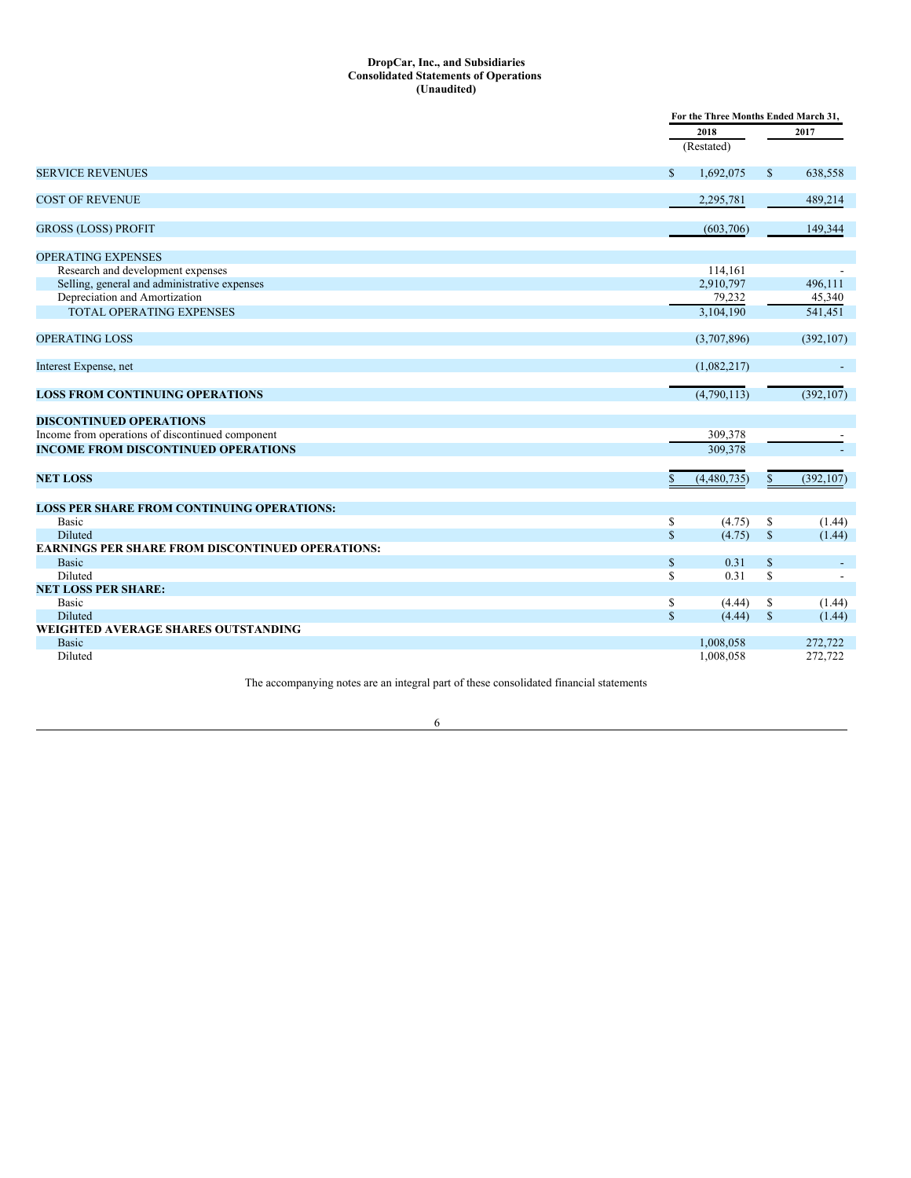#### <span id="page-5-0"></span>**DropCar, Inc., and Subsidiaries Consolidated Statements of Operations (Unaudited)**

|                                                         | For the Three Months Ended March 31, |              |                          |  |  |
|---------------------------------------------------------|--------------------------------------|--------------|--------------------------|--|--|
|                                                         | 2018                                 |              | 2017                     |  |  |
|                                                         | (Restated)                           |              |                          |  |  |
| <b>SERVICE REVENUES</b>                                 | $\mathbb{S}$<br>1,692,075            | $\mathbb{S}$ | 638,558                  |  |  |
| <b>COST OF REVENUE</b>                                  | 2,295,781                            |              | 489,214                  |  |  |
| <b>GROSS (LOSS) PROFIT</b>                              | (603,706)                            |              | 149,344                  |  |  |
| <b>OPERATING EXPENSES</b>                               |                                      |              |                          |  |  |
| Research and development expenses                       | 114.161                              |              |                          |  |  |
| Selling, general and administrative expenses            | 2,910,797                            |              | 496,111                  |  |  |
| Depreciation and Amortization                           | 79,232                               |              | 45,340                   |  |  |
| <b>TOTAL OPERATING EXPENSES</b>                         | 3.104.190                            |              | 541,451                  |  |  |
| <b>OPERATING LOSS</b>                                   | (3,707,896)                          |              | (392, 107)               |  |  |
| Interest Expense, net                                   | (1,082,217)                          |              | $\overline{\phantom{a}}$ |  |  |
| <b>LOSS FROM CONTINUING OPERATIONS</b>                  | (4,790,113)                          |              | (392, 107)               |  |  |
| <b>DISCONTINUED OPERATIONS</b>                          |                                      |              |                          |  |  |
| Income from operations of discontinued component        | 309,378                              |              |                          |  |  |
| <b>INCOME FROM DISCONTINUED OPERATIONS</b>              | 309,378                              |              |                          |  |  |
| <b>NET LOSS</b>                                         | (4,480,735)<br>\$                    | $\mathbb{S}$ | (392, 107)               |  |  |
| <b>LOSS PER SHARE FROM CONTINUING OPERATIONS:</b>       |                                      |              |                          |  |  |
| <b>Basic</b>                                            | \$<br>(4.75)                         | S            | (1.44)                   |  |  |
| Diluted                                                 | $\mathbb{S}$<br>(4.75)               | $\mathbb S$  | (1.44)                   |  |  |
| <b>EARNINGS PER SHARE FROM DISCONTINUED OPERATIONS:</b> |                                      |              |                          |  |  |
| <b>Basic</b>                                            | $\mathbb S$<br>0.31                  | $\mathbb{S}$ | $\overline{\phantom{a}}$ |  |  |
| Diluted                                                 | 0.31<br>\$                           | S.           |                          |  |  |
| <b>NET LOSS PER SHARE:</b>                              |                                      |              |                          |  |  |
| Basic                                                   | \$<br>(4.44)                         | \$           | (1.44)                   |  |  |
| Diluted                                                 | $\mathbb{S}$<br>(4.44)               | $\mathbb{S}$ | (1.44)                   |  |  |
| WEIGHTED AVERAGE SHARES OUTSTANDING                     |                                      |              |                          |  |  |
| <b>Basic</b>                                            | 1,008,058                            |              | 272,722                  |  |  |
| Diluted                                                 | 1,008,058                            |              | 272,722                  |  |  |

The accompanying notes are an integral part of these consolidated financial statements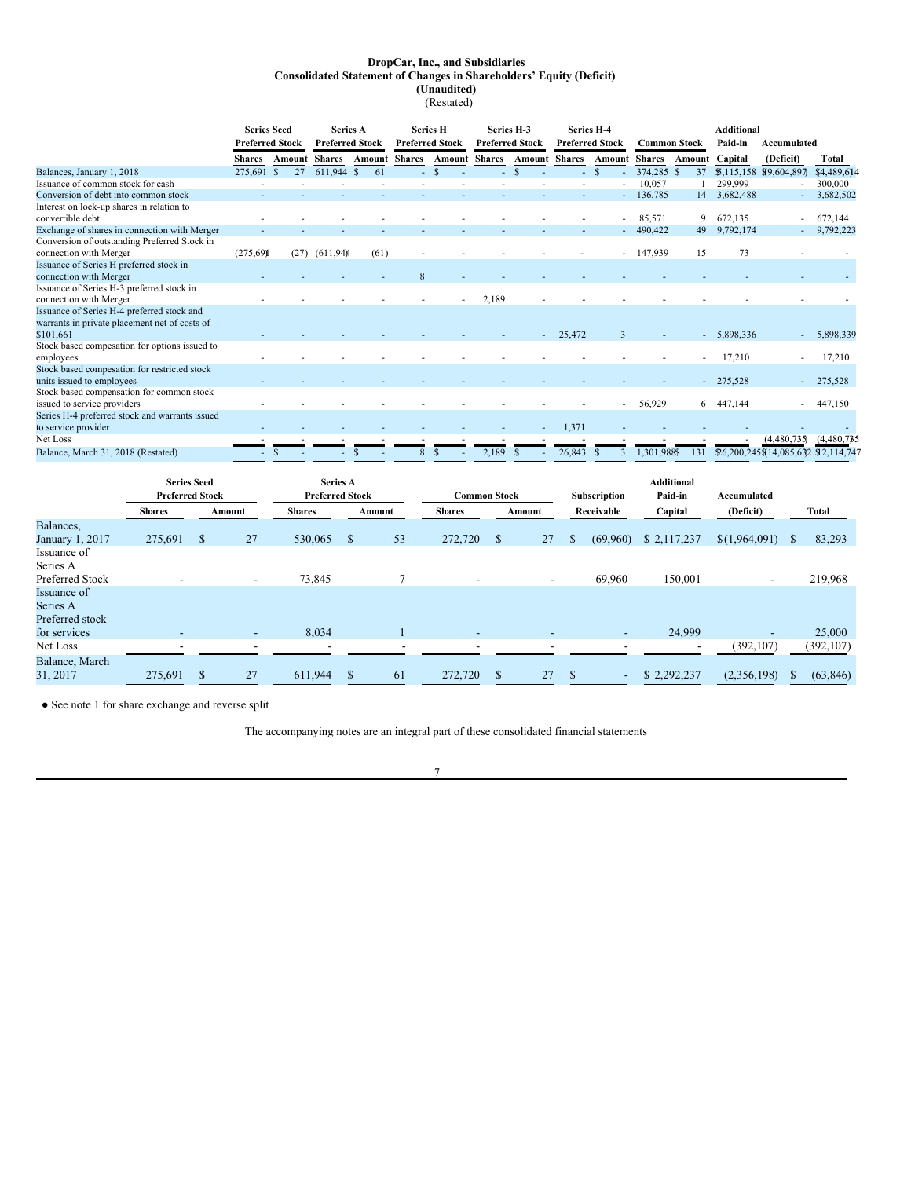#### <span id="page-6-0"></span>**DropCar, Inc., and Subsidiaries Consolidated Statement of Changes in Shareholders' Equity (Deficit) (Unaudited)** (Restated)

|                                                | <b>Series Seed</b>     |                    | <b>Series A</b>        |                      |                        | <b>Series H</b>      | Series H-3             |                      | <b>Series H-4</b>      |                      | Additional  |                                |              |                                     |             |
|------------------------------------------------|------------------------|--------------------|------------------------|----------------------|------------------------|----------------------|------------------------|----------------------|------------------------|----------------------|-------------|--------------------------------|--------------|-------------------------------------|-------------|
|                                                | <b>Preferred Stock</b> |                    | <b>Preferred Stock</b> |                      | <b>Preferred Stock</b> |                      | <b>Preferred Stock</b> |                      | <b>Preferred Stock</b> |                      |             | Paid-in<br><b>Common Stock</b> |              | Accumulated                         |             |
|                                                | <b>Shares</b>          | Amount             | <b>Shares</b>          | <b>Amount Shares</b> |                        | <b>Amount Shares</b> |                        | <b>Amount Shares</b> |                        | <b>Amount Shares</b> |             | Amount                         | Capital      | (Deficit)                           | Total       |
| Balances, January 1, 2018                      | 275,691                | 27<br><sup>S</sup> | 611,944 \$             | 61                   |                        | $\mathbf{\hat{s}}$   | ÷.                     | S.                   |                        | -8                   | 374,285     | 37                             |              | $$,115,158$ \$9,604,897             | \$4,489,614 |
| Issuance of common stock for cash              |                        |                    |                        |                      |                        |                      |                        |                      |                        |                      | 10,057      |                                | 299,999      |                                     | 300,000     |
| Conversion of debt into common stock           |                        |                    |                        |                      |                        |                      |                        |                      |                        |                      | 136,785     | 14                             | 3,682,488    | ٠                                   | 3,682,502   |
| Interest on lock-up shares in relation to      |                        |                    |                        |                      |                        |                      |                        |                      |                        |                      |             |                                |              |                                     |             |
| convertible debt                               |                        |                    |                        |                      |                        |                      |                        |                      |                        |                      | 85,571      | 9                              | 672.135      |                                     | 672,144     |
| Exchange of shares in connection with Merger   |                        |                    |                        |                      |                        |                      |                        |                      |                        |                      | 490,422     | 49                             | 9,792,174    |                                     | 9,792,223   |
| Conversion of outstanding Preferred Stock in   |                        |                    |                        |                      |                        |                      |                        |                      |                        |                      |             |                                |              |                                     |             |
| connection with Merger                         | (275,69)               | (27)               | (611,94)               | (61)                 |                        |                      |                        |                      |                        |                      | 147,939     | 15                             | 73           |                                     |             |
| Issuance of Series H preferred stock in        |                        |                    |                        |                      |                        |                      |                        |                      |                        |                      |             |                                |              |                                     |             |
| connection with Merger                         |                        |                    |                        |                      |                        |                      |                        |                      |                        |                      |             |                                |              |                                     |             |
| Issuance of Series H-3 preferred stock in      |                        |                    |                        |                      |                        |                      |                        |                      |                        |                      |             |                                |              |                                     |             |
| connection with Merger                         |                        |                    |                        |                      |                        |                      | 2,189                  |                      |                        |                      |             |                                |              |                                     |             |
| Issuance of Series H-4 preferred stock and     |                        |                    |                        |                      |                        |                      |                        |                      |                        |                      |             |                                |              |                                     |             |
| warrants in private placement net of costs of  |                        |                    |                        |                      |                        |                      |                        |                      |                        |                      |             |                                |              |                                     |             |
| \$101.661                                      |                        |                    |                        |                      |                        |                      |                        |                      | 25,472                 | $\mathbf{3}$         |             |                                | $-5,898,336$ | ۰.                                  | 5,898,339   |
| Stock based compesation for options issued to  |                        |                    |                        |                      |                        |                      |                        |                      |                        |                      |             |                                |              |                                     |             |
| employees                                      |                        |                    |                        |                      |                        |                      |                        |                      |                        |                      |             |                                | 17,210       |                                     | 17,210      |
| Stock based compesation for restricted stock   |                        |                    |                        |                      |                        |                      |                        |                      |                        |                      |             |                                |              |                                     |             |
| units issued to employees                      |                        |                    |                        |                      |                        |                      |                        |                      |                        |                      |             |                                | $-275,528$   |                                     | 275,528     |
| Stock based compensation for common stock      |                        |                    |                        |                      |                        |                      |                        |                      |                        |                      |             |                                |              |                                     |             |
| issued to service providers                    |                        |                    |                        |                      |                        |                      |                        |                      |                        |                      | 56,929      | 6                              | 447,144      |                                     | 447,150     |
| Series H-4 preferred stock and warrants issued |                        |                    |                        |                      |                        |                      |                        |                      |                        |                      |             |                                |              |                                     |             |
| to service provider                            |                        |                    |                        |                      |                        |                      |                        |                      | 1,371                  |                      |             |                                |              |                                     |             |
| Net Loss                                       |                        |                    |                        |                      |                        |                      |                        |                      |                        |                      |             |                                |              | (4,480,735)                         | (4,480,785) |
| Balance, March 31, 2018 (Restated)             |                        |                    |                        |                      |                        |                      | 2,189                  |                      | 26,843                 |                      | 1,301,988\$ | 131                            |              | \$6,200,245\$14,085,632 \$2,114,747 |             |

|                                                            | <b>Series Seed</b><br><b>Preferred Stock</b> |   |                          | <b>Series A</b><br><b>Preferred Stock</b> |    |        | <b>Common Stock</b>      |              |        |            | <b>Additional</b><br>Paid-in<br>Subscription<br>Accumulated |             |               |    |            |  |  |  |  |  |  |  |  |  |  |  |  |  |  |  |  |  |  |  |  |  |  |  |  |  |  |  |  |  |  |  |  |  |  |         |           |  |       |
|------------------------------------------------------------|----------------------------------------------|---|--------------------------|-------------------------------------------|----|--------|--------------------------|--------------|--------|------------|-------------------------------------------------------------|-------------|---------------|----|------------|--|--|--|--|--|--|--|--|--|--|--|--|--|--|--|--|--|--|--|--|--|--|--|--|--|--|--|--|--|--|--|--|--|--|---------|-----------|--|-------|
|                                                            | <b>Shares</b>                                |   | Amount                   | <b>Shares</b>                             |    | Amount | <b>Shares</b>            |              | Amount | Receivable |                                                             |             |               |    |            |  |  |  |  |  |  |  |  |  |  |  |  |  |  |  |  |  |  |  |  |  |  |  |  |  |  |  |  |  |  |  |  |  |  | Capital | (Deficit) |  | Total |
| Balances,                                                  |                                              |   |                          |                                           |    |        |                          |              |        |            |                                                             |             |               |    |            |  |  |  |  |  |  |  |  |  |  |  |  |  |  |  |  |  |  |  |  |  |  |  |  |  |  |  |  |  |  |  |  |  |  |         |           |  |       |
| January 1, 2017                                            | 275,691                                      | S | 27                       | 530,065                                   | -S | 53     | 272,720                  | $\mathbb{S}$ | 27     | \$         | (69,960)                                                    | \$2,117,237 | \$(1,964,091) | \$ | 83,293     |  |  |  |  |  |  |  |  |  |  |  |  |  |  |  |  |  |  |  |  |  |  |  |  |  |  |  |  |  |  |  |  |  |  |         |           |  |       |
| Issuance of<br>Series A                                    |                                              |   |                          |                                           |    |        |                          |              |        |            |                                                             |             |               |    |            |  |  |  |  |  |  |  |  |  |  |  |  |  |  |  |  |  |  |  |  |  |  |  |  |  |  |  |  |  |  |  |  |  |  |         |           |  |       |
| Preferred Stock                                            |                                              |   | $\overline{\phantom{a}}$ | 73,845                                    |    |        |                          |              |        |            | 69,960                                                      | 150,001     |               |    | 219,968    |  |  |  |  |  |  |  |  |  |  |  |  |  |  |  |  |  |  |  |  |  |  |  |  |  |  |  |  |  |  |  |  |  |  |         |           |  |       |
| Issuance of<br>Series A<br>Preferred stock<br>for services | -                                            |   | $\overline{\phantom{a}}$ | 8,034                                     |    |        | $\overline{\phantom{a}}$ |              |        |            | $\sim$                                                      | 24,999      |               |    | 25,000     |  |  |  |  |  |  |  |  |  |  |  |  |  |  |  |  |  |  |  |  |  |  |  |  |  |  |  |  |  |  |  |  |  |  |         |           |  |       |
| Net Loss                                                   |                                              |   |                          |                                           |    |        |                          |              |        |            |                                                             |             | (392, 107)    |    | (392, 107) |  |  |  |  |  |  |  |  |  |  |  |  |  |  |  |  |  |  |  |  |  |  |  |  |  |  |  |  |  |  |  |  |  |  |         |           |  |       |
| Balance, March<br>31, 2017                                 | 275,691                                      |   | 27                       | 611,944                                   |    | 61     | 272,720                  |              | 27     |            |                                                             | \$2,292,237 | (2,356,198)   |    | (63, 846)  |  |  |  |  |  |  |  |  |  |  |  |  |  |  |  |  |  |  |  |  |  |  |  |  |  |  |  |  |  |  |  |  |  |  |         |           |  |       |

● See note 1 for share exchange and reverse split

The accompanying notes are an integral part of these consolidated financial statements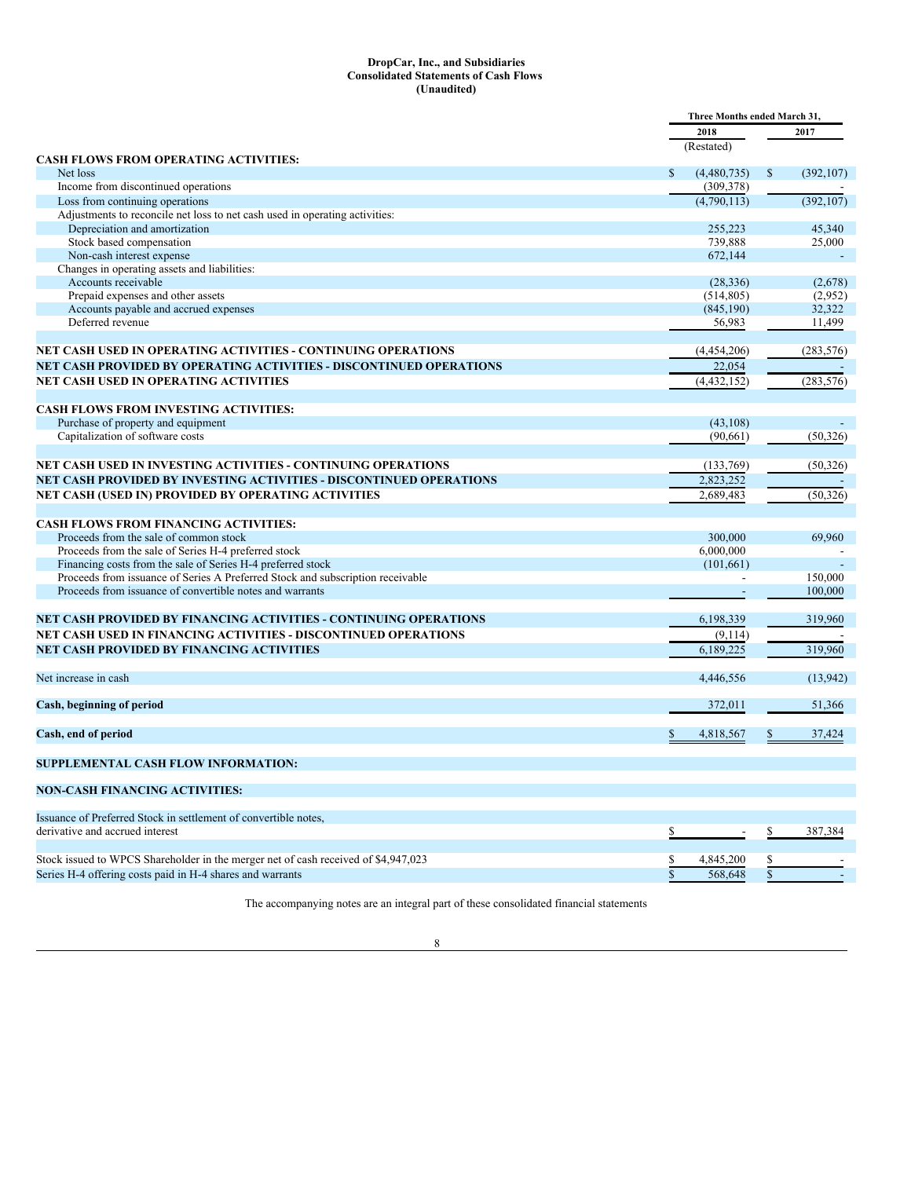#### <span id="page-7-0"></span>**DropCar, Inc., and Subsidiaries Consolidated Statements of Cash Flows (Unaudited)**

|                                                                                        |              | Three Months ended March 31, |              |            |
|----------------------------------------------------------------------------------------|--------------|------------------------------|--------------|------------|
|                                                                                        |              | 2018                         |              | 2017       |
|                                                                                        |              | (Restated)                   |              |            |
| <b>CASH FLOWS FROM OPERATING ACTIVITIES:</b><br>Net loss                               | S            | (4,480,735)                  | \$           | (392, 107) |
| Income from discontinued operations                                                    |              | (309, 378)                   |              |            |
| Loss from continuing operations                                                        |              | (4,790,113)                  |              | (392, 107) |
| Adjustments to reconcile net loss to net cash used in operating activities:            |              |                              |              |            |
| Depreciation and amortization                                                          |              | 255,223                      |              | 45,340     |
| Stock based compensation                                                               |              | 739,888                      |              | 25,000     |
| Non-cash interest expense                                                              |              | 672,144                      |              |            |
| Changes in operating assets and liabilities:                                           |              |                              |              |            |
| Accounts receivable                                                                    |              | (28, 336)                    |              | (2,678)    |
| Prepaid expenses and other assets                                                      |              | (514, 805)                   |              | (2,952)    |
| Accounts payable and accrued expenses                                                  |              | (845, 190)                   |              | 32,322     |
| Deferred revenue                                                                       |              | 56,983                       |              | 11,499     |
|                                                                                        |              |                              |              |            |
| NET CASH USED IN OPERATING ACTIVITIES - CONTINUING OPERATIONS                          |              | (4,454,206)                  |              | (283, 576) |
| NET CASH PROVIDED BY OPERATING ACTIVITIES - DISCONTINUED OPERATIONS                    |              | 22,054                       |              |            |
| NET CASH USED IN OPERATING ACTIVITIES                                                  |              | (4,432,152)                  |              | (283, 576) |
| <b>CASH FLOWS FROM INVESTING ACTIVITIES:</b>                                           |              |                              |              |            |
| Purchase of property and equipment                                                     |              | (43, 108)                    |              |            |
| Capitalization of software costs                                                       |              | (90,661)                     |              | (50, 326)  |
|                                                                                        |              |                              |              |            |
| <b>NET CASH USED IN INVESTING ACTIVITIES - CONTINUING OPERATIONS</b>                   |              | (133,769)                    |              | (50, 326)  |
| NET CASH PROVIDED BY INVESTING ACTIVITIES - DISCONTINUED OPERATIONS                    |              | 2,823,252                    |              |            |
| NET CASH (USED IN) PROVIDED BY OPERATING ACTIVITIES                                    |              | 2,689,483                    |              | (50, 326)  |
|                                                                                        |              |                              |              |            |
| <b>CASH FLOWS FROM FINANCING ACTIVITIES:</b>                                           |              |                              |              |            |
| Proceeds from the sale of common stock                                                 |              | 300,000                      |              | 69,960     |
| Proceeds from the sale of Series H-4 preferred stock                                   |              | 6,000,000                    |              |            |
| Financing costs from the sale of Series H-4 preferred stock                            |              | (101,661)                    |              |            |
| Proceeds from issuance of Series A Preferred Stock and subscription receivable         |              |                              |              | 150,000    |
| Proceeds from issuance of convertible notes and warrants                               |              |                              |              | 100,000    |
| <b>NET CASH PROVIDED BY FINANCING ACTIVITIES - CONTINUING OPERATIONS</b>               |              | 6,198,339                    |              | 319,960    |
| NET CASH USED IN FINANCING ACTIVITIES - DISCONTINUED OPERATIONS                        |              | (9,114)                      |              |            |
|                                                                                        |              | 6,189,225                    |              | 319,960    |
| <b>NET CASH PROVIDED BY FINANCING ACTIVITIES</b>                                       |              |                              |              |            |
| Net increase in cash                                                                   |              | 4,446,556                    |              | (13, 942)  |
|                                                                                        |              |                              |              | 51,366     |
| Cash, beginning of period                                                              |              | 372,011                      |              |            |
| Cash, end of period                                                                    |              | 4,818,567                    |              | 37,424     |
| <b>SUPPLEMENTAL CASH FLOW INFORMATION:</b>                                             |              |                              |              |            |
| <b>NON-CASH FINANCING ACTIVITIES:</b>                                                  |              |                              |              |            |
|                                                                                        |              |                              |              |            |
| Issuance of Preferred Stock in settlement of convertible notes,                        |              |                              |              |            |
| derivative and accrued interest                                                        | \$           |                              | \$           | 387,384    |
|                                                                                        |              |                              |              |            |
| Stock issued to WPCS Shareholder in the merger net of cash received of \$4,947,023     |              | 4,845,200                    |              |            |
| Series H-4 offering costs paid in H-4 shares and warrants                              | $\mathbb{S}$ | 568,648                      | $\mathbb{S}$ |            |
| The accompanying notes are an integral part of these consolidated financial statements |              |                              |              |            |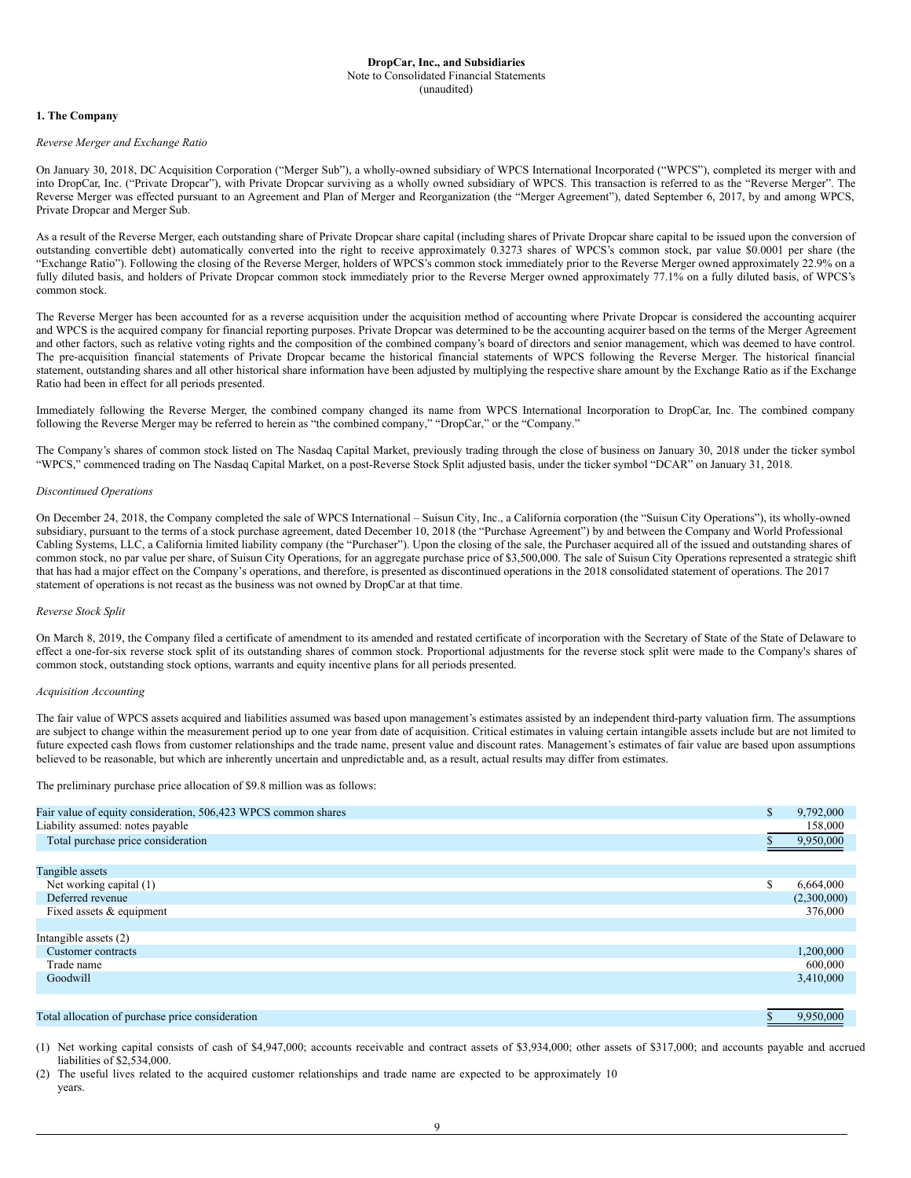#### <span id="page-8-0"></span>**1. The Company**

#### *Reverse Merger and Exchange Ratio*

On January 30, 2018, DC Acquisition Corporation ("Merger Sub"), a wholly-owned subsidiary of WPCS International Incorporated ("WPCS"), completed its merger with and into DropCar, Inc. ("Private Dropcar"), with Private Dropcar surviving as a wholly owned subsidiary of WPCS. This transaction is referred to as the "Reverse Merger". The Reverse Merger was effected pursuant to an Agreement and Plan of Merger and Reorganization (the "Merger Agreement"), dated September 6, 2017, by and among WPCS, Private Dropcar and Merger Sub.

As a result of the Reverse Merger, each outstanding share of Private Dropcar share capital (including shares of Private Dropcar share capital to be issued upon the conversion of outstanding convertible debt) automatically converted into the right to receive approximately 0.3273 shares of WPCS's common stock, par value \$0.0001 per share (the "Exchange Ratio"). Following the closing of the Reverse Merger, holders of WPCS's common stock immediately prior to the Reverse Merger owned approximately 22.9% on a fully diluted basis, and holders of Private Dropcar common stock immediately prior to the Reverse Merger owned approximately 77.1% on a fully diluted basis, of WPCS's common stock.

The Reverse Merger has been accounted for as a reverse acquisition under the acquisition method of accounting where Private Dropcar is considered the accounting acquirer and WPCS is the acquired company for financial reporting purposes. Private Dropcar was determined to be the accounting acquirer based on the terms of the Merger Agreement and other factors, such as relative voting rights and the composition of the combined company's board of directors and senior management, which was deemed to have control. The pre-acquisition financial statements of Private Dropcar became the historical financial statements of WPCS following the Reverse Merger. The historical financial statement, outstanding shares and all other historical share information have been adjusted by multiplying the respective share amount by the Exchange Ratio as if the Exchange Ratio had been in effect for all periods presented.

Immediately following the Reverse Merger, the combined company changed its name from WPCS International Incorporation to DropCar, Inc. The combined company following the Reverse Merger may be referred to herein as "the combined company," "DropCar," or the "Company."

The Company's shares of common stock listed on The Nasdaq Capital Market, previously trading through the close of business on January 30, 2018 under the ticker symbol "WPCS," commenced trading on The Nasdaq Capital Market, on a post-Reverse Stock Split adjusted basis, under the ticker symbol "DCAR" on January 31, 2018.

# *Discontinued Operations*

On December 24, 2018, the Company completed the sale of WPCS International – Suisun City, Inc., a California corporation (the "Suisun City Operations"), its wholly-owned subsidiary, pursuant to the terms of a stock purchase agreement, dated December 10, 2018 (the "Purchase Agreement") by and between the Company and World Professional Cabling Systems, LLC, a California limited liability company (the "Purchaser"). Upon the closing of the sale, the Purchaser acquired all of the issued and outstanding shares of common stock, no par value per share, of Suisun City Operations, for an aggregate purchase price of \$3,500,000. The sale of Suisun City Operations represented a strategic shift that has had a major effect on the Company's operations, and therefore, is presented as discontinued operations in the 2018 consolidated statement of operations. The 2017 statement of operations is not recast as the business was not owned by DropCar at that time.

#### *Reverse Stock Split*

On March 8, 2019, the Company filed a certificate of amendment to its amended and restated certificate of incorporation with the Secretary of State of the State of Delaware to effect a one-for-six reverse stock split of its outstanding shares of common stock. Proportional adjustments for the reverse stock split were made to the Company's shares of common stock, outstanding stock options, warrants and equity incentive plans for all periods presented.

# *Acquisition Accounting*

The fair value of WPCS assets acquired and liabilities assumed was based upon management's estimates assisted by an independent third-party valuation firm. The assumptions are subject to change within the measurement period up to one year from date of acquisition. Critical estimates in valuing certain intangible assets include but are not limited to future expected cash flows from customer relationships and the trade name, present value and discount rates. Management's estimates of fair value are based upon assumptions believed to be reasonable, but which are inherently uncertain and unpredictable and, as a result, actual results may differ from estimates.

#### The preliminary purchase price allocation of \$9.8 million was as follows:

| Fair value of equity consideration, 506,423 WPCS common shares | $\mathbb{S}$ | 9,792,000   |
|----------------------------------------------------------------|--------------|-------------|
| Liability assumed: notes payable                               |              | 158,000     |
| Total purchase price consideration                             |              | 9,950,000   |
|                                                                |              |             |
| Tangible assets                                                |              |             |
| Net working capital (1)                                        | \$           | 6,664,000   |
| Deferred revenue                                               |              | (2,300,000) |
| Fixed assets & equipment                                       |              | 376,000     |
|                                                                |              |             |
| Intangible assets (2)                                          |              |             |
| Customer contracts                                             |              | 1,200,000   |
| Trade name                                                     |              | 600,000     |
| Goodwill                                                       |              | 3,410,000   |
|                                                                |              |             |
| Total allocation of purchase price consideration               |              | 9,950,000   |

(1) Net working capital consists of cash of \$4,947,000; accounts receivable and contract assets of \$3,934,000; other assets of \$317,000; and accounts payable and accrued liabilities of \$2,534,000.

(2) The useful lives related to the acquired customer relationships and trade name are expected to be approximately 10 years.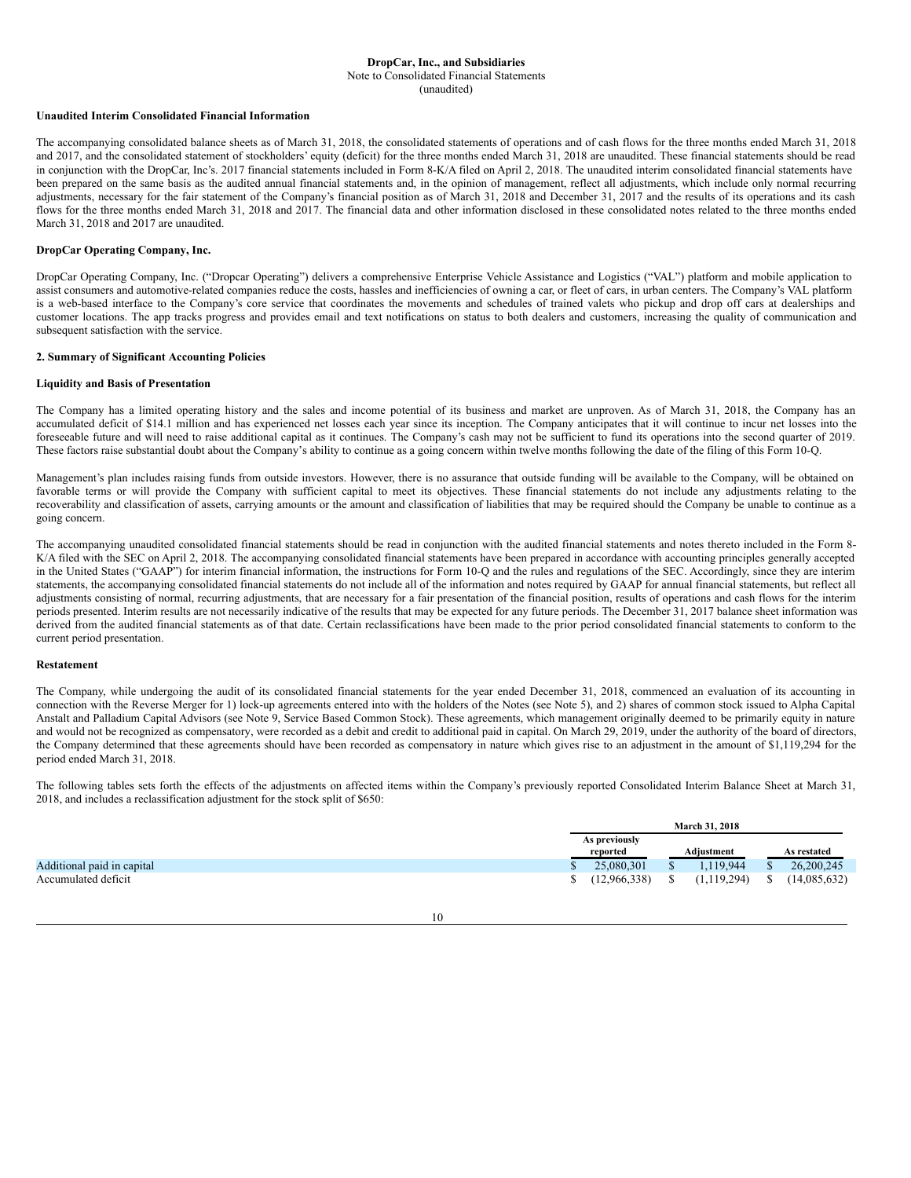Note to Consolidated Financial Statements (unaudited)

#### **Unaudited Interim Consolidated Financial Information**

The accompanying consolidated balance sheets as of March 31, 2018, the consolidated statements of operations and of cash flows for the three months ended March 31, 2018 and 2017, and the consolidated statement of stockholders' equity (deficit) for the three months ended March 31, 2018 are unaudited. These financial statements should be read in conjunction with the DropCar, Inc's. 2017 financial statements included in Form 8-K/A filed on April 2, 2018. The unaudited interim consolidated financial statements have been prepared on the same basis as the audited annual financial statements and, in the opinion of management, reflect all adjustments, which include only normal recurring adjustments, necessary for the fair statement of the Company's financial position as of March 31, 2018 and December 31, 2017 and the results of its operations and its cash flows for the three months ended March 31, 2018 and 2017. The financial data and other information disclosed in these consolidated notes related to the three months ended March 31, 2018 and 2017 are unaudited.

#### **DropCar Operating Company, Inc.**

DropCar Operating Company, Inc. ("Dropcar Operating") delivers a comprehensive Enterprise Vehicle Assistance and Logistics ("VAL") platform and mobile application to assist consumers and automotive-related companies reduce the costs, hassles and inefficiencies of owning a car, or fleet of cars, in urban centers. The Company's VAL platform is a web-based interface to the Company's core service that coordinates the movements and schedules of trained valets who pickup and drop off cars at dealerships and customer locations. The app tracks progress and provides email and text notifications on status to both dealers and customers, increasing the quality of communication and subsequent satisfaction with the service.

# **2. Summary of Significant Accounting Policies**

#### **Liquidity and Basis of Presentation**

The Company has a limited operating history and the sales and income potential of its business and market are unproven. As of March 31, 2018, the Company has an accumulated deficit of \$14.1 million and has experienced net losses each year since its inception. The Company anticipates that it will continue to incur net losses into the foreseeable future and will need to raise additional capital as it continues. The Company's cash may not be sufficient to fund its operations into the second quarter of 2019. These factors raise substantial doubt about the Company's ability to continue as a going concern within twelve months following the date of the filing of this Form 10-Q.

Management's plan includes raising funds from outside investors. However, there is no assurance that outside funding will be available to the Company, will be obtained on favorable terms or will provide the Company with sufficient capital to meet its objectives. These financial statements do not include any adjustments relating to the recoverability and classification of assets, carrying amounts or the amount and classification of liabilities that may be required should the Company be unable to continue as a going concern.

The accompanying unaudited consolidated financial statements should be read in conjunction with the audited financial statements and notes thereto included in the Form 8- K/A filed with the SEC on April 2, 2018. The accompanying consolidated financial statements have been prepared in accordance with accounting principles generally accepted in the United States ("GAAP") for interim financial information, the instructions for Form 10-Q and the rules and regulations of the SEC. Accordingly, since they are interim statements, the accompanying consolidated financial statements do not include all of the information and notes required by GAAP for annual financial statements, but reflect all adjustments consisting of normal, recurring adjustments, that are necessary for a fair presentation of the financial position, results of operations and cash flows for the interim periods presented. Interim results are not necessarily indicative of the results that may be expected for any future periods. The December 31, 2017 balance sheet information was derived from the audited financial statements as of that date. Certain reclassifications have been made to the prior period consolidated financial statements to conform to the current period presentation.

#### **Restatement**

The Company, while undergoing the audit of its consolidated financial statements for the year ended December 31, 2018, commenced an evaluation of its accounting in connection with the Reverse Merger for 1) lock-up agreements entered into with the holders of the Notes (see Note 5), and 2) shares of common stock issued to Alpha Capital Anstalt and Palladium Capital Advisors (see Note 9, Service Based Common Stock). These agreements, which management originally deemed to be primarily equity in nature and would not be recognized as compensatory, were recorded as a debit and credit to additional paid in capital. On March 29, 2019, under the authority of the board of directors, the Company determined that these agreements should have been recorded as compensatory in nature which gives rise to an adjustment in the amount of \$1,119,294 for the period ended March 31, 2018.

The following tables sets forth the effects of the adjustments on affected items within the Company's previously reported Consolidated Interim Balance Sheet at March 31, 2018, and includes a reclassification adjustment for the stock split of \$650:

|                            |               | <b>March 31, 2018</b> |              |
|----------------------------|---------------|-----------------------|--------------|
|                            | As previously |                       |              |
|                            | reported      | Adiustment            | As restated  |
| Additional paid in capital | 25,080,301    | .119.944              | 26,200,245   |
| Accumulated deficit        | (12,966,338)  | (1, 119, 294)         | (14,085,632) |

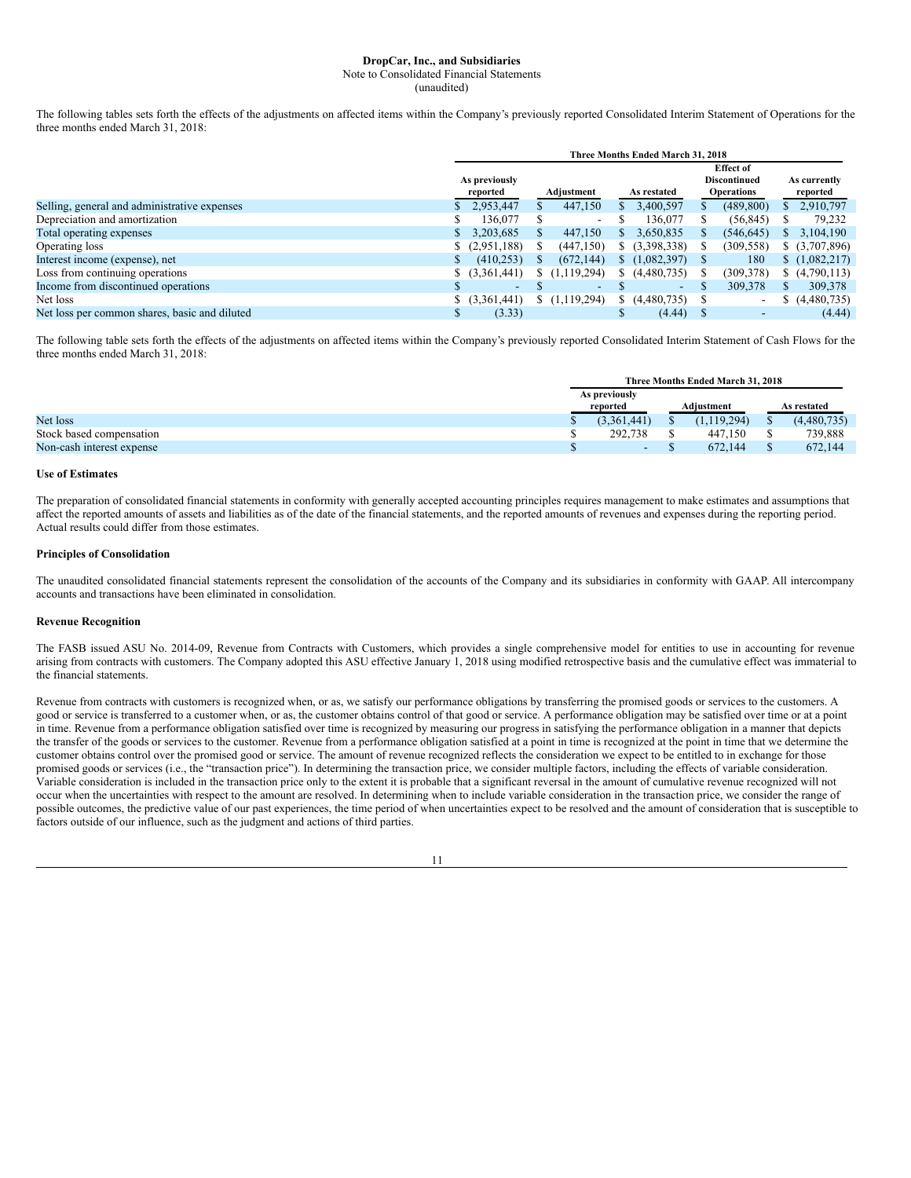Note to Consolidated Financial Statements

(unaudited)

The following tables sets forth the effects of the adjustments on affected items within the Company's previously reported Consolidated Interim Statement of Operations for the three months ended March 31, 2018:

|                                               | Three Months Ended March 31, 2018 |                           |  |                          |    |                          |  |                                                              |    |                          |  |  |
|-----------------------------------------------|-----------------------------------|---------------------------|--|--------------------------|----|--------------------------|--|--------------------------------------------------------------|----|--------------------------|--|--|
|                                               |                                   | As previously<br>reported |  | Adjustment               |    | As restated              |  | <b>Effect of</b><br><b>Discontinued</b><br><b>Operations</b> |    | As currently<br>reported |  |  |
| Selling, general and administrative expenses  |                                   | 2,953,447                 |  | 447,150                  | S  | 3,400,597                |  | (489, 800)                                                   |    | 2,910,797                |  |  |
| Depreciation and amortization                 | S                                 | 136,077                   |  | $\overline{\phantom{a}}$ |    | 136,077                  |  | (56, 845)                                                    |    | 79,232                   |  |  |
| Total operating expenses                      |                                   | 3,203,685                 |  | 447,150                  | S  | 3,650,835                |  | (546, 645)                                                   | S. | 3,104,190                |  |  |
| Operating loss                                |                                   | (2,951,188)               |  | (447, 150)               |    | \$(3,398,338)            |  | (309, 558)                                                   |    | \$ (3,707,896)           |  |  |
| Interest income (expense), net                | S                                 | (410, 253)                |  | (672, 144)               | S. | (1,082,397)              |  | 180                                                          |    | (1,082,217)              |  |  |
| Loss from continuing operations               |                                   | \$ (3,361,441)            |  | \$(1,119,294)            | S. | (4,480,735)              |  | (309, 378)                                                   |    | (4,790,113)              |  |  |
| Income from discontinued operations           |                                   | $\overline{\phantom{0}}$  |  | $\overline{\phantom{0}}$ |    | $\overline{\phantom{a}}$ |  | 309,378                                                      |    | 309,378                  |  |  |
| Net loss                                      |                                   | \$ (3,361,441)            |  | (1,119,294)              | S  | (4,480,735)              |  | $\overline{\phantom{a}}$                                     |    | (4,480,735)              |  |  |
| Net loss per common shares, basic and diluted | S                                 | (3.33)                    |  |                          | Ф  | (4.44)                   |  | $\overline{\phantom{a}}$                                     |    | (4.44)                   |  |  |

The following table sets forth the effects of the adjustments on affected items within the Company's previously reported Consolidated Interim Statement of Cash Flows for the three months ended March 31, 2018:

|                           | Three Months Ended March 31, 2018 |                          |  |             |             |             |  |  |
|---------------------------|-----------------------------------|--------------------------|--|-------------|-------------|-------------|--|--|
|                           | As previously                     |                          |  |             |             |             |  |  |
|                           |                                   | reported                 |  | Adiustment  | As restated |             |  |  |
| Net loss                  |                                   | (3.361.441)              |  | (1.119.294) |             | (4,480,735) |  |  |
| Stock based compensation  |                                   | 292.738                  |  | 447.150     |             | 739,888     |  |  |
| Non-cash interest expense |                                   | $\overline{\phantom{0}}$ |  | 672.144     |             | 672.144     |  |  |

# **Use of Estimates**

The preparation of consolidated financial statements in conformity with generally accepted accounting principles requires management to make estimates and assumptions that affect the reported amounts of assets and liabilities as of the date of the financial statements, and the reported amounts of revenues and expenses during the reporting period. Actual results could differ from those estimates.

# **Principles of Consolidation**

The unaudited consolidated financial statements represent the consolidation of the accounts of the Company and its subsidiaries in conformity with GAAP. All intercompany accounts and transactions have been eliminated in consolidation.

# **Revenue Recognition**

The FASB issued ASU No. 2014-09, Revenue from Contracts with Customers, which provides a single comprehensive model for entities to use in accounting for revenue arising from contracts with customers. The Company adopted this ASU effective January 1, 2018 using modified retrospective basis and the cumulative effect was immaterial to the financial statements.

Revenue from contracts with customers is recognized when, or as, we satisfy our performance obligations by transferring the promised goods or services to the customers. A good or service is transferred to a customer when, or as, the customer obtains control of that good or service. A performance obligation may be satisfied over time or at a point in time. Revenue from a performance obligation satisfied over time is recognized by measuring our progress in satisfying the performance obligation in a manner that depicts the transfer of the goods or services to the customer. Revenue from a performance obligation satisfied at a point in time is recognized at the point in time that we determine the customer obtains control over the promised good or service. The amount of revenue recognized reflects the consideration we expect to be entitled to in exchange for those promised goods or services (i.e., the "transaction price"). In determining the transaction price, we consider multiple factors, including the effects of variable consideration. Variable consideration is included in the transaction price only to the extent it is probable that a significant reversal in the amount of cumulative revenue recognized will not occur when the uncertainties with respect to the amount are resolved. In determining when to include variable consideration in the transaction price, we consider the range of possible outcomes, the predictive value of our past experiences, the time period of when uncertainties expect to be resolved and the amount of consideration that is susceptible to factors outside of our influence, such as the judgment and actions of third parties.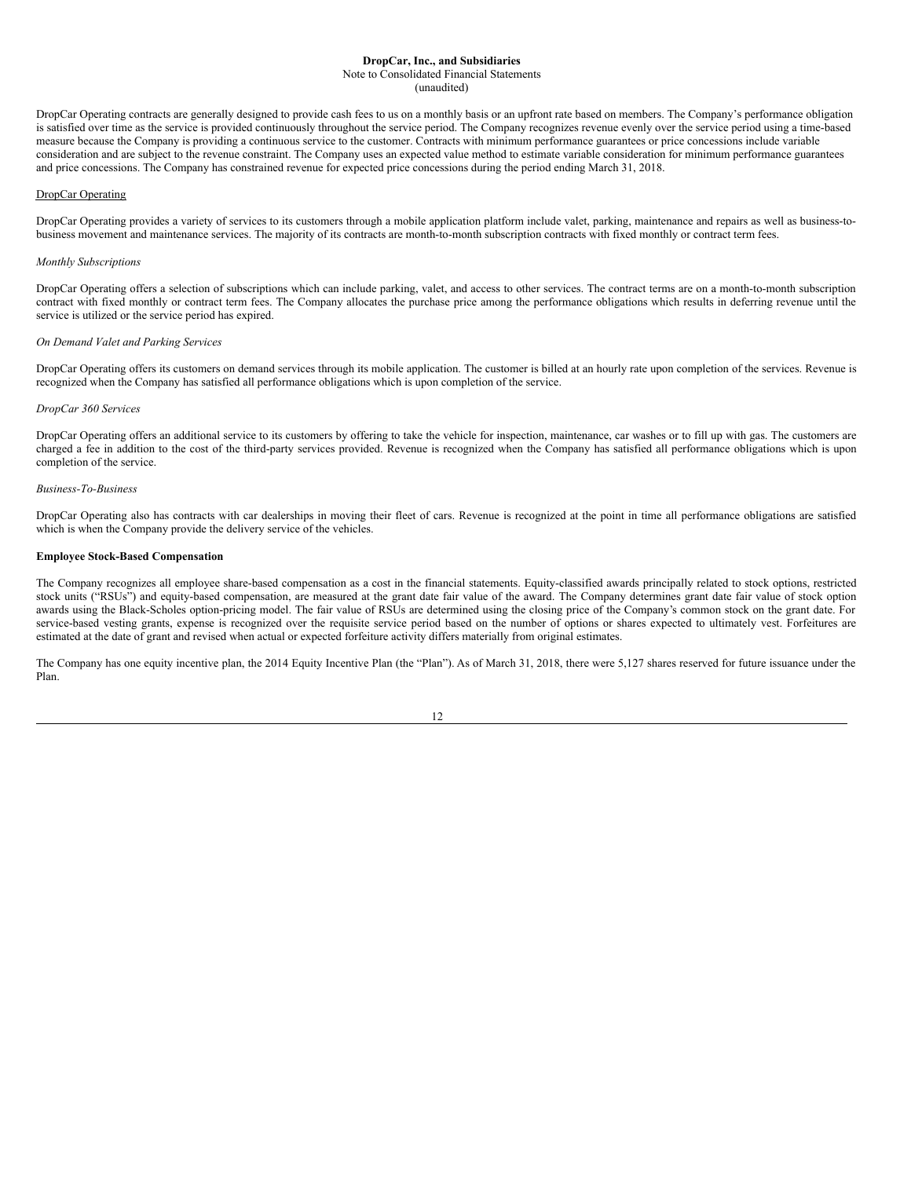Note to Consolidated Financial Statements

(unaudited)

DropCar Operating contracts are generally designed to provide cash fees to us on a monthly basis or an upfront rate based on members. The Company's performance obligation is satisfied over time as the service is provided continuously throughout the service period. The Company recognizes revenue evenly over the service period using a time-based measure because the Company is providing a continuous service to the customer. Contracts with minimum performance guarantees or price concessions include variable consideration and are subject to the revenue constraint. The Company uses an expected value method to estimate variable consideration for minimum performance guarantees and price concessions. The Company has constrained revenue for expected price concessions during the period ending March 31, 2018.

#### DropCar Operating

DropCar Operating provides a variety of services to its customers through a mobile application platform include valet, parking, maintenance and repairs as well as business-tobusiness movement and maintenance services. The majority of its contracts are month-to-month subscription contracts with fixed monthly or contract term fees.

#### *Monthly Subscriptions*

DropCar Operating offers a selection of subscriptions which can include parking, valet, and access to other services. The contract terms are on a month-to-month subscription contract with fixed monthly or contract term fees. The Company allocates the purchase price among the performance obligations which results in deferring revenue until the service is utilized or the service period has expired.

# *On Demand Valet and Parking Services*

DropCar Operating offers its customers on demand services through its mobile application. The customer is billed at an hourly rate upon completion of the services. Revenue is recognized when the Company has satisfied all performance obligations which is upon completion of the service.

#### *DropCar 360 Services*

DropCar Operating offers an additional service to its customers by offering to take the vehicle for inspection, maintenance, car washes or to fill up with gas. The customers are charged a fee in addition to the cost of the third-party services provided. Revenue is recognized when the Company has satisfied all performance obligations which is upon completion of the service.

#### *Business-To-Business*

DropCar Operating also has contracts with car dealerships in moving their fleet of cars. Revenue is recognized at the point in time all performance obligations are satisfied which is when the Company provide the delivery service of the vehicles.

#### **Employee Stock-Based Compensation**

The Company recognizes all employee share-based compensation as a cost in the financial statements. Equity-classified awards principally related to stock options, restricted stock units ("RSUs") and equity-based compensation, are measured at the grant date fair value of the award. The Company determines grant date fair value of stock option awards using the Black-Scholes option-pricing model. The fair value of RSUs are determined using the closing price of the Company's common stock on the grant date. For service-based vesting grants, expense is recognized over the requisite service period based on the number of options or shares expected to ultimately vest. Forfeitures are estimated at the date of grant and revised when actual or expected forfeiture activity differs materially from original estimates.

The Company has one equity incentive plan, the 2014 Equity Incentive Plan (the "Plan"). As of March 31, 2018, there were 5,127 shares reserved for future issuance under the Plan.

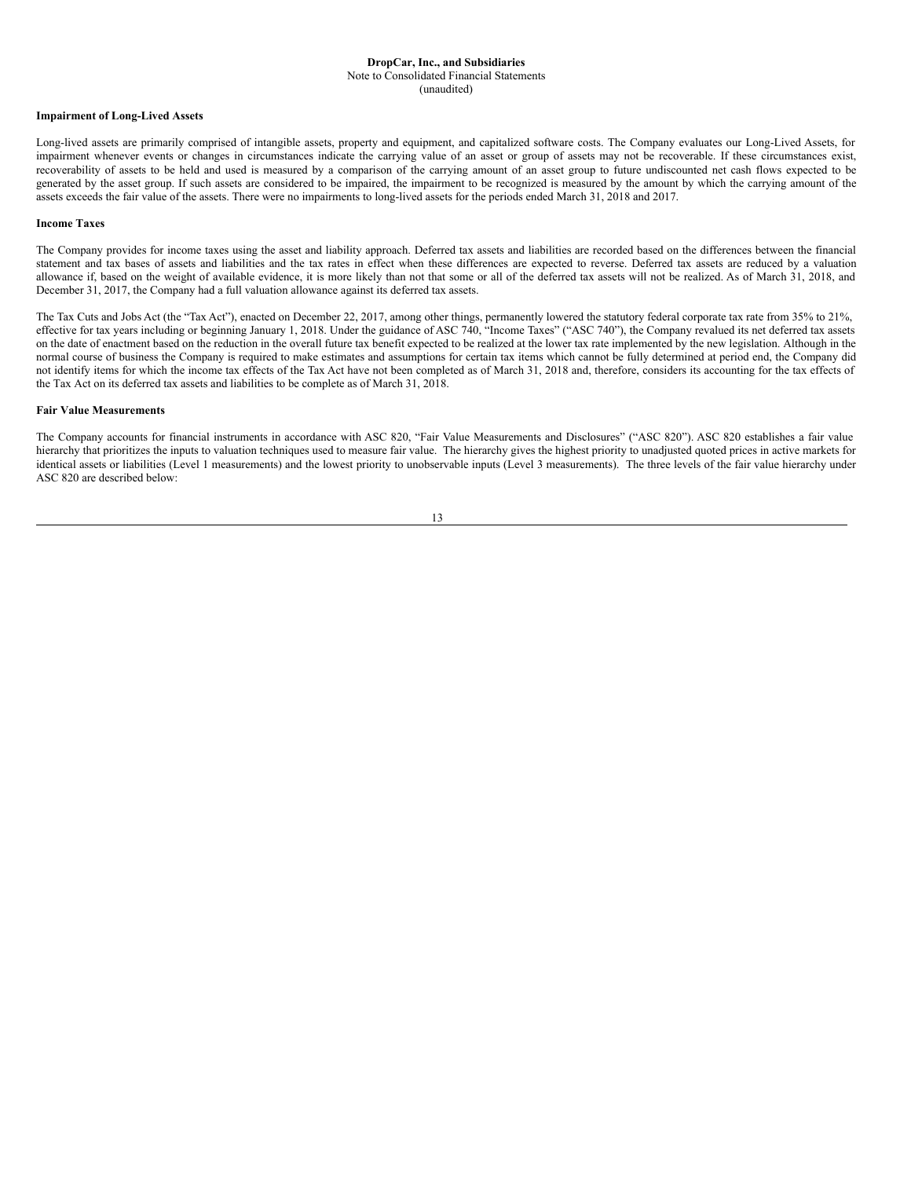(unaudited)

#### **Impairment of Long-Lived Assets**

Long-lived assets are primarily comprised of intangible assets, property and equipment, and capitalized software costs. The Company evaluates our Long-Lived Assets, for impairment whenever events or changes in circumstances indicate the carrying value of an asset or group of assets may not be recoverable. If these circumstances exist, recoverability of assets to be held and used is measured by a comparison of the carrying amount of an asset group to future undiscounted net cash flows expected to be generated by the asset group. If such assets are considered to be impaired, the impairment to be recognized is measured by the amount by which the carrying amount of the assets exceeds the fair value of the assets. There were no impairments to long-lived assets for the periods ended March 31, 2018 and 2017.

#### **Income Taxes**

The Company provides for income taxes using the asset and liability approach. Deferred tax assets and liabilities are recorded based on the differences between the financial statement and tax bases of assets and liabilities and the tax rates in effect when these differences are expected to reverse. Deferred tax assets are reduced by a valuation allowance if, based on the weight of available evidence, it is more likely than not that some or all of the deferred tax assets will not be realized. As of March 31, 2018, and December 31, 2017, the Company had a full valuation allowance against its deferred tax assets.

The Tax Cuts and Jobs Act (the "Tax Act"), enacted on December 22, 2017, among other things, permanently lowered the statutory federal corporate tax rate from 35% to 21%, effective for tax years including or beginning January 1, 2018. Under the guidance of ASC 740, "Income Taxes" ("ASC 740"), the Company revalued its net deferred tax assets on the date of enactment based on the reduction in the overall future tax benefit expected to be realized at the lower tax rate implemented by the new legislation. Although in the normal course of business the Company is required to make estimates and assumptions for certain tax items which cannot be fully determined at period end, the Company did not identify items for which the income tax effects of the Tax Act have not been completed as of March 31, 2018 and, therefore, considers its accounting for the tax effects of the Tax Act on its deferred tax assets and liabilities to be complete as of March 31, 2018.

#### **Fair Value Measurements**

The Company accounts for financial instruments in accordance with ASC 820, "Fair Value Measurements and Disclosures" ("ASC 820"). ASC 820 establishes a fair value hierarchy that prioritizes the inputs to valuation techniques used to measure fair value. The hierarchy gives the highest priority to unadjusted quoted prices in active markets for identical assets or liabilities (Level 1 measurements) and the lowest priority to unobservable inputs (Level 3 measurements). The three levels of the fair value hierarchy under ASC 820 are described below:

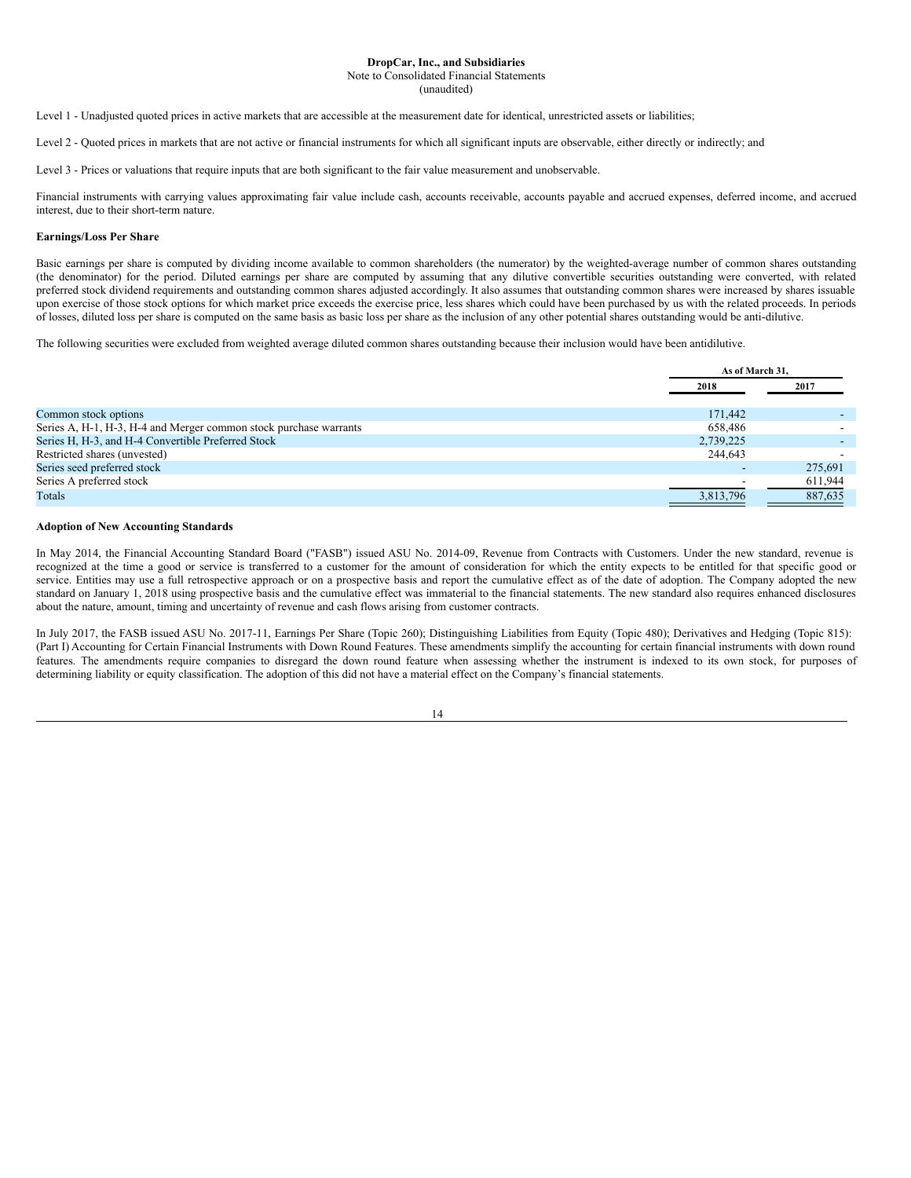Note to Consolidated Financial Statements

(unaudited)

Level 1 - Unadjusted quoted prices in active markets that are accessible at the measurement date for identical, unrestricted assets or liabilities;

Level 2 - Quoted prices in markets that are not active or financial instruments for which all significant inputs are observable, either directly or indirectly; and

Level 3 - Prices or valuations that require inputs that are both significant to the fair value measurement and unobservable.

Financial instruments with carrying values approximating fair value include cash, accounts receivable, accounts payable and accrued expenses, deferred income, and accrued interest, due to their short-term nature.

# **Earnings/Loss Per Share**

Basic earnings per share is computed by dividing income available to common shareholders (the numerator) by the weighted-average number of common shares outstanding (the denominator) for the period. Diluted earnings per share are computed by assuming that any dilutive convertible securities outstanding were converted, with related preferred stock dividend requirements and outstanding common shares adjusted accordingly. It also assumes that outstanding common shares were increased by shares issuable upon exercise of those stock options for which market price exceeds the exercise price, less shares which could have been purchased by us with the related proceeds. In periods of losses, diluted loss per share is computed on the same basis as basic loss per share as the inclusion of any other potential shares outstanding would be anti-dilutive.

The following securities were excluded from weighted average diluted common shares outstanding because their inclusion would have been antidilutive.

|                                                                   | As of March 31,          |         |
|-------------------------------------------------------------------|--------------------------|---------|
|                                                                   | 2018                     | 2017    |
|                                                                   |                          |         |
| Common stock options                                              | 171,442                  |         |
| Series A, H-1, H-3, H-4 and Merger common stock purchase warrants | 658.486                  |         |
| Series H, H-3, and H-4 Convertible Preferred Stock                | 2,739,225                |         |
| Restricted shares (unvested)                                      | 244,643                  |         |
| Series seed preferred stock                                       | $\overline{\phantom{a}}$ | 275,691 |
| Series A preferred stock                                          |                          | 611,944 |
| Totals                                                            | 3,813,796                | 887,635 |

#### **Adoption of New Accounting Standards**

In May 2014, the Financial Accounting Standard Board ("FASB") issued ASU No. 2014-09, Revenue from Contracts with Customers. Under the new standard, revenue is recognized at the time a good or service is transferred to a customer for the amount of consideration for which the entity expects to be entitled for that specific good or service. Entities may use a full retrospective approach or on a prospective basis and report the cumulative effect as of the date of adoption. The Company adopted the new standard on January 1, 2018 using prospective basis and the cumulative effect was immaterial to the financial statements. The new standard also requires enhanced disclosures about the nature, amount, timing and uncertainty of revenue and cash flows arising from customer contracts.

In July 2017, the FASB issued ASU No. 2017-11, Earnings Per Share (Topic 260); Distinguishing Liabilities from Equity (Topic 480); Derivatives and Hedging (Topic 815): (Part I) Accounting for Certain Financial Instruments with Down Round Features. These amendments simplify the accounting for certain financial instruments with down round features. The amendments require companies to disregard the down round feature when assessing whether the instrument is indexed to its own stock, for purposes of determining liability or equity classification. The adoption of this did not have a material effect on the Company's financial statements.

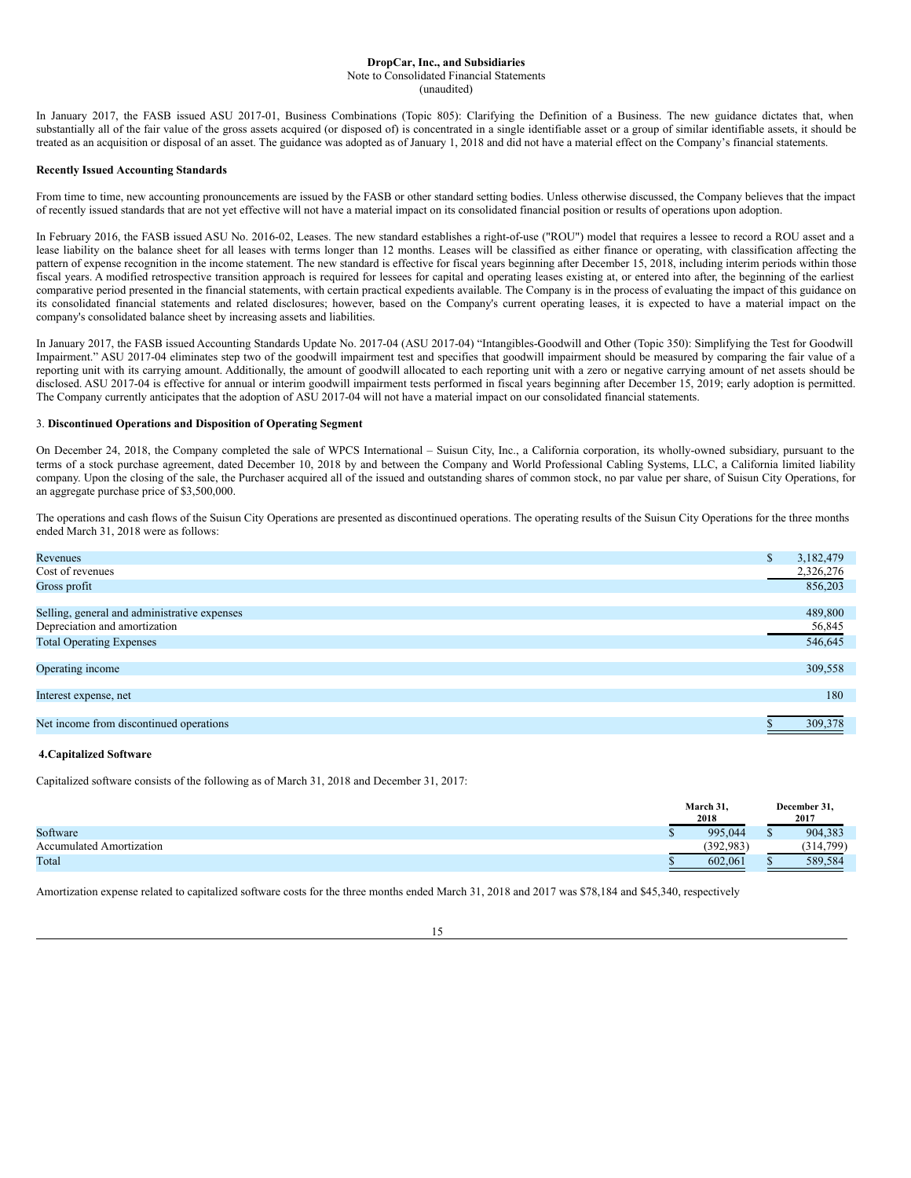In January 2017, the FASB issued ASU 2017-01, Business Combinations (Topic 805): Clarifying the Definition of a Business. The new guidance dictates that, when substantially all of the fair value of the gross assets acquired (or disposed of) is concentrated in a single identifiable asset or a group of similar identifiable assets, it should be treated as an acquisition or disposal of an asset. The guidance was adopted as of January 1, 2018 and did not have a material effect on the Company's financial statements.

# **Recently Issued Accounting Standards**

From time to time, new accounting pronouncements are issued by the FASB or other standard setting bodies. Unless otherwise discussed, the Company believes that the impact of recently issued standards that are not yet effective will not have a material impact on its consolidated financial position or results of operations upon adoption.

In February 2016, the FASB issued ASU No. 2016-02, Leases. The new standard establishes a right-of-use ("ROU") model that requires a lessee to record a ROU asset and a lease liability on the balance sheet for all leases with terms longer than 12 months. Leases will be classified as either finance or operating, with classification affecting the pattern of expense recognition in the income statement. The new standard is effective for fiscal years beginning after December 15, 2018, including interim periods within those fiscal years. A modified retrospective transition approach is required for lessees for capital and operating leases existing at, or entered into after, the beginning of the earliest comparative period presented in the financial statements, with certain practical expedients available. The Company is in the process of evaluating the impact of this guidance on its consolidated financial statements and related disclosures; however, based on the Company's current operating leases, it is expected to have a material impact on the company's consolidated balance sheet by increasing assets and liabilities.

In January 2017, the FASB issued Accounting Standards Update No. 2017-04 (ASU 2017-04) "Intangibles-Goodwill and Other (Topic 350): Simplifying the Test for Goodwill Impairment." ASU 2017-04 eliminates step two of the goodwill impairment test and specifies that goodwill impairment should be measured by comparing the fair value of a reporting unit with its carrying amount. Additionally, the amount of goodwill allocated to each reporting unit with a zero or negative carrying amount of net assets should be disclosed. ASU 2017-04 is effective for annual or interim goodwill impairment tests performed in fiscal years beginning after December 15, 2019; early adoption is permitted. The Company currently anticipates that the adoption of ASU 2017-04 will not have a material impact on our consolidated financial statements.

# 3. **Discontinued Operations and Disposition of Operating Segment**

On December 24, 2018, the Company completed the sale of WPCS International – Suisun City, Inc., a California corporation, its wholly-owned subsidiary, pursuant to the terms of a stock purchase agreement, dated December 10, 2018 by and between the Company and World Professional Cabling Systems, LLC, a California limited liability company. Upon the closing of the sale, the Purchaser acquired all of the issued and outstanding shares of common stock, no par value per share, of Suisun City Operations, for an aggregate purchase price of \$3,500,000.

The operations and cash flows of the Suisun City Operations are presented as discontinued operations. The operating results of the Suisun City Operations for the three months ended March 31, 2018 were as follows:

| Revenues                                     | D | 3,182,479 |
|----------------------------------------------|---|-----------|
| Cost of revenues                             |   | 2,326,276 |
| Gross profit                                 |   | 856,203   |
|                                              |   |           |
| Selling, general and administrative expenses |   | 489,800   |
| Depreciation and amortization                |   | 56,845    |
| <b>Total Operating Expenses</b>              |   | 546,645   |
|                                              |   |           |
| Operating income                             |   | 309,558   |
|                                              |   |           |
| Interest expense, net                        |   | 180       |
|                                              |   |           |
| Net income from discontinued operations      |   | 309,378   |

## **4.Capitalized Software**

Capitalized software consists of the following as of March 31, 2018 and December 31, 2017:

|                                 | March 31,<br>2018 | December 31.<br>2017 |
|---------------------------------|-------------------|----------------------|
| Software                        | 995,044           | 904,383              |
| <b>Accumulated Amortization</b> | (392.983)         | (314, 799)           |
| Total                           | 602,061           | 589,584              |

Amortization expense related to capitalized software costs for the three months ended March 31, 2018 and 2017 was \$78,184 and \$45,340, respectively

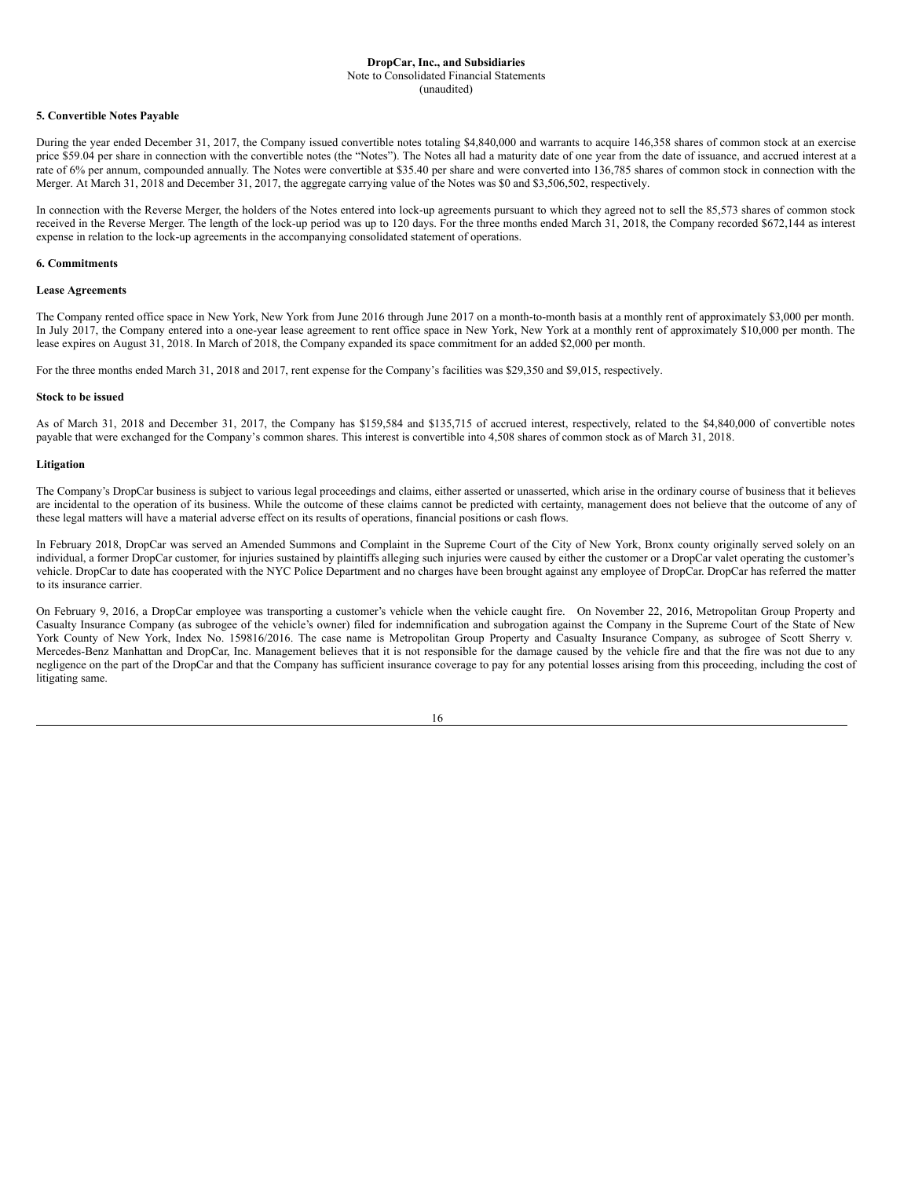Note to Consolidated Financial Statements (unaudited)

#### **5. Convertible Notes Payable**

During the year ended December 31, 2017, the Company issued convertible notes totaling \$4,840,000 and warrants to acquire 146,358 shares of common stock at an exercise price \$59.04 per share in connection with the convertible notes (the "Notes"). The Notes all had a maturity date of one year from the date of issuance, and accrued interest at a rate of 6% per annum, compounded annually. The Notes were convertible at \$35.40 per share and were converted into 136,785 shares of common stock in connection with the Merger. At March 31, 2018 and December 31, 2017, the aggregate carrying value of the Notes was \$0 and \$3,506,502, respectively.

In connection with the Reverse Merger, the holders of the Notes entered into lock-up agreements pursuant to which they agreed not to sell the 85,573 shares of common stock received in the Reverse Merger. The length of the lock-up period was up to 120 days. For the three months ended March 31, 2018, the Company recorded \$672,144 as interest expense in relation to the lock-up agreements in the accompanying consolidated statement of operations.

## **6. Commitments**

#### **Lease Agreements**

The Company rented office space in New York, New York from June 2016 through June 2017 on a month-to-month basis at a monthly rent of approximately \$3,000 per month. In July 2017, the Company entered into a one-year lease agreement to rent office space in New York, New York at a monthly rent of approximately \$10,000 per month. The lease expires on August 31, 2018. In March of 2018, the Company expanded its space commitment for an added \$2,000 per month.

For the three months ended March 31, 2018 and 2017, rent expense for the Company's facilities was \$29,350 and \$9,015, respectively.

#### **Stock to be issued**

As of March 31, 2018 and December 31, 2017, the Company has \$159,584 and \$135,715 of accrued interest, respectively, related to the \$4,840,000 of convertible notes payable that were exchanged for the Company's common shares. This interest is convertible into 4,508 shares of common stock as of March 31, 2018.

#### **Litigation**

The Company's DropCar business is subject to various legal proceedings and claims, either asserted or unasserted, which arise in the ordinary course of business that it believes are incidental to the operation of its business. While the outcome of these claims cannot be predicted with certainty, management does not believe that the outcome of any of these legal matters will have a material adverse effect on its results of operations, financial positions or cash flows.

In February 2018, DropCar was served an Amended Summons and Complaint in the Supreme Court of the City of New York, Bronx county originally served solely on an individual, a former DropCar customer, for injuries sustained by plaintiffs alleging such injuries were caused by either the customer or a DropCar valet operating the customer's vehicle. DropCar to date has cooperated with the NYC Police Department and no charges have been brought against any employee of DropCar. DropCar has referred the matter to its insurance carrier.

On February 9, 2016, a DropCar employee was transporting a customer's vehicle when the vehicle caught fire. On November 22, 2016, Metropolitan Group Property and Casualty Insurance Company (as subrogee of the vehicle's owner) filed for indemnification and subrogation against the Company in the Supreme Court of the State of New York County of New York, Index No. 159816/2016. The case name is Metropolitan Group Property and Casualty Insurance Company, as subrogee of Scott Sherry v. Mercedes-Benz Manhattan and DropCar, Inc. Management believes that it is not responsible for the damage caused by the vehicle fire and that the fire was not due to any negligence on the part of the DropCar and that the Company has sufficient insurance coverage to pay for any potential losses arising from this proceeding, including the cost of litigating same.

| I<br>I<br>×<br>٧ |
|------------------|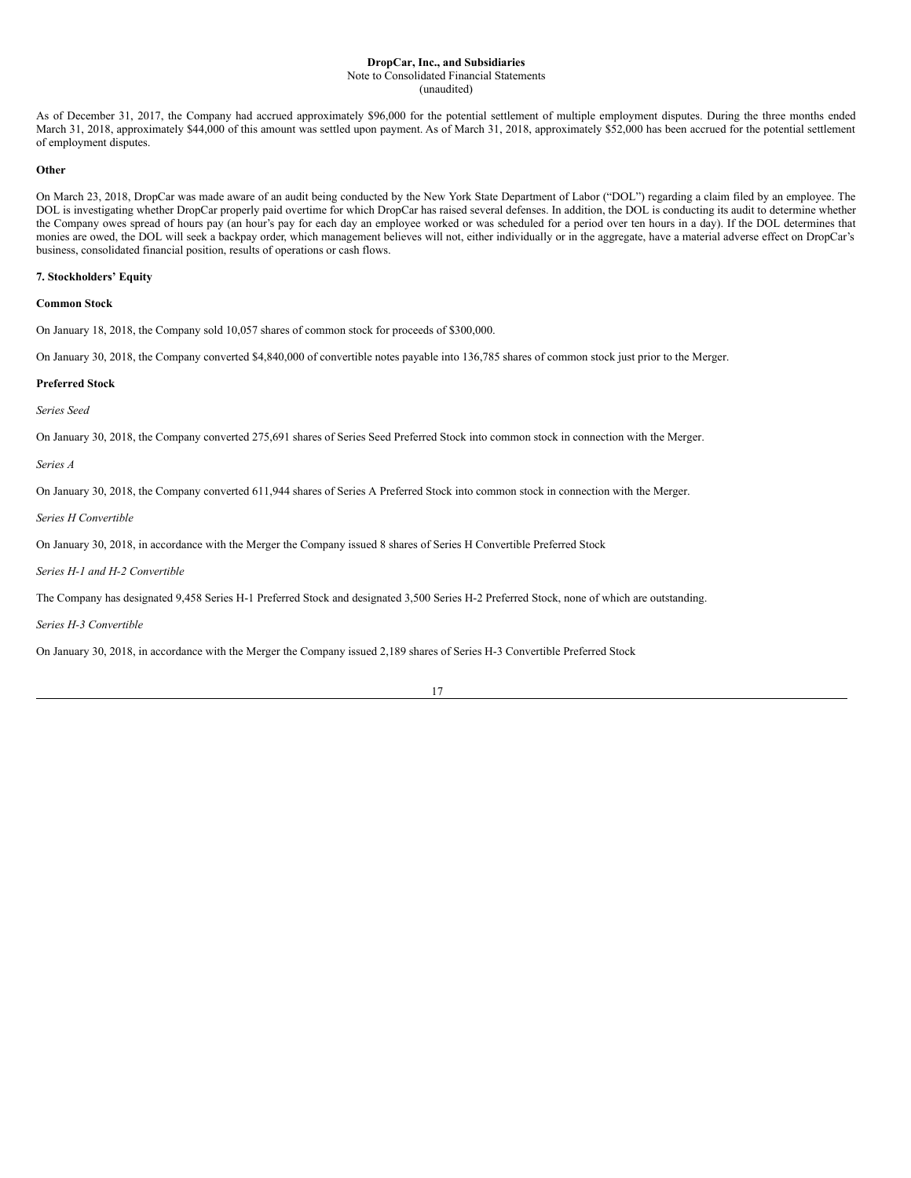As of December 31, 2017, the Company had accrued approximately \$96,000 for the potential settlement of multiple employment disputes. During the three months ended March 31, 2018, approximately \$44,000 of this amount was settled upon payment. As of March 31, 2018, approximately \$52,000 has been accrued for the potential settlement of employment disputes.

#### **Other**

On March 23, 2018, DropCar was made aware of an audit being conducted by the New York State Department of Labor ("DOL") regarding a claim filed by an employee. The DOL is investigating whether DropCar properly paid overtime for which DropCar has raised several defenses. In addition, the DOL is conducting its audit to determine whether the Company owes spread of hours pay (an hour's pay for each day an employee worked or was scheduled for a period over ten hours in a day). If the DOL determines that monies are owed, the DOL will seek a backpay order, which management believes will not, either individually or in the aggregate, have a material adverse effect on DropCar's business, consolidated financial position, results of operations or cash flows.

# **7. Stockholders' Equity**

#### **Common Stock**

On January 18, 2018, the Company sold 10,057 shares of common stock for proceeds of \$300,000.

On January 30, 2018, the Company converted \$4,840,000 of convertible notes payable into 136,785 shares of common stock just prior to the Merger.

# **Preferred Stock**

*Series Seed*

On January 30, 2018, the Company converted 275,691 shares of Series Seed Preferred Stock into common stock in connection with the Merger.

# *Series A*

On January 30, 2018, the Company converted 611,944 shares of Series A Preferred Stock into common stock in connection with the Merger.

*Series H Convertible*

On January 30, 2018, in accordance with the Merger the Company issued 8 shares of Series H Convertible Preferred Stock

#### *Series H-1 and H-2 Convertible*

The Company has designated 9,458 Series H-1 Preferred Stock and designated 3,500 Series H-2 Preferred Stock, none of which are outstanding.

*Series H-3 Convertible*

On January 30, 2018, in accordance with the Merger the Company issued 2,189 shares of Series H-3 Convertible Preferred Stock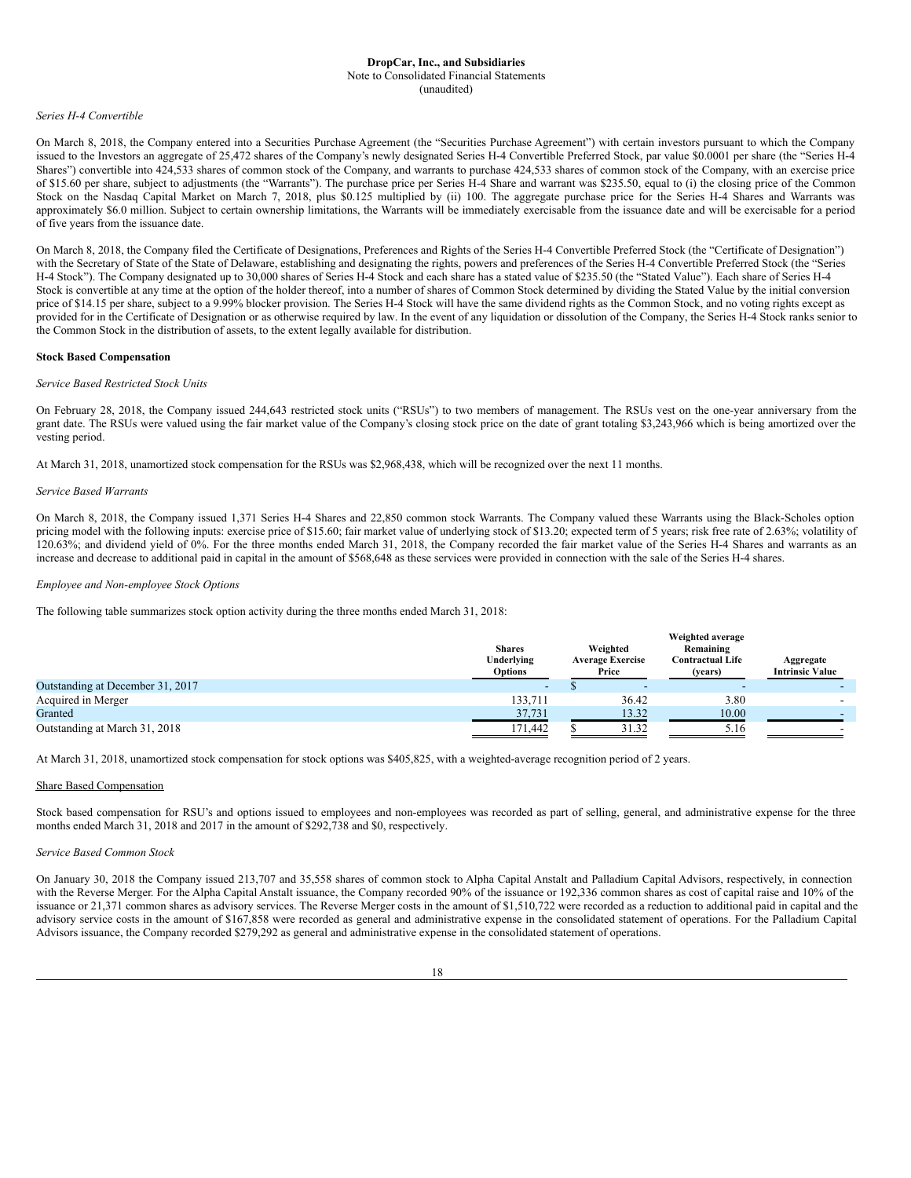#### *Series H-4 Convertible*

On March 8, 2018, the Company entered into a Securities Purchase Agreement (the "Securities Purchase Agreement") with certain investors pursuant to which the Company issued to the Investors an aggregate of 25,472 shares of the Company's newly designated Series H-4 Convertible Preferred Stock, par value \$0.0001 per share (the "Series H-4 Shares") convertible into 424,533 shares of common stock of the Company, and warrants to purchase 424,533 shares of common stock of the Company, with an exercise price of \$15.60 per share, subject to adjustments (the "Warrants"). The purchase price per Series H-4 Share and warrant was \$235.50, equal to (i) the closing price of the Common Stock on the Nasdaq Capital Market on March 7, 2018, plus \$0.125 multiplied by (ii) 100. The aggregate purchase price for the Series H-4 Shares and Warrants was approximately \$6.0 million. Subject to certain ownership limitations, the Warrants will be immediately exercisable from the issuance date and will be exercisable for a period of five years from the issuance date.

On March 8, 2018, the Company filed the Certificate of Designations, Preferences and Rights of the Series H-4 Convertible Preferred Stock (the "Certificate of Designation") with the Secretary of State of the State of Delaware, establishing and designating the rights, powers and preferences of the Series H-4 Convertible Preferred Stock (the "Series H-4 Stock"). The Company designated up to 30,000 shares of Series H-4 Stock and each share has a stated value of \$235.50 (the "Stated Value"). Each share of Series H-4 Stock is convertible at any time at the option of the holder thereof, into a number of shares of Common Stock determined by dividing the Stated Value by the initial conversion price of \$14.15 per share, subject to a 9.99% blocker provision. The Series H-4 Stock will have the same dividend rights as the Common Stock, and no voting rights except as provided for in the Certificate of Designation or as otherwise required by law. In the event of any liquidation or dissolution of the Company, the Series H-4 Stock ranks senior to the Common Stock in the distribution of assets, to the extent legally available for distribution.

#### **Stock Based Compensation**

#### *Service Based Restricted Stock Units*

On February 28, 2018, the Company issued 244,643 restricted stock units ("RSUs") to two members of management. The RSUs vest on the one-year anniversary from the grant date. The RSUs were valued using the fair market value of the Company's closing stock price on the date of grant totaling \$3,243,966 which is being amortized over the vesting period.

At March 31, 2018, unamortized stock compensation for the RSUs was \$2,968,438, which will be recognized over the next 11 months.

# *Service Based Warrants*

On March 8, 2018, the Company issued 1,371 Series H-4 Shares and 22,850 common stock Warrants. The Company valued these Warrants using the Black-Scholes option pricing model with the following inputs: exercise price of \$15.60; fair market value of underlying stock of \$13.20; expected term of 5 years; risk free rate of 2.63%; volatility of 120.63%; and dividend yield of 0%. For the three months ended March 31, 2018, the Company recorded the fair market value of the Series H-4 Shares and warrants as an increase and decrease to additional paid in capital in the amount of \$568,648 as these services were provided in connection with the sale of the Series H-4 shares.

#### *Employee and Non-employee Stock Options*

The following table summarizes stock option activity during the three months ended March 31, 2018:

|                                  | <b>Shares</b><br>Underlying<br><b>Options</b> | Weighted<br><b>Average Exercise</b><br>Price | Weighted average<br>Remaining<br><b>Contractual Life</b><br>(vears) | Aggregate<br><b>Intrinsic Value</b> |
|----------------------------------|-----------------------------------------------|----------------------------------------------|---------------------------------------------------------------------|-------------------------------------|
| Outstanding at December 31, 2017 | $\overline{\phantom{0}}$                      |                                              |                                                                     |                                     |
| Acquired in Merger               | 133.711                                       | 36.42                                        | 3.80                                                                |                                     |
| Granted                          | 37,731                                        | 13.32                                        | 10.00                                                               |                                     |
| Outstanding at March 31, 2018    | 171,442                                       | 31.32                                        | 5.16                                                                |                                     |

At March 31, 2018, unamortized stock compensation for stock options was \$405,825, with a weighted-average recognition period of 2 years.

#### Share Based Compensation

Stock based compensation for RSU's and options issued to employees and non-employees was recorded as part of selling, general, and administrative expense for the three months ended March 31, 2018 and 2017 in the amount of \$292,738 and \$0, respectively.

# *Service Based Common Stock*

On January 30, 2018 the Company issued 213,707 and 35,558 shares of common stock to Alpha Capital Anstalt and Palladium Capital Advisors, respectively, in connection with the Reverse Merger. For the Alpha Capital Anstalt issuance, the Company recorded 90% of the issuance or 192,336 common shares as cost of capital raise and 10% of the issuance or 21,371 common shares as advisory services. The Reverse Merger costs in the amount of \$1,510,722 were recorded as a reduction to additional paid in capital and the advisory service costs in the amount of \$167,858 were recorded as general and administrative expense in the consolidated statement of operations. For the Palladium Capital Advisors issuance, the Company recorded \$279,292 as general and administrative expense in the consolidated statement of operations.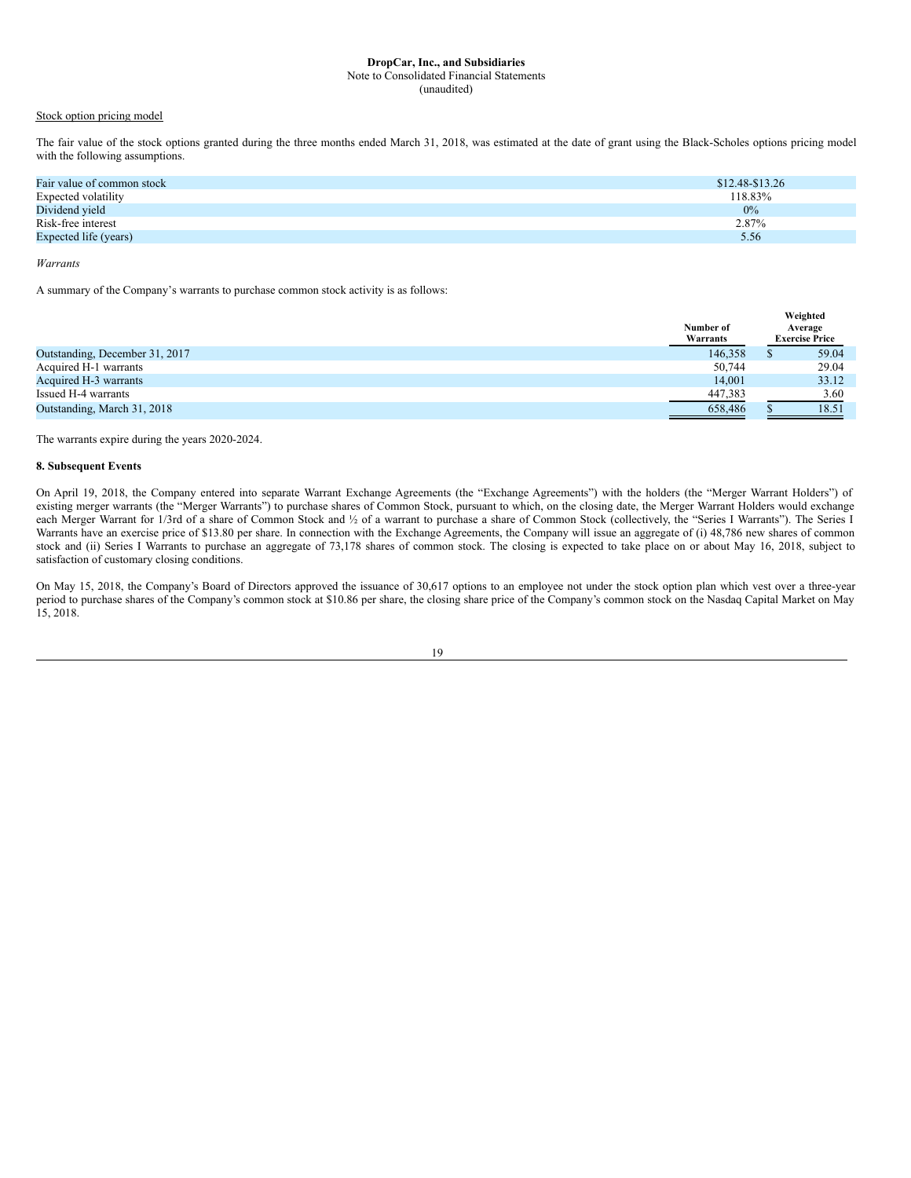# Stock option pricing model

The fair value of the stock options granted during the three months ended March 31, 2018, was estimated at the date of grant using the Black-Scholes options pricing model with the following assumptions.

| Fair value of common stock | $$12.48-S13.26$ |
|----------------------------|-----------------|
| Expected volatility        | 118.83%         |
| Dividend yield             | $0\%$           |
| Risk-free interest         | 2.87%           |
| Expected life (years)      | 5.56            |
|                            |                 |

# *Warrants*

A summary of the Company's warrants to purchase common stock activity is as follows:

|                                | Weighted  |  |                       |
|--------------------------------|-----------|--|-----------------------|
|                                | Number of |  | Average               |
|                                | Warrants  |  | <b>Exercise Price</b> |
| Outstanding, December 31, 2017 | 146.358   |  | 59.04                 |
| Acquired H-1 warrants          | 50,744    |  | 29.04                 |
| Acquired H-3 warrants          | 14.001    |  | 33.12                 |
| Issued H-4 warrants            | 447,383   |  | 3.60                  |
| Outstanding, March 31, 2018    | 658.486   |  | 18.51                 |

The warrants expire during the years 2020-2024.

# **8. Subsequent Events**

On April 19, 2018, the Company entered into separate Warrant Exchange Agreements (the "Exchange Agreements") with the holders (the "Merger Warrant Holders") of existing merger warrants (the "Merger Warrants") to purchase shares of Common Stock, pursuant to which, on the closing date, the Merger Warrant Holders would exchange each Merger Warrant for 1/3rd of a share of Common Stock and ½ of a warrant to purchase a share of Common Stock (collectively, the "Series I Warrants"). The Series I Warrants have an exercise price of \$13.80 per share. In connection with the Exchange Agreements, the Company will issue an aggregate of (i) 48,786 new shares of common stock and (ii) Series I Warrants to purchase an aggregate of 73,178 shares of common stock. The closing is expected to take place on or about May 16, 2018, subject to satisfaction of customary closing conditions.

On May 15, 2018, the Company's Board of Directors approved the issuance of 30,617 options to an employee not under the stock option plan which vest over a three-year period to purchase shares of the Company's common stock at \$10.86 per share, the closing share price of the Company's common stock on the Nasdaq Capital Market on May 15, 2018.

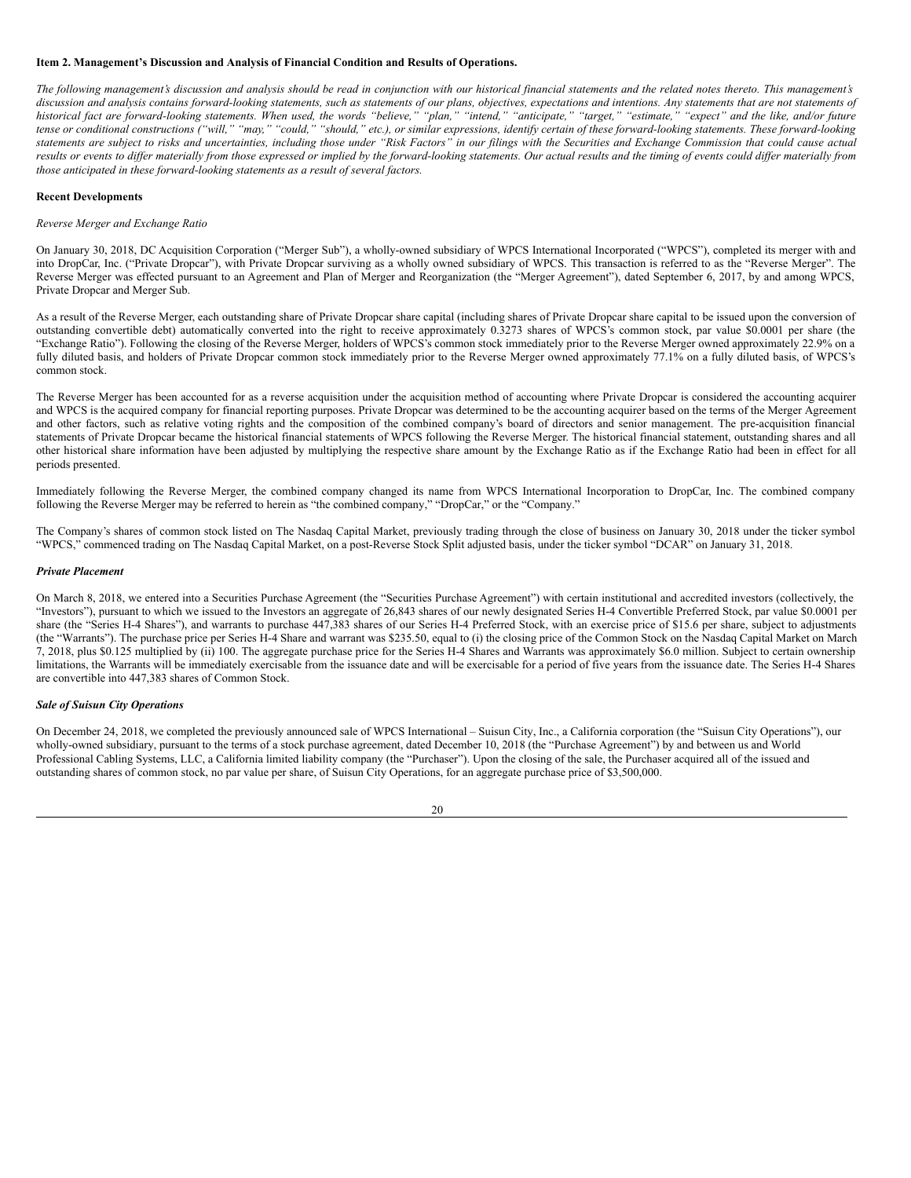# <span id="page-19-0"></span>**Item 2. Management's Discussion and Analysis of Financial Condition and Results of Operations.**

The following management's discussion and analysis should be read in conjunction with our historical financial statements and the related notes thereto. This management's discussion and analysis contains forward-looking statements, such as statements of our plans, objectives, expectations and intentions. Any statements that are not statements of historical fact are forward-looking statements. When used, the words "believe," "plan," "intend," "anticipate," "target," "estimate," "expect" and the like, and/or future tense or conditional constructions ("will," "may," "could," "should," etc.), or similar expressions, identify certain of these forward-looking statements. These forward-looking statements are subject to risks and uncertainties, including those under "Risk Factors" in our filings with the Securities and Exchange Commission that could cause actual results or events to differ materially from those expressed or implied by the forward-looking statements. Our actual results and the timing of events could differ materially from *those anticipated in these forward-looking statements as a result of several factors.*

# **Recent Developments**

#### *Reverse Merger and Exchange Ratio*

On January 30, 2018, DC Acquisition Corporation ("Merger Sub"), a wholly-owned subsidiary of WPCS International Incorporated ("WPCS"), completed its merger with and into DropCar, Inc. ("Private Dropcar"), with Private Dropcar surviving as a wholly owned subsidiary of WPCS. This transaction is referred to as the "Reverse Merger". The Reverse Merger was effected pursuant to an Agreement and Plan of Merger and Reorganization (the "Merger Agreement"), dated September 6, 2017, by and among WPCS, Private Dropcar and Merger Sub.

As a result of the Reverse Merger, each outstanding share of Private Dropcar share capital (including shares of Private Dropcar share capital to be issued upon the conversion of outstanding convertible debt) automatically converted into the right to receive approximately 0.3273 shares of WPCS's common stock, par value \$0.0001 per share (the "Exchange Ratio"). Following the closing of the Reverse Merger, holders of WPCS's common stock immediately prior to the Reverse Merger owned approximately 22.9% on a fully diluted basis, and holders of Private Dropcar common stock immediately prior to the Reverse Merger owned approximately 77.1% on a fully diluted basis, of WPCS's common stock.

The Reverse Merger has been accounted for as a reverse acquisition under the acquisition method of accounting where Private Dropcar is considered the accounting acquirer and WPCS is the acquired company for financial reporting purposes. Private Dropcar was determined to be the accounting acquirer based on the terms of the Merger Agreement and other factors, such as relative voting rights and the composition of the combined company's board of directors and senior management. The pre-acquisition financial statements of Private Dropcar became the historical financial statements of WPCS following the Reverse Merger. The historical financial statement, outstanding shares and all other historical share information have been adjusted by multiplying the respective share amount by the Exchange Ratio as if the Exchange Ratio had been in effect for all periods presented.

Immediately following the Reverse Merger, the combined company changed its name from WPCS International Incorporation to DropCar, Inc. The combined company following the Reverse Merger may be referred to herein as "the combined company," "DropCar," or the "Company."

The Company's shares of common stock listed on The Nasdaq Capital Market, previously trading through the close of business on January 30, 2018 under the ticker symbol "WPCS," commenced trading on The Nasdaq Capital Market, on a post-Reverse Stock Split adjusted basis, under the ticker symbol "DCAR" on January 31, 2018.

#### *Private Placement*

On March 8, 2018, we entered into a Securities Purchase Agreement (the "Securities Purchase Agreement") with certain institutional and accredited investors (collectively, the "Investors"), pursuant to which we issued to the Investors an aggregate of 26,843 shares of our newly designated Series H-4 Convertible Preferred Stock, par value \$0.0001 per share (the "Series H-4 Shares"), and warrants to purchase 447,383 shares of our Series H-4 Preferred Stock, with an exercise price of \$15.6 per share, subject to adjustments (the "Warrants"). The purchase price per Series H-4 Share and warrant was \$235.50, equal to (i) the closing price of the Common Stock on the Nasdaq Capital Market on March 7, 2018, plus \$0.125 multiplied by (ii) 100. The aggregate purchase price for the Series H-4 Shares and Warrants was approximately \$6.0 million. Subject to certain ownership limitations, the Warrants will be immediately exercisable from the issuance date and will be exercisable for a period of five years from the issuance date. The Series H-4 Shares are convertible into 447,383 shares of Common Stock.

#### *Sale of Suisun City Operations*

On December 24, 2018, we completed the previously announced sale of WPCS International – Suisun City, Inc., a California corporation (the "Suisun City Operations"), our wholly-owned subsidiary, pursuant to the terms of a stock purchase agreement, dated December 10, 2018 (the "Purchase Agreement") by and between us and World Professional Cabling Systems, LLC, a California limited liability company (the "Purchaser"). Upon the closing of the sale, the Purchaser acquired all of the issued and outstanding shares of common stock, no par value per share, of Suisun City Operations, for an aggregate purchase price of \$3,500,000.

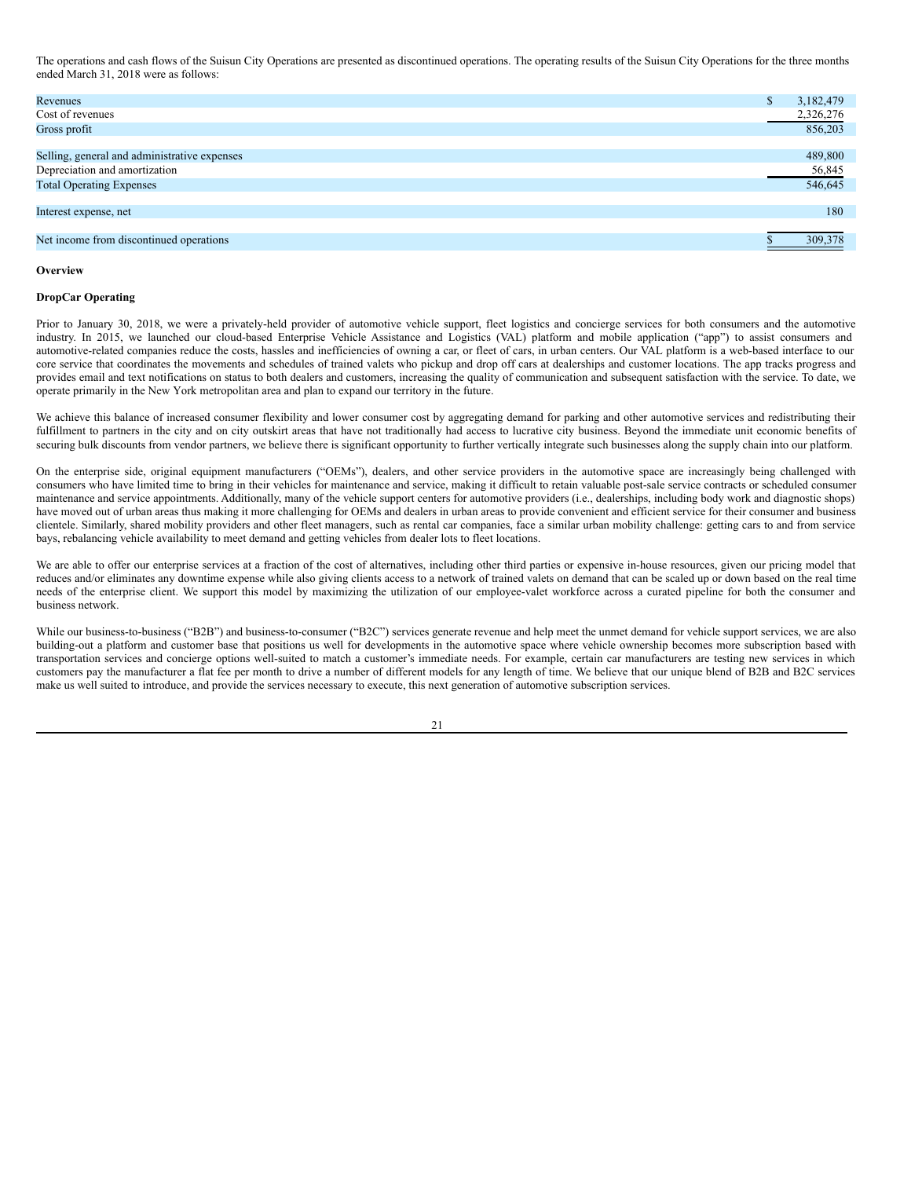The operations and cash flows of the Suisun City Operations are presented as discontinued operations. The operating results of the Suisun City Operations for the three months ended March 31, 2018 were as follows:

| Revenues                                     | 3,182,479 |
|----------------------------------------------|-----------|
| Cost of revenues                             | 2,326,276 |
| Gross profit                                 | 856,203   |
|                                              |           |
| Selling, general and administrative expenses | 489,800   |
| Depreciation and amortization                | 56,845    |
| <b>Total Operating Expenses</b>              | 546,645   |
|                                              |           |
| Interest expense, net                        | 180       |
|                                              |           |
| Net income from discontinued operations      | 309,378   |

#### **Overview**

#### **DropCar Operating**

Prior to January 30, 2018, we were a privately-held provider of automotive vehicle support, fleet logistics and concierge services for both consumers and the automotive industry. In 2015, we launched our cloud-based Enterprise Vehicle Assistance and Logistics (VAL) platform and mobile application ("app") to assist consumers and automotive-related companies reduce the costs, hassles and inefficiencies of owning a car, or fleet of cars, in urban centers. Our VAL platform is a web-based interface to our core service that coordinates the movements and schedules of trained valets who pickup and drop off cars at dealerships and customer locations. The app tracks progress and provides email and text notifications on status to both dealers and customers, increasing the quality of communication and subsequent satisfaction with the service. To date, we operate primarily in the New York metropolitan area and plan to expand our territory in the future.

We achieve this balance of increased consumer flexibility and lower consumer cost by aggregating demand for parking and other automotive services and redistributing their fulfillment to partners in the city and on city outskirt areas that have not traditionally had access to lucrative city business. Beyond the immediate unit economic benefits of securing bulk discounts from vendor partners, we believe there is significant opportunity to further vertically integrate such businesses along the supply chain into our platform.

On the enterprise side, original equipment manufacturers ("OEMs"), dealers, and other service providers in the automotive space are increasingly being challenged with consumers who have limited time to bring in their vehicles for maintenance and service, making it difficult to retain valuable post-sale service contracts or scheduled consumer maintenance and service appointments. Additionally, many of the vehicle support centers for automotive providers (i.e., dealerships, including body work and diagnostic shops) have moved out of urban areas thus making it more challenging for OEMs and dealers in urban areas to provide convenient and efficient service for their consumer and business clientele. Similarly, shared mobility providers and other fleet managers, such as rental car companies, face a similar urban mobility challenge: getting cars to and from service bays, rebalancing vehicle availability to meet demand and getting vehicles from dealer lots to fleet locations.

We are able to offer our enterprise services at a fraction of the cost of alternatives, including other third parties or expensive in-house resources, given our pricing model that reduces and/or eliminates any downtime expense while also giving clients access to a network of trained valets on demand that can be scaled up or down based on the real time needs of the enterprise client. We support this model by maximizing the utilization of our employee-valet workforce across a curated pipeline for both the consumer and business network.

While our business-to-business ("B2B") and business-to-consumer ("B2C") services generate revenue and help meet the unmet demand for vehicle support services, we are also building-out a platform and customer base that positions us well for developments in the automotive space where vehicle ownership becomes more subscription based with transportation services and concierge options well-suited to match a customer's immediate needs. For example, certain car manufacturers are testing new services in which customers pay the manufacturer a flat fee per month to drive a number of different models for any length of time. We believe that our unique blend of B2B and B2C services make us well suited to introduce, and provide the services necessary to execute, this next generation of automotive subscription services.

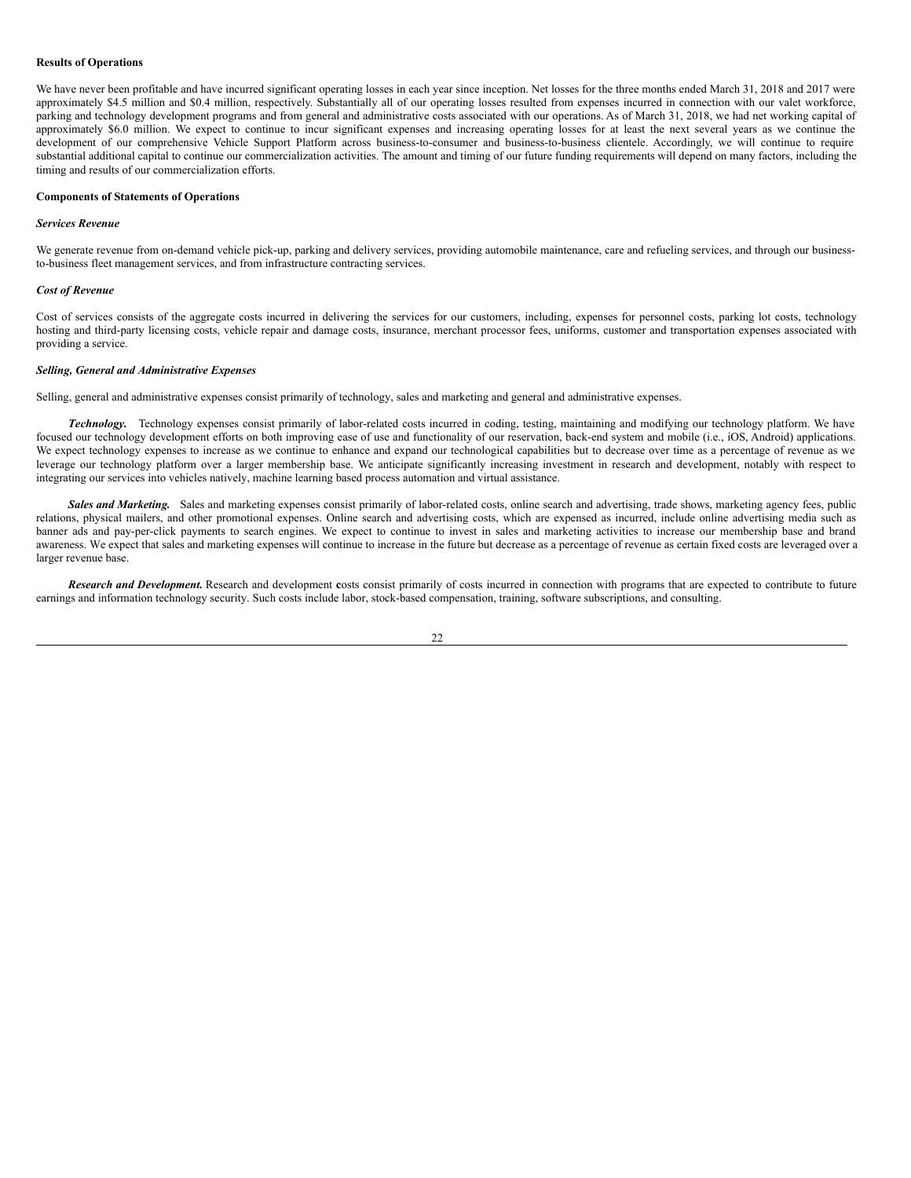#### **Results of Operations**

We have never been profitable and have incurred significant operating losses in each year since inception. Net losses for the three months ended March 31, 2018 and 2017 were approximately \$4.5 million and \$0.4 million, respectively. Substantially all of our operating losses resulted from expenses incurred in connection with our valet workforce, parking and technology development programs and from general and administrative costs associated with our operations. As of March 31, 2018, we had net working capital of approximately \$6.0 million. We expect to continue to incur significant expenses and increasing operating losses for at least the next several years as we continue the development of our comprehensive Vehicle Support Platform across business-to-consumer and business-to-business clientele. Accordingly, we will continue to require substantial additional capital to continue our commercialization activities. The amount and timing of our future funding requirements will depend on many factors, including the timing and results of our commercialization efforts.

#### **Components of Statements of Operations**

#### *Services Revenue*

We generate revenue from on-demand vehicle pick-up, parking and delivery services, providing automobile maintenance, care and refueling services, and through our businessto-business fleet management services, and from infrastructure contracting services.

#### *Cost of Revenue*

Cost of services consists of the aggregate costs incurred in delivering the services for our customers, including, expenses for personnel costs, parking lot costs, technology hosting and third-party licensing costs, vehicle repair and damage costs, insurance, merchant processor fees, uniforms, customer and transportation expenses associated with providing a service.

#### *Selling, General and Administrative Expenses*

Selling, general and administrative expenses consist primarily of technology, sales and marketing and general and administrative expenses.

*Technology.* Technology expenses consist primarily of labor-related costs incurred in coding, testing, maintaining and modifying our technology platform. We have focused our technology development efforts on both improving ease of use and functionality of our reservation, back-end system and mobile (i.e., iOS, Android) applications. We expect technology expenses to increase as we continue to enhance and expand our technological capabilities but to decrease over time as a percentage of revenue as we leverage our technology platform over a larger membership base. We anticipate significantly increasing investment in research and development, notably with respect to integrating our services into vehicles natively, machine learning based process automation and virtual assistance.

*Sales and Marketing.* Sales and marketing expenses consist primarily of labor-related costs, online search and advertising, trade shows, marketing agency fees, public relations, physical mailers, and other promotional expenses. Online search and advertising costs, which are expensed as incurred, include online advertising media such as banner ads and pay-per-click payments to search engines. We expect to continue to invest in sales and marketing activities to increase our membership base and brand awareness. We expect that sales and marketing expenses will continue to increase in the future but decrease as a percentage of revenue as certain fixed costs are leveraged over a larger revenue base.

*Research and Development.* Research and development **c**osts consist primarily of costs incurred in connection with programs that are expected to contribute to future earnings and information technology security. Such costs include labor, stock-based compensation, training, software subscriptions, and consulting.

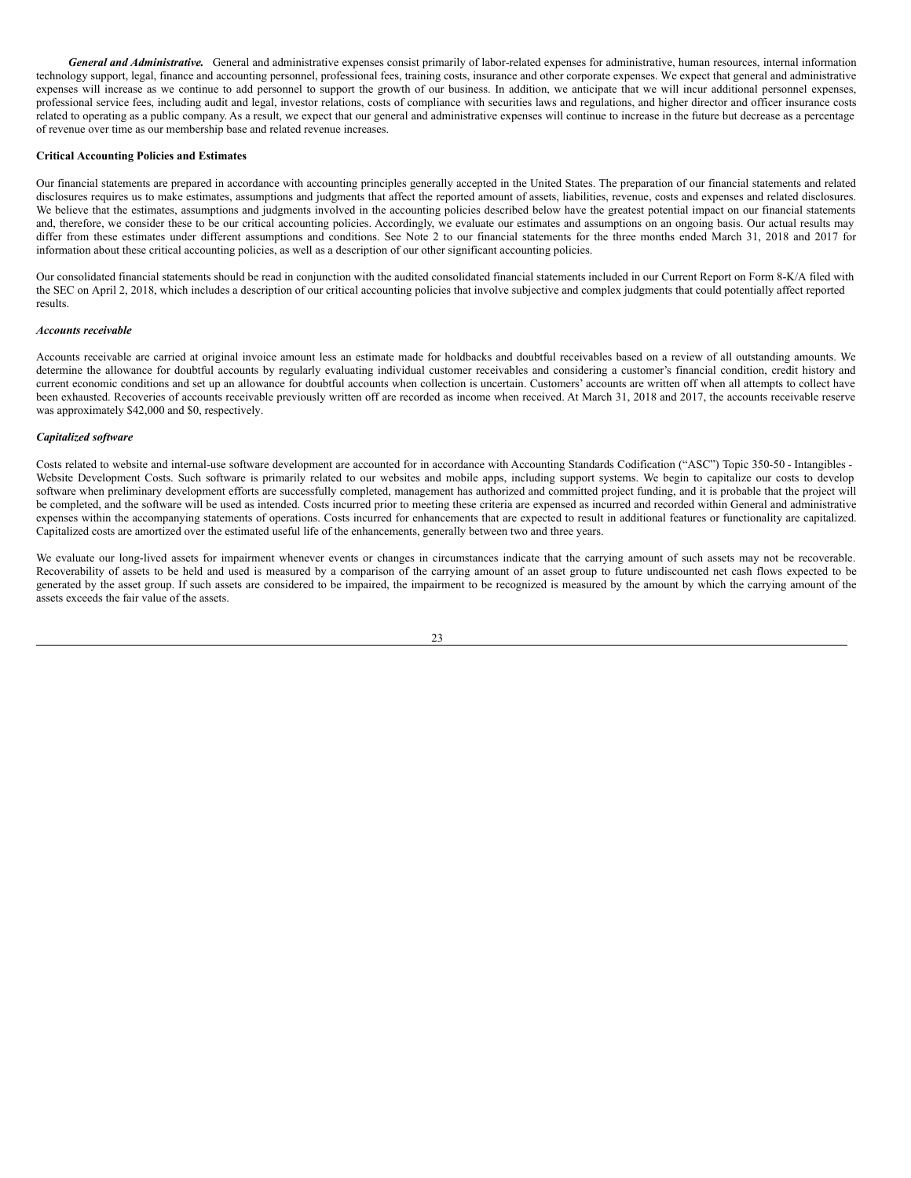*General and Administrative.* General and administrative expenses consist primarily of labor-related expenses for administrative, human resources, internal information technology support, legal, finance and accounting personnel, professional fees, training costs, insurance and other corporate expenses. We expect that general and administrative expenses will increase as we continue to add personnel to support the growth of our business. In addition, we anticipate that we will incur additional personnel expenses, professional service fees, including audit and legal, investor relations, costs of compliance with securities laws and regulations, and higher director and officer insurance costs related to operating as a public company. As a result, we expect that our general and administrative expenses will continue to increase in the future but decrease as a percentage of revenue over time as our membership base and related revenue increases.

## **Critical Accounting Policies and Estimates**

Our financial statements are prepared in accordance with accounting principles generally accepted in the United States. The preparation of our financial statements and related disclosures requires us to make estimates, assumptions and judgments that affect the reported amount of assets, liabilities, revenue, costs and expenses and related disclosures. We believe that the estimates, assumptions and judgments involved in the accounting policies described below have the greatest potential impact on our financial statements and, therefore, we consider these to be our critical accounting policies. Accordingly, we evaluate our estimates and assumptions on an ongoing basis. Our actual results may differ from these estimates under different assumptions and conditions. See Note 2 to our financial statements for the three months ended March 31, 2018 and 2017 for information about these critical accounting policies, as well as a description of our other significant accounting policies.

Our consolidated financial statements should be read in conjunction with the audited consolidated financial statements included in our Current Report on Form 8-K/A filed with the SEC on April 2, 2018, which includes a description of our critical accounting policies that involve subjective and complex judgments that could potentially affect reported results.

## *Accounts receivable*

Accounts receivable are carried at original invoice amount less an estimate made for holdbacks and doubtful receivables based on a review of all outstanding amounts. We determine the allowance for doubtful accounts by regularly evaluating individual customer receivables and considering a customer's financial condition, credit history and current economic conditions and set up an allowance for doubtful accounts when collection is uncertain. Customers' accounts are written off when all attempts to collect have been exhausted. Recoveries of accounts receivable previously written off are recorded as income when received. At March 31, 2018 and 2017, the accounts receivable reserve was approximately \$42,000 and \$0, respectively.

# *Capitalized software*

Costs related to website and internal-use software development are accounted for in accordance with Accounting Standards Codification ("ASC") Topic 350-50 - Intangibles - Website Development Costs. Such software is primarily related to our websites and mobile apps, including support systems. We begin to capitalize our costs to develop software when preliminary development efforts are successfully completed, management has authorized and committed project funding, and it is probable that the project will be completed, and the software will be used as intended. Costs incurred prior to meeting these criteria are expensed as incurred and recorded within General and administrative expenses within the accompanying statements of operations. Costs incurred for enhancements that are expected to result in additional features or functionality are capitalized. Capitalized costs are amortized over the estimated useful life of the enhancements, generally between two and three years.

We evaluate our long-lived assets for impairment whenever events or changes in circumstances indicate that the carrying amount of such assets may not be recoverable. Recoverability of assets to be held and used is measured by a comparison of the carrying amount of an asset group to future undiscounted net cash flows expected to be generated by the asset group. If such assets are considered to be impaired, the impairment to be recognized is measured by the amount by which the carrying amount of the assets exceeds the fair value of the assets.

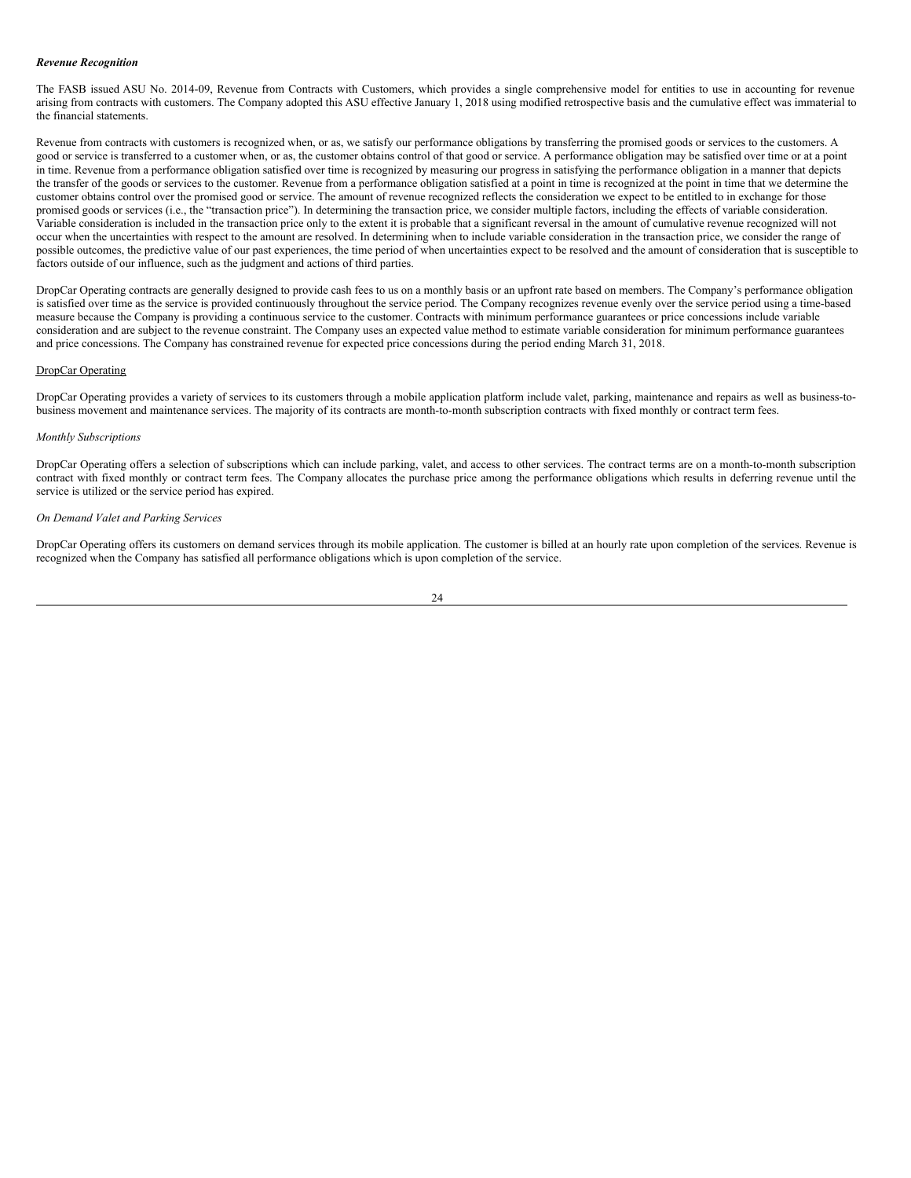#### *Revenue Recognition*

The FASB issued ASU No. 2014-09, Revenue from Contracts with Customers, which provides a single comprehensive model for entities to use in accounting for revenue arising from contracts with customers. The Company adopted this ASU effective January 1, 2018 using modified retrospective basis and the cumulative effect was immaterial to the financial statements.

Revenue from contracts with customers is recognized when, or as, we satisfy our performance obligations by transferring the promised goods or services to the customers. A good or service is transferred to a customer when, or as, the customer obtains control of that good or service. A performance obligation may be satisfied over time or at a point in time. Revenue from a performance obligation satisfied over time is recognized by measuring our progress in satisfying the performance obligation in a manner that depicts the transfer of the goods or services to the customer. Revenue from a performance obligation satisfied at a point in time is recognized at the point in time that we determine the customer obtains control over the promised good or service. The amount of revenue recognized reflects the consideration we expect to be entitled to in exchange for those promised goods or services (i.e., the "transaction price"). In determining the transaction price, we consider multiple factors, including the effects of variable consideration. Variable consideration is included in the transaction price only to the extent it is probable that a significant reversal in the amount of cumulative revenue recognized will not occur when the uncertainties with respect to the amount are resolved. In determining when to include variable consideration in the transaction price, we consider the range of possible outcomes, the predictive value of our past experiences, the time period of when uncertainties expect to be resolved and the amount of consideration that is susceptible to factors outside of our influence, such as the judgment and actions of third parties.

DropCar Operating contracts are generally designed to provide cash fees to us on a monthly basis or an upfront rate based on members. The Company's performance obligation is satisfied over time as the service is provided continuously throughout the service period. The Company recognizes revenue evenly over the service period using a time-based measure because the Company is providing a continuous service to the customer. Contracts with minimum performance guarantees or price concessions include variable consideration and are subject to the revenue constraint. The Company uses an expected value method to estimate variable consideration for minimum performance guarantees and price concessions. The Company has constrained revenue for expected price concessions during the period ending March 31, 2018.

#### DropCar Operating

DropCar Operating provides a variety of services to its customers through a mobile application platform include valet, parking, maintenance and repairs as well as business-tobusiness movement and maintenance services. The majority of its contracts are month-to-month subscription contracts with fixed monthly or contract term fees.

#### *Monthly Subscriptions*

DropCar Operating offers a selection of subscriptions which can include parking, valet, and access to other services. The contract terms are on a month-to-month subscription contract with fixed monthly or contract term fees. The Company allocates the purchase price among the performance obligations which results in deferring revenue until the service is utilized or the service period has expired.

## *On Demand Valet and Parking Services*

DropCar Operating offers its customers on demand services through its mobile application. The customer is billed at an hourly rate upon completion of the services. Revenue is recognized when the Company has satisfied all performance obligations which is upon completion of the service.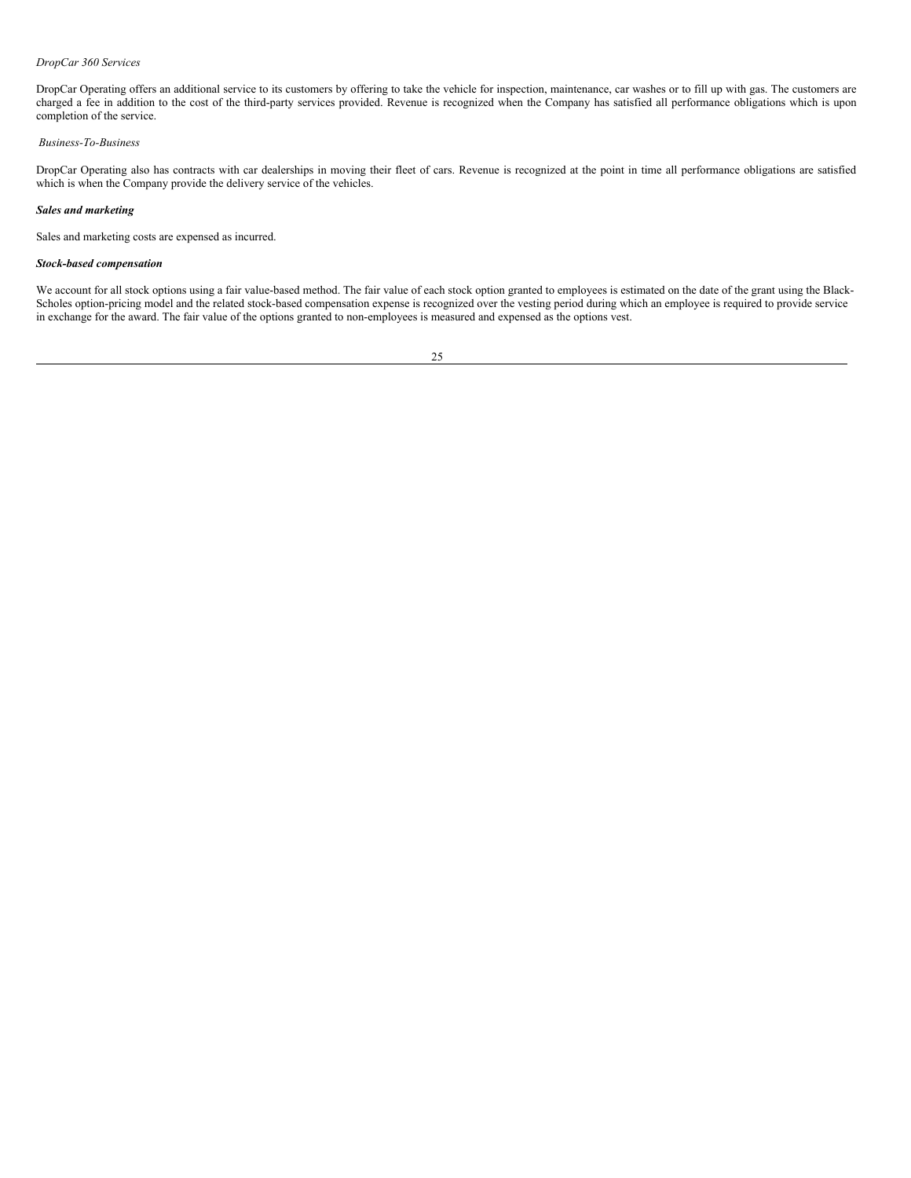## *DropCar 360 Services*

DropCar Operating offers an additional service to its customers by offering to take the vehicle for inspection, maintenance, car washes or to fill up with gas. The customers are charged a fee in addition to the cost of the third-party services provided. Revenue is recognized when the Company has satisfied all performance obligations which is upon completion of the service.

#### *Business-To-Business*

DropCar Operating also has contracts with car dealerships in moving their fleet of cars. Revenue is recognized at the point in time all performance obligations are satisfied which is when the Company provide the delivery service of the vehicles.

# *Sales and marketing*

Sales and marketing costs are expensed as incurred.

#### *Stock-based compensation*

We account for all stock options using a fair value-based method. The fair value of each stock option granted to employees is estimated on the date of the grant using the Black-Scholes option-pricing model and the related stock-based compensation expense is recognized over the vesting period during which an employee is required to provide service in exchange for the award. The fair value of the options granted to non-employees is measured and expensed as the options vest.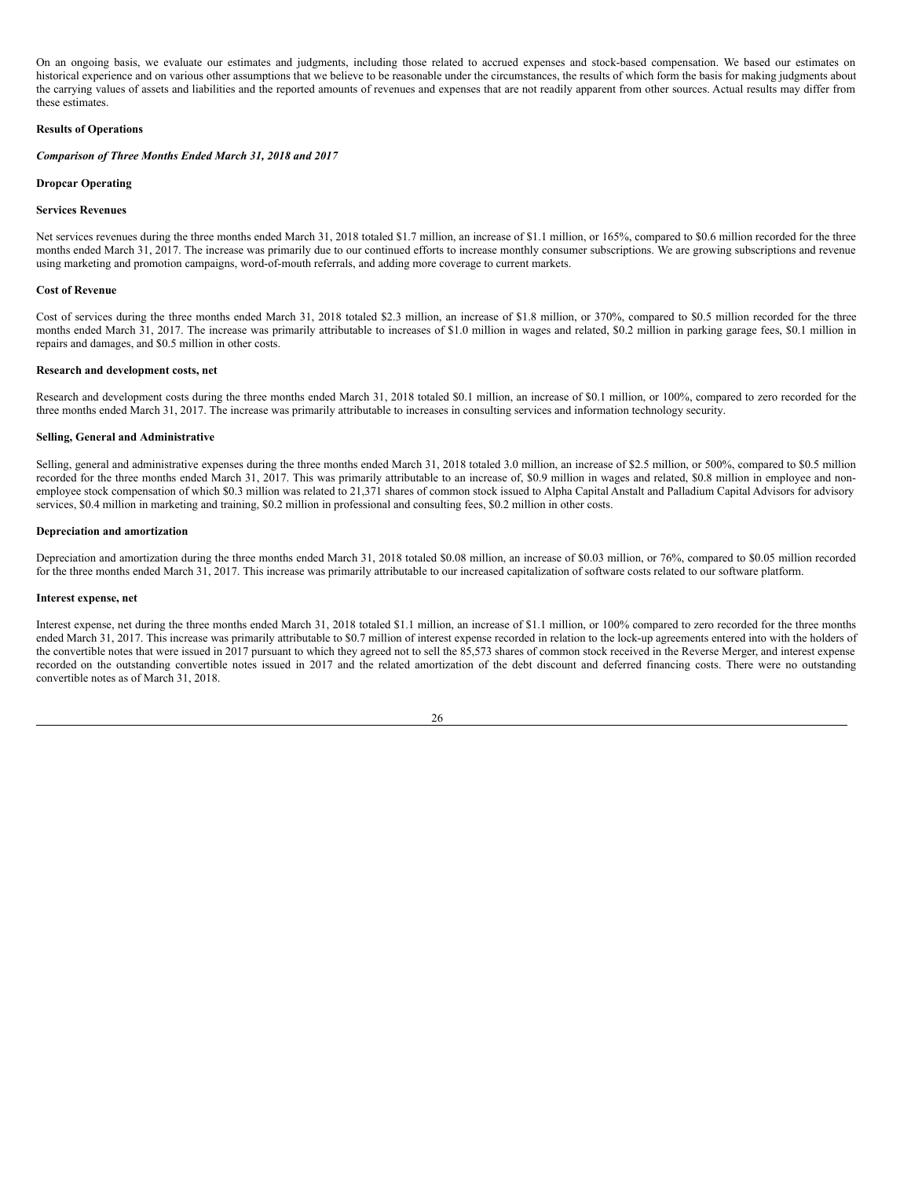On an ongoing basis, we evaluate our estimates and judgments, including those related to accrued expenses and stock-based compensation. We based our estimates on historical experience and on various other assumptions that we believe to be reasonable under the circumstances, the results of which form the basis for making judgments about the carrying values of assets and liabilities and the reported amounts of revenues and expenses that are not readily apparent from other sources. Actual results may differ from these estimates.

# **Results of Operations**

#### *Comparison of Three Months Ended March 31, 2018 and 2017*

#### **Dropcar Operating**

#### **Services Revenues**

Net services revenues during the three months ended March 31, 2018 totaled \$1.7 million, an increase of \$1.1 million, or 165%, compared to \$0.6 million recorded for the three months ended March 31, 2017. The increase was primarily due to our continued efforts to increase monthly consumer subscriptions. We are growing subscriptions and revenue using marketing and promotion campaigns, word-of-mouth referrals, and adding more coverage to current markets.

#### **Cost of Revenue**

Cost of services during the three months ended March 31, 2018 totaled \$2.3 million, an increase of \$1.8 million, or 370%, compared to \$0.5 million recorded for the three months ended March 31, 2017. The increase was primarily attributable to increases of \$1.0 million in wages and related, \$0.2 million in parking garage fees, \$0.1 million in repairs and damages, and \$0.5 million in other costs.

#### **Research and development costs, net**

Research and development costs during the three months ended March 31, 2018 totaled \$0.1 million, an increase of \$0.1 million, or 100%, compared to zero recorded for the three months ended March 31, 2017. The increase was primarily attributable to increases in consulting services and information technology security.

#### **Selling, General and Administrative**

Selling, general and administrative expenses during the three months ended March 31, 2018 totaled 3.0 million, an increase of \$2.5 million, or 500%, compared to \$0.5 million recorded for the three months ended March 31, 2017. This was primarily attributable to an increase of, \$0.9 million in wages and related, \$0.8 million in employee and nonemployee stock compensation of which \$0.3 million was related to 21,371 shares of common stock issued to Alpha Capital Anstalt and Palladium Capital Advisors for advisory services, \$0.4 million in marketing and training, \$0.2 million in professional and consulting fees, \$0.2 million in other costs.

#### **Depreciation and amortization**

Depreciation and amortization during the three months ended March 31, 2018 totaled \$0.08 million, an increase of \$0.03 million, or 76%, compared to \$0.05 million recorded for the three months ended March 31, 2017. This increase was primarily attributable to our increased capitalization of software costs related to our software platform.

#### **Interest expense, net**

Interest expense, net during the three months ended March 31, 2018 totaled \$1.1 million, an increase of \$1.1 million, or 100% compared to zero recorded for the three months ended March 31, 2017. This increase was primarily attributable to \$0.7 million of interest expense recorded in relation to the lock-up agreements entered into with the holders of the convertible notes that were issued in 2017 pursuant to which they agreed not to sell the 85,573 shares of common stock received in the Reverse Merger, and interest expense recorded on the outstanding convertible notes issued in 2017 and the related amortization of the debt discount and deferred financing costs. There were no outstanding convertible notes as of March 31, 2018.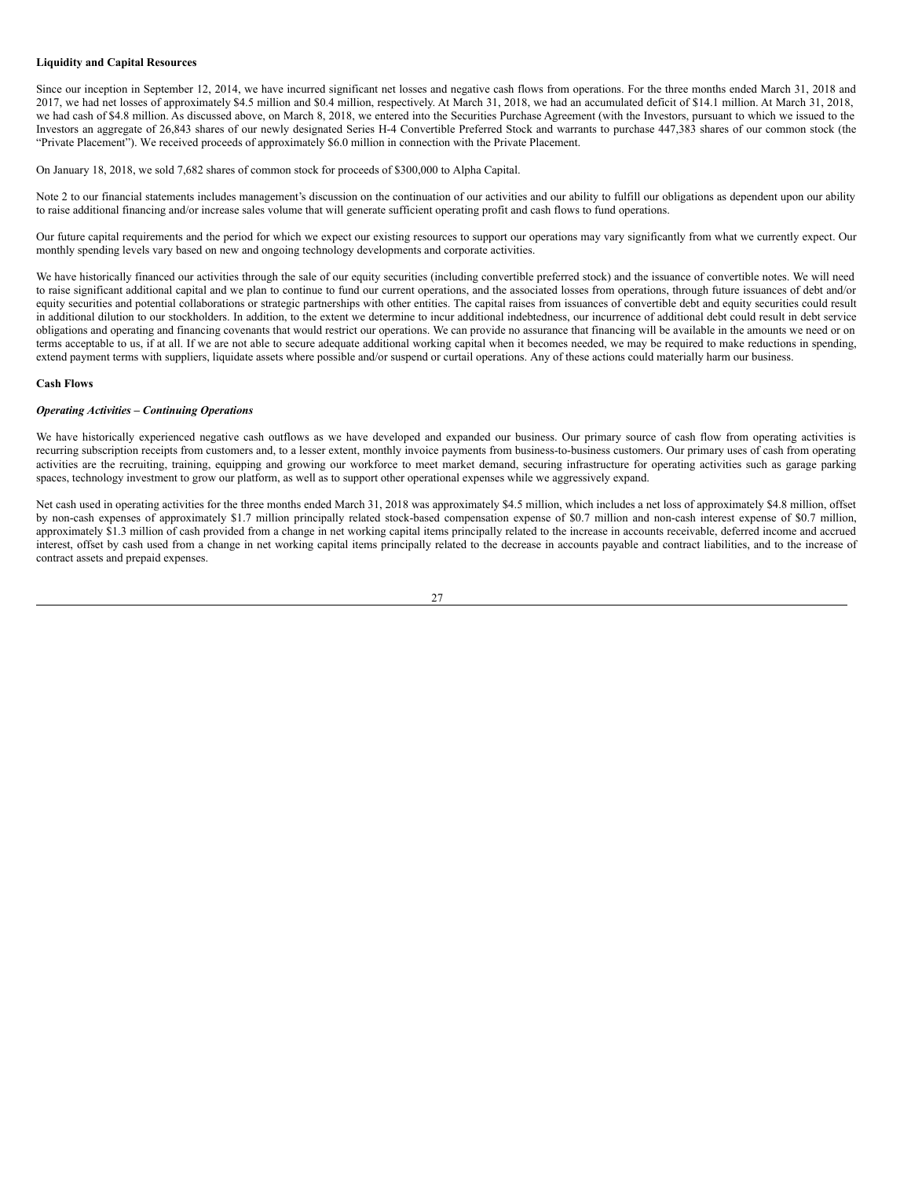# **Liquidity and Capital Resources**

Since our inception in September 12, 2014, we have incurred significant net losses and negative cash flows from operations. For the three months ended March 31, 2018 and 2017, we had net losses of approximately \$4.5 million and \$0.4 million, respectively. At March 31, 2018, we had an accumulated deficit of \$14.1 million. At March 31, 2018, we had cash of \$4.8 million. As discussed above, on March 8, 2018, we entered into the Securities Purchase Agreement (with the Investors, pursuant to which we issued to the Investors an aggregate of 26,843 shares of our newly designated Series H-4 Convertible Preferred Stock and warrants to purchase 447,383 shares of our common stock (the "Private Placement"). We received proceeds of approximately \$6.0 million in connection with the Private Placement.

On January 18, 2018, we sold 7,682 shares of common stock for proceeds of \$300,000 to Alpha Capital.

Note 2 to our financial statements includes management's discussion on the continuation of our activities and our ability to fulfill our obligations as dependent upon our ability to raise additional financing and/or increase sales volume that will generate sufficient operating profit and cash flows to fund operations.

Our future capital requirements and the period for which we expect our existing resources to support our operations may vary significantly from what we currently expect. Our monthly spending levels vary based on new and ongoing technology developments and corporate activities.

We have historically financed our activities through the sale of our equity securities (including convertible preferred stock) and the issuance of convertible notes. We will need to raise significant additional capital and we plan to continue to fund our current operations, and the associated losses from operations, through future issuances of debt and/or equity securities and potential collaborations or strategic partnerships with other entities. The capital raises from issuances of convertible debt and equity securities could result in additional dilution to our stockholders. In addition, to the extent we determine to incur additional indebtedness, our incurrence of additional debt could result in debt service obligations and operating and financing covenants that would restrict our operations. We can provide no assurance that financing will be available in the amounts we need or on terms acceptable to us, if at all. If we are not able to secure adequate additional working capital when it becomes needed, we may be required to make reductions in spending, extend payment terms with suppliers, liquidate assets where possible and/or suspend or curtail operations. Any of these actions could materially harm our business.

# **Cash Flows**

#### *Operating Activities – Continuing Operations*

We have historically experienced negative cash outflows as we have developed and expanded our business. Our primary source of cash flow from operating activities is recurring subscription receipts from customers and, to a lesser extent, monthly invoice payments from business-to-business customers. Our primary uses of cash from operating activities are the recruiting, training, equipping and growing our workforce to meet market demand, securing infrastructure for operating activities such as garage parking spaces, technology investment to grow our platform, as well as to support other operational expenses while we aggressively expand.

Net cash used in operating activities for the three months ended March 31, 2018 was approximately \$4.5 million, which includes a net loss of approximately \$4.8 million, offset by non-cash expenses of approximately \$1.7 million principally related stock-based compensation expense of \$0.7 million and non-cash interest expense of \$0.7 million, approximately \$1.3 million of cash provided from a change in net working capital items principally related to the increase in accounts receivable, deferred income and accrued interest, offset by cash used from a change in net working capital items principally related to the decrease in accounts payable and contract liabilities, and to the increase of contract assets and prepaid expenses.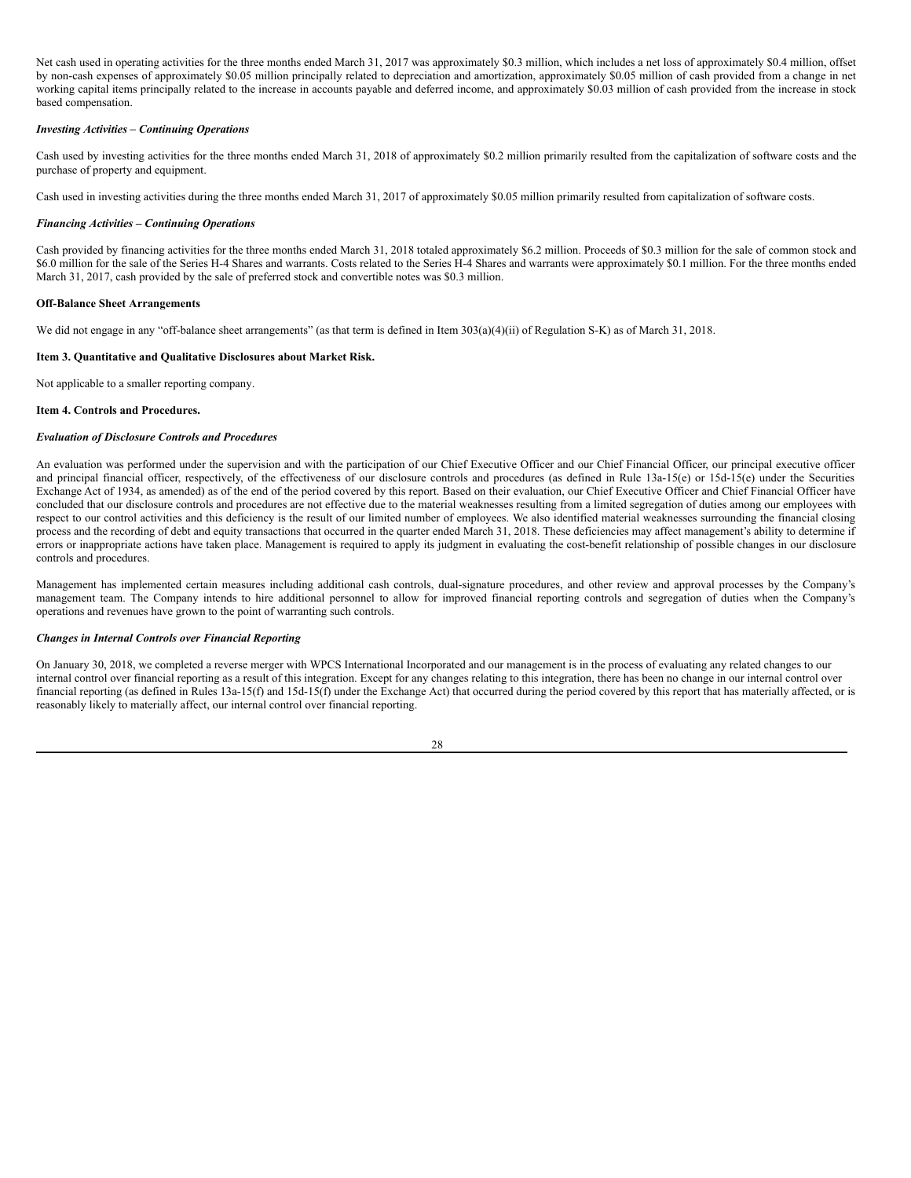Net cash used in operating activities for the three months ended March 31, 2017 was approximately \$0.3 million, which includes a net loss of approximately \$0.4 million, offset by non-cash expenses of approximately \$0.05 million principally related to depreciation and amortization, approximately \$0.05 million of cash provided from a change in net working capital items principally related to the increase in accounts payable and deferred income, and approximately \$0.03 million of cash provided from the increase in stock based compensation.

# *Investing Activities – Continuing Operations*

Cash used by investing activities for the three months ended March 31, 2018 of approximately \$0.2 million primarily resulted from the capitalization of software costs and the purchase of property and equipment.

Cash used in investing activities during the three months ended March 31, 2017 of approximately \$0.05 million primarily resulted from capitalization of software costs.

#### *Financing Activities – Continuing Operations*

Cash provided by financing activities for the three months ended March 31, 2018 totaled approximately \$6.2 million. Proceeds of \$0.3 million for the sale of common stock and \$6.0 million for the sale of the Series H-4 Shares and warrants. Costs related to the Series H-4 Shares and warrants were approximately \$0.1 million. For the three months ended March 31, 2017, cash provided by the sale of preferred stock and convertible notes was \$0.3 million.

#### **Off-Balance Sheet Arrangements**

We did not engage in any "off-balance sheet arrangements" (as that term is defined in Item 303(a)(4)(ii) of Regulation S-K) as of March 31, 2018.

### <span id="page-27-0"></span>**Item 3. Quantitative and Qualitative Disclosures about Market Risk.**

Not applicable to a smaller reporting company.

#### <span id="page-27-1"></span>**Item 4. Controls and Procedures.**

#### *Evaluation of Disclosure Controls and Procedures*

An evaluation was performed under the supervision and with the participation of our Chief Executive Officer and our Chief Financial Officer, our principal executive officer and principal financial officer, respectively, of the effectiveness of our disclosure controls and procedures (as defined in Rule 13a-15(e) or 15d-15(e) under the Securities Exchange Act of 1934, as amended) as of the end of the period covered by this report. Based on their evaluation, our Chief Executive Officer and Chief Financial Officer have concluded that our disclosure controls and procedures are not effective due to the material weaknesses resulting from a limited segregation of duties among our employees with respect to our control activities and this deficiency is the result of our limited number of employees. We also identified material weaknesses surrounding the financial closing process and the recording of debt and equity transactions that occurred in the quarter ended March 31, 2018. These deficiencies may affect management's ability to determine if errors or inappropriate actions have taken place. Management is required to apply its judgment in evaluating the cost-benefit relationship of possible changes in our disclosure controls and procedures.

Management has implemented certain measures including additional cash controls, dual-signature procedures, and other review and approval processes by the Company's management team. The Company intends to hire additional personnel to allow for improved financial reporting controls and segregation of duties when the Company's operations and revenues have grown to the point of warranting such controls.

#### *Changes in Internal Controls over Financial Reporting*

On January 30, 2018, we completed a reverse merger with WPCS International Incorporated and our management is in the process of evaluating any related changes to our internal control over financial reporting as a result of this integration. Except for any changes relating to this integration, there has been no change in our internal control over financial reporting (as defined in Rules 13a-15(f) and 15d-15(f) under the Exchange Act) that occurred during the period covered by this report that has materially affected, or is reasonably likely to materially affect, our internal control over financial reporting.

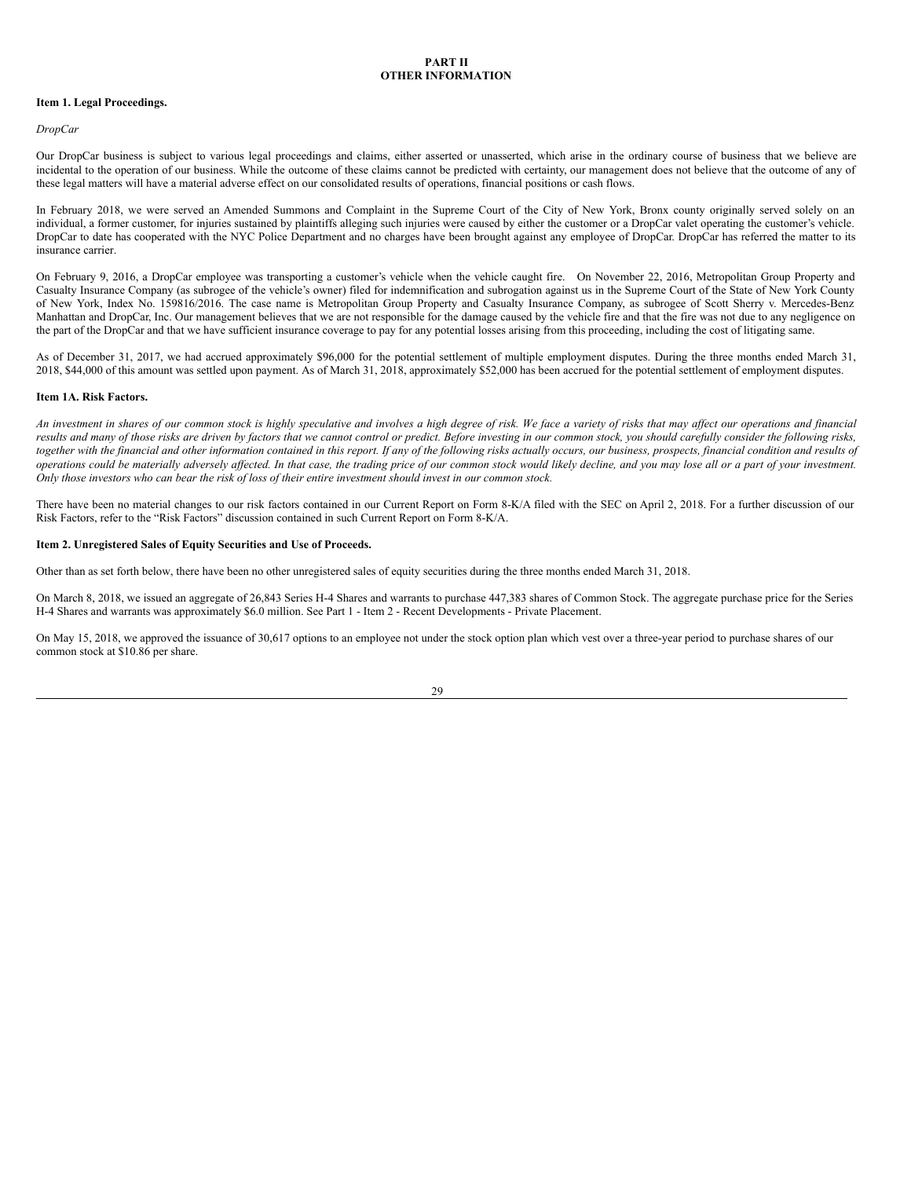# **PART II OTHER INFORMATION**

#### <span id="page-28-0"></span>**Item 1. Legal Proceedings.**

#### *DropCar*

Our DropCar business is subject to various legal proceedings and claims, either asserted or unasserted, which arise in the ordinary course of business that we believe are incidental to the operation of our business. While the outcome of these claims cannot be predicted with certainty, our management does not believe that the outcome of any of these legal matters will have a material adverse effect on our consolidated results of operations, financial positions or cash flows.

In February 2018, we were served an Amended Summons and Complaint in the Supreme Court of the City of New York, Bronx county originally served solely on an individual, a former customer, for injuries sustained by plaintiffs alleging such injuries were caused by either the customer or a DropCar valet operating the customer's vehicle. DropCar to date has cooperated with the NYC Police Department and no charges have been brought against any employee of DropCar. DropCar has referred the matter to its insurance carrier.

On February 9, 2016, a DropCar employee was transporting a customer's vehicle when the vehicle caught fire. On November 22, 2016, Metropolitan Group Property and Casualty Insurance Company (as subrogee of the vehicle's owner) filed for indemnification and subrogation against us in the Supreme Court of the State of New York County of New York, Index No. 159816/2016. The case name is Metropolitan Group Property and Casualty Insurance Company, as subrogee of Scott Sherry v. Mercedes-Benz Manhattan and DropCar, Inc. Our management believes that we are not responsible for the damage caused by the vehicle fire and that the fire was not due to any negligence on the part of the DropCar and that we have sufficient insurance coverage to pay for any potential losses arising from this proceeding, including the cost of litigating same.

As of December 31, 2017, we had accrued approximately \$96,000 for the potential settlement of multiple employment disputes. During the three months ended March 31, 2018, \$44,000 of this amount was settled upon payment. As of March 31, 2018, approximately \$52,000 has been accrued for the potential settlement of employment disputes.

#### <span id="page-28-1"></span>**Item 1A. Risk Factors.**

An investment in shares of our common stock is highly speculative and involves a high degree of risk. We face a variety of risks that may affect our operations and financial results and many of those risks are driven by factors that we cannot control or predict. Before investing in our common stock, you should carefully consider the following risks, together with the financial and other information contained in this report. If any of the following risks actually occurs, our business, prospects, financial condition and results of operations could be materially adversely affected. In that case, the trading price of our common stock would likely decline, and you may lose all or a part of your investment. Only those investors who can bear the risk of loss of their entire investment should invest in our common stock.

There have been no material changes to our risk factors contained in our Current Report on Form 8-K/A filed with the SEC on April 2, 2018. For a further discussion of our Risk Factors, refer to the "Risk Factors" discussion contained in such Current Report on Form 8-K/A.

#### <span id="page-28-2"></span>**Item 2. Unregistered Sales of Equity Securities and Use of Proceeds.**

Other than as set forth below, there have been no other unregistered sales of equity securities during the three months ended March 31, 2018.

On March 8, 2018, we issued an aggregate of 26,843 Series H-4 Shares and warrants to purchase 447,383 shares of Common Stock. The aggregate purchase price for the Series H-4 Shares and warrants was approximately \$6.0 million. See Part 1 - Item 2 - Recent Developments - Private Placement.

On May 15, 2018, we approved the issuance of 30,617 options to an employee not under the stock option plan which vest over a three-year period to purchase shares of our common stock at \$10.86 per share.

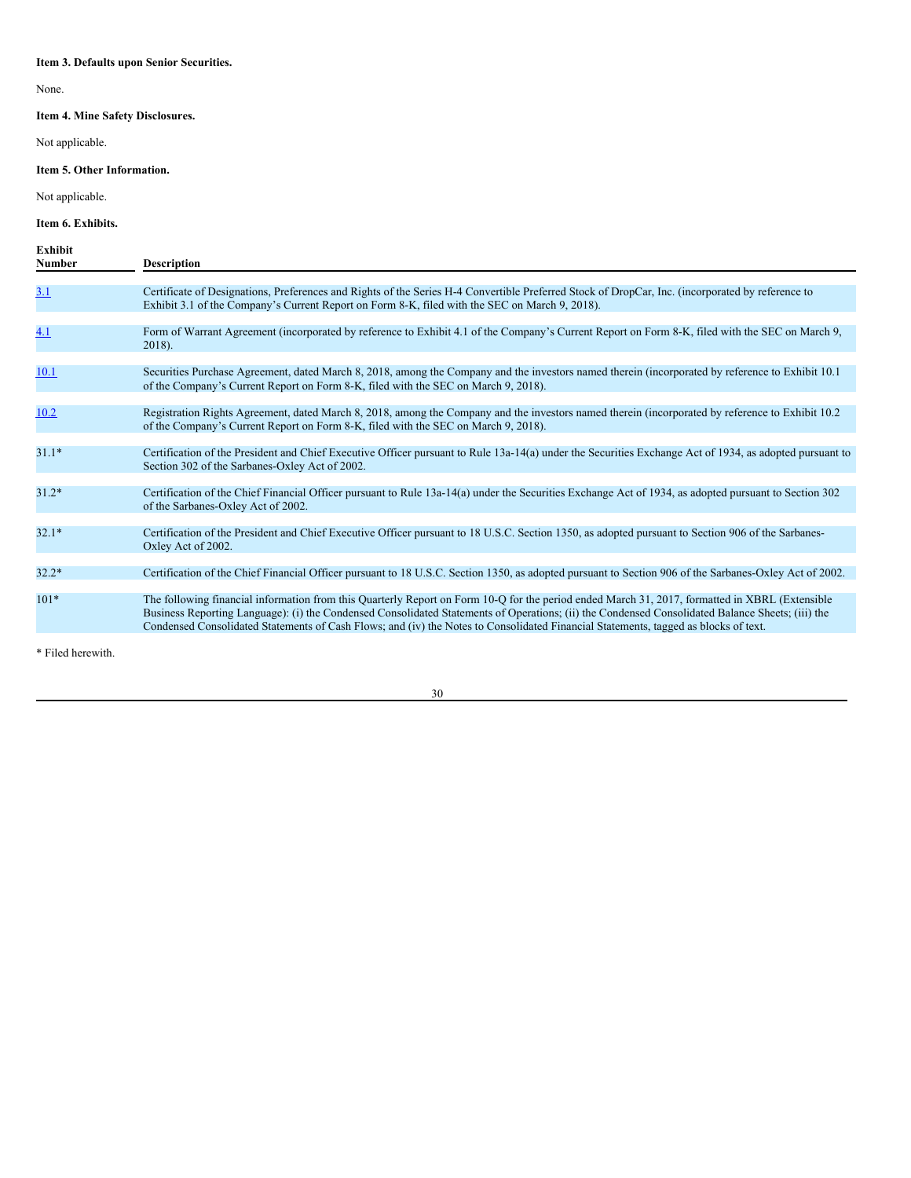# <span id="page-29-0"></span>**Item 3. Defaults upon Senior Securities.**

None.

# <span id="page-29-1"></span>**Item 4. Mine Safety Disclosures.**

Not applicable.

# <span id="page-29-2"></span>**Item 5. Other Information.**

Not applicable.

# <span id="page-29-3"></span>**Item 6. Exhibits.**

| Exhibit<br><b>Number</b> | <b>Description</b>                                                                                                                                                                                                                                                                                                                                                                                                                        |
|--------------------------|-------------------------------------------------------------------------------------------------------------------------------------------------------------------------------------------------------------------------------------------------------------------------------------------------------------------------------------------------------------------------------------------------------------------------------------------|
| <u>3.1</u>               | Certificate of Designations, Preferences and Rights of the Series H-4 Convertible Preferred Stock of DropCar, Inc. (incorporated by reference to<br>Exhibit 3.1 of the Company's Current Report on Form 8-K, filed with the SEC on March 9, 2018).                                                                                                                                                                                        |
| 4.1                      | Form of Warrant Agreement (incorporated by reference to Exhibit 4.1 of the Company's Current Report on Form 8-K, filed with the SEC on March 9,<br>$2018$ ).                                                                                                                                                                                                                                                                              |
| 10.1                     | Securities Purchase Agreement, dated March 8, 2018, among the Company and the investors named therein (incorporated by reference to Exhibit 10.1)<br>of the Company's Current Report on Form 8-K, filed with the SEC on March 9, 2018).                                                                                                                                                                                                   |
| 10.2                     | Registration Rights Agreement, dated March 8, 2018, among the Company and the investors named therein (incorporated by reference to Exhibit 10.2)<br>of the Company's Current Report on Form 8-K, filed with the SEC on March 9, 2018).                                                                                                                                                                                                   |
| $31.1*$                  | Certification of the President and Chief Executive Officer pursuant to Rule 13a-14(a) under the Securities Exchange Act of 1934, as adopted pursuant to<br>Section 302 of the Sarbanes-Oxley Act of 2002.                                                                                                                                                                                                                                 |
| $31.2*$                  | Certification of the Chief Financial Officer pursuant to Rule 13a-14(a) under the Securities Exchange Act of 1934, as adopted pursuant to Section 302<br>of the Sarbanes-Oxley Act of 2002.                                                                                                                                                                                                                                               |
| $32.1*$                  | Certification of the President and Chief Executive Officer pursuant to 18 U.S.C. Section 1350, as adopted pursuant to Section 906 of the Sarbanes-<br>Oxley Act of 2002.                                                                                                                                                                                                                                                                  |
| $32.2*$                  | Certification of the Chief Financial Officer pursuant to 18 U.S.C. Section 1350, as adopted pursuant to Section 906 of the Sarbanes-Oxley Act of 2002.                                                                                                                                                                                                                                                                                    |
| $101*$                   | The following financial information from this Quarterly Report on Form 10-Q for the period ended March 31, 2017, formatted in XBRL (Extensible<br>Business Reporting Language): (i) the Condensed Consolidated Statements of Operations; (ii) the Condensed Consolidated Balance Sheets; (iii) the<br>Condensed Consolidated Statements of Cash Flows; and (iv) the Notes to Consolidated Financial Statements, tagged as blocks of text. |
|                          |                                                                                                                                                                                                                                                                                                                                                                                                                                           |

\* Filed herewith.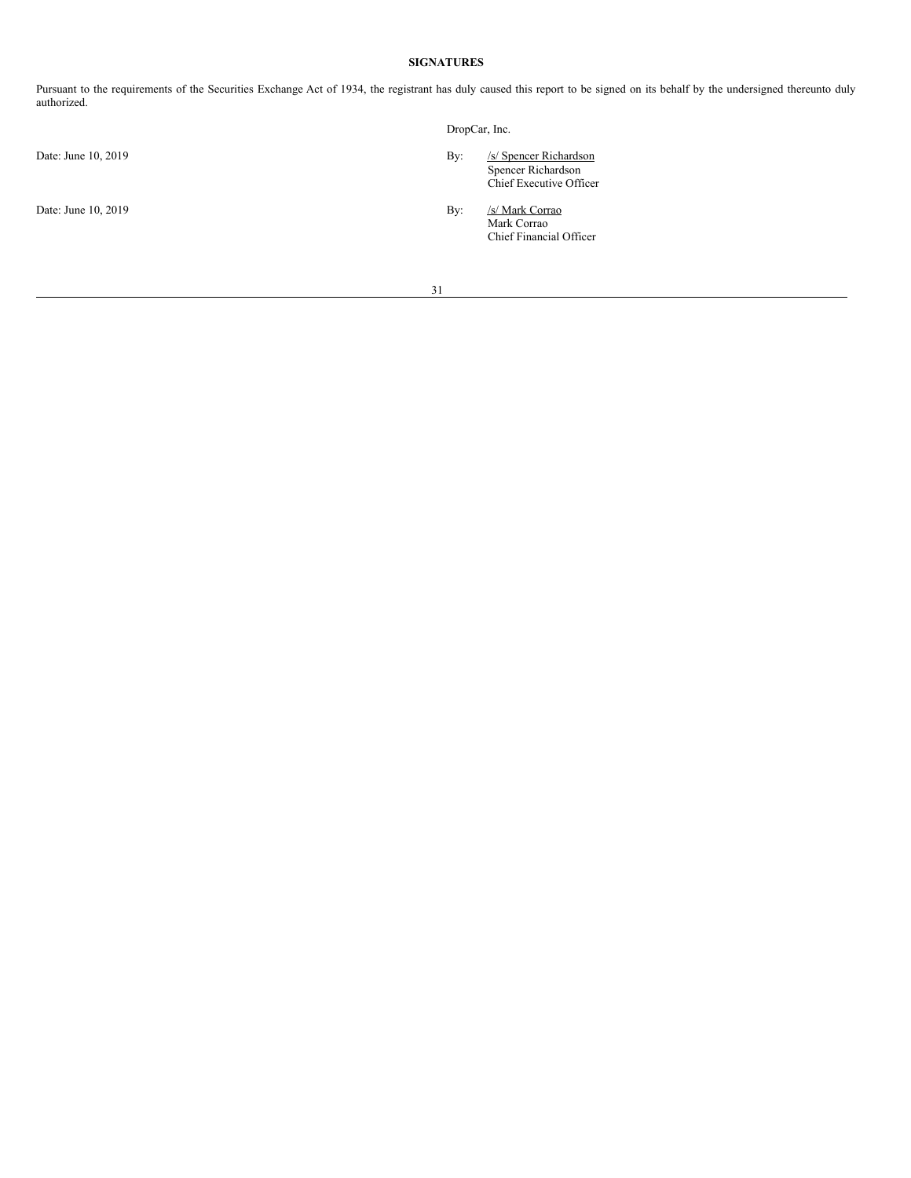# <span id="page-30-0"></span>**SIGNATURES**

Pursuant to the requirements of the Securities Exchange Act of 1934, the registrant has duly caused this report to be signed on its behalf by the undersigned thereunto duly authorized.

|                     |     | DropCar, Inc.                                                           |  |  |
|---------------------|-----|-------------------------------------------------------------------------|--|--|
| Date: June 10, 2019 | By: | /s/ Spencer Richardson<br>Spencer Richardson<br>Chief Executive Officer |  |  |
| Date: June 10, 2019 | By: | /s/ Mark Corrao<br>Mark Corrao<br>Chief Financial Officer               |  |  |
|                     | 31  |                                                                         |  |  |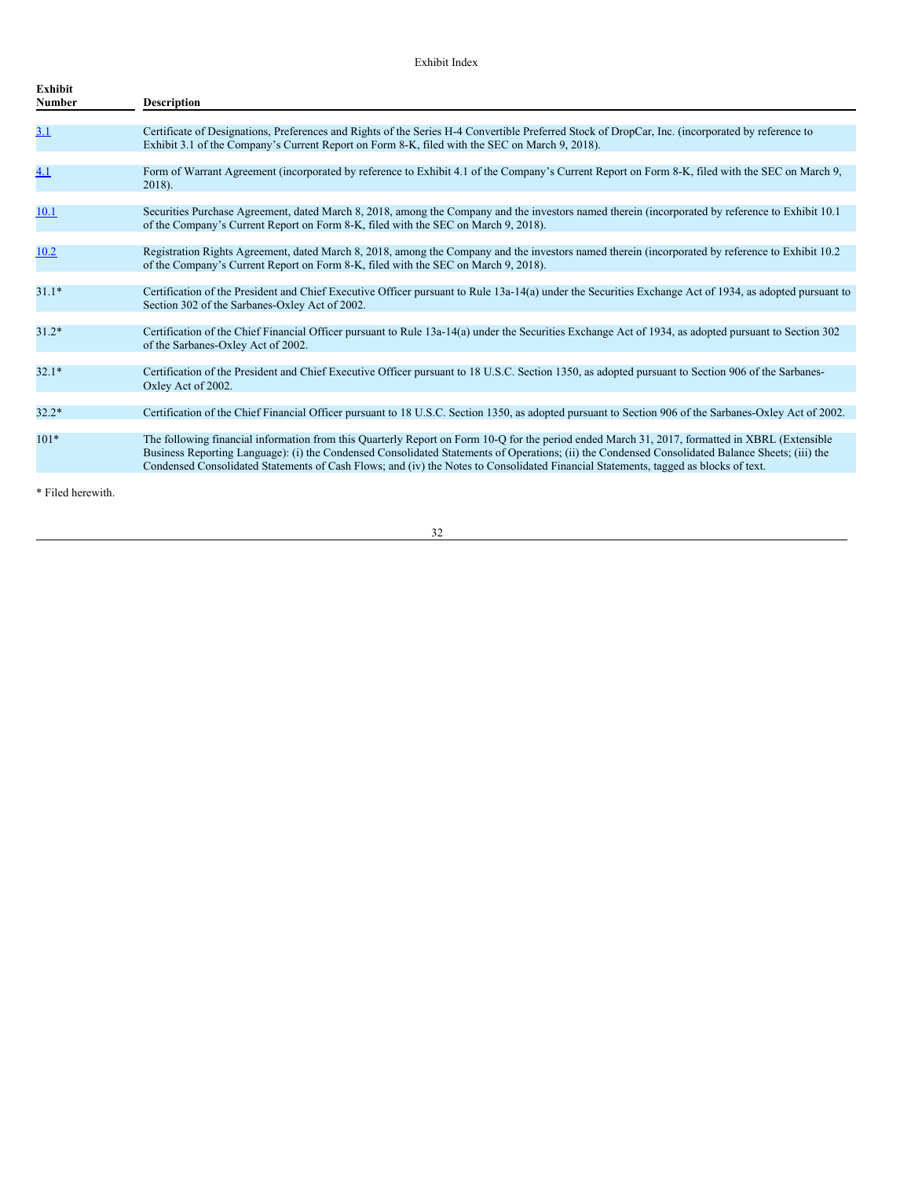| <b>Exhibit</b><br>Number | <b>Description</b>                                                                                                                                                                                                                                                                                                                                                                                                                        |
|--------------------------|-------------------------------------------------------------------------------------------------------------------------------------------------------------------------------------------------------------------------------------------------------------------------------------------------------------------------------------------------------------------------------------------------------------------------------------------|
|                          |                                                                                                                                                                                                                                                                                                                                                                                                                                           |
| <u>3.1</u>               | Certificate of Designations, Preferences and Rights of the Series H-4 Convertible Preferred Stock of DropCar, Inc. (incorporated by reference to<br>Exhibit 3.1 of the Company's Current Report on Form 8-K, filed with the SEC on March 9, 2018).                                                                                                                                                                                        |
|                          |                                                                                                                                                                                                                                                                                                                                                                                                                                           |
| <u>4.1</u>               | Form of Warrant Agreement (incorporated by reference to Exhibit 4.1 of the Company's Current Report on Form 8-K, filed with the SEC on March 9,<br>$2018$ ).                                                                                                                                                                                                                                                                              |
|                          |                                                                                                                                                                                                                                                                                                                                                                                                                                           |
| 10.1                     | Securities Purchase Agreement, dated March 8, 2018, among the Company and the investors named therein (incorporated by reference to Exhibit 10.1)<br>of the Company's Current Report on Form 8-K, filed with the SEC on March 9, 2018).                                                                                                                                                                                                   |
|                          |                                                                                                                                                                                                                                                                                                                                                                                                                                           |
| 10.2                     | Registration Rights Agreement, dated March 8, 2018, among the Company and the investors named therein (incorporated by reference to Exhibit 10.2)<br>of the Company's Current Report on Form 8-K, filed with the SEC on March 9, 2018).                                                                                                                                                                                                   |
|                          |                                                                                                                                                                                                                                                                                                                                                                                                                                           |
| $31.1*$                  | Certification of the President and Chief Executive Officer pursuant to Rule 13a-14(a) under the Securities Exchange Act of 1934, as adopted pursuant to<br>Section 302 of the Sarbanes-Oxley Act of 2002.                                                                                                                                                                                                                                 |
|                          |                                                                                                                                                                                                                                                                                                                                                                                                                                           |
| $31.2*$                  | Certification of the Chief Financial Officer pursuant to Rule 13a-14(a) under the Securities Exchange Act of 1934, as adopted pursuant to Section 302<br>of the Sarbanes-Oxley Act of 2002.                                                                                                                                                                                                                                               |
|                          |                                                                                                                                                                                                                                                                                                                                                                                                                                           |
| $32.1*$                  | Certification of the President and Chief Executive Officer pursuant to 18 U.S.C. Section 1350, as adopted pursuant to Section 906 of the Sarbanes-<br>Oxley Act of 2002.                                                                                                                                                                                                                                                                  |
|                          |                                                                                                                                                                                                                                                                                                                                                                                                                                           |
| $32.2*$                  | Certification of the Chief Financial Officer pursuant to 18 U.S.C. Section 1350, as adopted pursuant to Section 906 of the Sarbanes-Oxley Act of 2002.                                                                                                                                                                                                                                                                                    |
| $101*$                   | The following financial information from this Quarterly Report on Form 10-Q for the period ended March 31, 2017, formatted in XBRL (Extensible<br>Business Reporting Language): (i) the Condensed Consolidated Statements of Operations; (ii) the Condensed Consolidated Balance Sheets; (iii) the<br>Condensed Consolidated Statements of Cash Flows; and (iv) the Notes to Consolidated Financial Statements, tagged as blocks of text. |
|                          |                                                                                                                                                                                                                                                                                                                                                                                                                                           |
| * Filed herewith.        |                                                                                                                                                                                                                                                                                                                                                                                                                                           |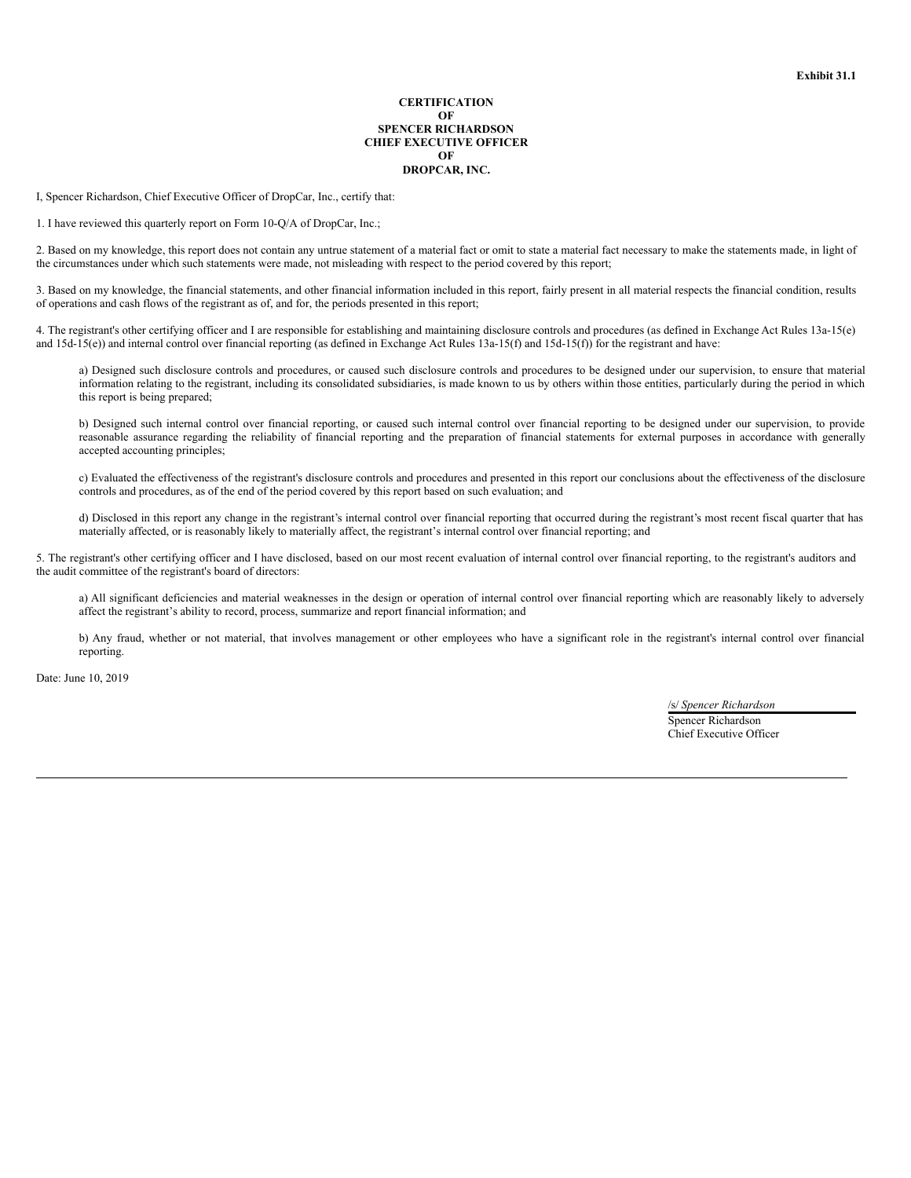#### **CERTIFICATION OF SPENCER RICHARDSON CHIEF EXECUTIVE OFFICER OF DROPCAR, INC.**

I, Spencer Richardson, Chief Executive Officer of DropCar, Inc., certify that:

1. I have reviewed this quarterly report on Form 10-Q/A of DropCar, Inc.;

2. Based on my knowledge, this report does not contain any untrue statement of a material fact or omit to state a material fact necessary to make the statements made, in light of the circumstances under which such statements were made, not misleading with respect to the period covered by this report;

3. Based on my knowledge, the financial statements, and other financial information included in this report, fairly present in all material respects the financial condition, results of operations and cash flows of the registrant as of, and for, the periods presented in this report;

4. The registrant's other certifying officer and I are responsible for establishing and maintaining disclosure controls and procedures (as defined in Exchange Act Rules 13a-15(e) and 15d-15(e)) and internal control over financial reporting (as defined in Exchange Act Rules 13a-15(f) and 15d-15(f)) for the registrant and have:

a) Designed such disclosure controls and procedures, or caused such disclosure controls and procedures to be designed under our supervision, to ensure that material information relating to the registrant, including its consolidated subsidiaries, is made known to us by others within those entities, particularly during the period in which this report is being prepared;

b) Designed such internal control over financial reporting, or caused such internal control over financial reporting to be designed under our supervision, to provide reasonable assurance regarding the reliability of financial reporting and the preparation of financial statements for external purposes in accordance with generally accepted accounting principles;

c) Evaluated the effectiveness of the registrant's disclosure controls and procedures and presented in this report our conclusions about the effectiveness of the disclosure controls and procedures, as of the end of the period covered by this report based on such evaluation; and

d) Disclosed in this report any change in the registrant's internal control over financial reporting that occurred during the registrant's most recent fiscal quarter that has materially affected, or is reasonably likely to materially affect, the registrant's internal control over financial reporting; and

5. The registrant's other certifying officer and I have disclosed, based on our most recent evaluation of internal control over financial reporting, to the registrant's auditors and the audit committee of the registrant's board of directors:

a) All significant deficiencies and material weaknesses in the design or operation of internal control over financial reporting which are reasonably likely to adversely affect the registrant's ability to record, process, summarize and report financial information; and

b) Any fraud, whether or not material, that involves management or other employees who have a significant role in the registrant's internal control over financial reporting.

Date: June 10, 2019

/s/ *Spencer Richardson* Spencer Richardson Chief Executive Officer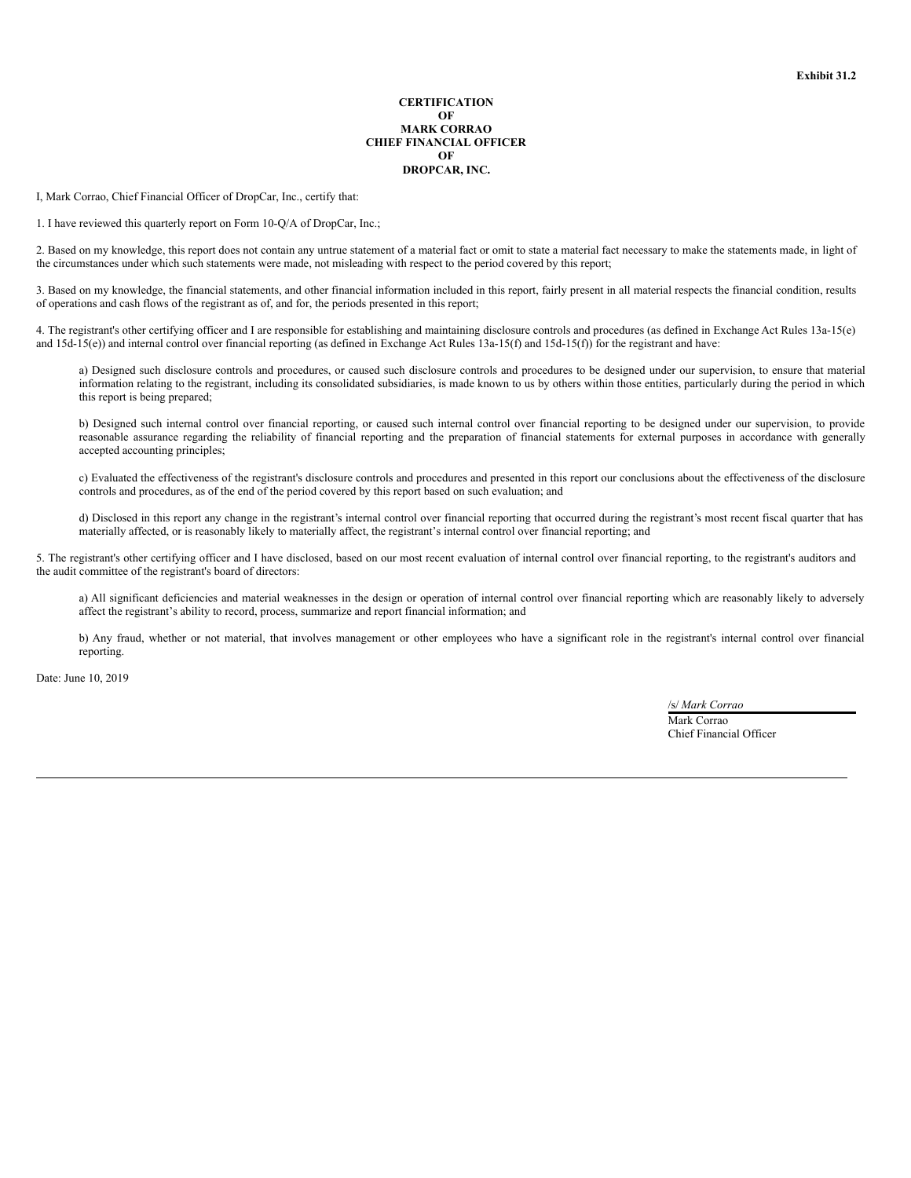#### **CERTIFICATION OF MARK CORRAO CHIEF FINANCIAL OFFICER OF DROPCAR, INC.**

I, Mark Corrao, Chief Financial Officer of DropCar, Inc., certify that:

1. I have reviewed this quarterly report on Form 10-Q/A of DropCar, Inc.;

2. Based on my knowledge, this report does not contain any untrue statement of a material fact or omit to state a material fact necessary to make the statements made, in light of the circumstances under which such statements were made, not misleading with respect to the period covered by this report;

3. Based on my knowledge, the financial statements, and other financial information included in this report, fairly present in all material respects the financial condition, results of operations and cash flows of the registrant as of, and for, the periods presented in this report;

4. The registrant's other certifying officer and I are responsible for establishing and maintaining disclosure controls and procedures (as defined in Exchange Act Rules 13a-15(e) and 15d-15(e)) and internal control over financial reporting (as defined in Exchange Act Rules 13a-15(f) and 15d-15(f)) for the registrant and have:

a) Designed such disclosure controls and procedures, or caused such disclosure controls and procedures to be designed under our supervision, to ensure that material information relating to the registrant, including its consolidated subsidiaries, is made known to us by others within those entities, particularly during the period in which this report is being prepared;

b) Designed such internal control over financial reporting, or caused such internal control over financial reporting to be designed under our supervision, to provide reasonable assurance regarding the reliability of financial reporting and the preparation of financial statements for external purposes in accordance with generally accepted accounting principles;

c) Evaluated the effectiveness of the registrant's disclosure controls and procedures and presented in this report our conclusions about the effectiveness of the disclosure controls and procedures, as of the end of the period covered by this report based on such evaluation; and

d) Disclosed in this report any change in the registrant's internal control over financial reporting that occurred during the registrant's most recent fiscal quarter that has materially affected, or is reasonably likely to materially affect, the registrant's internal control over financial reporting; and

5. The registrant's other certifying officer and I have disclosed, based on our most recent evaluation of internal control over financial reporting, to the registrant's auditors and the audit committee of the registrant's board of directors:

a) All significant deficiencies and material weaknesses in the design or operation of internal control over financial reporting which are reasonably likely to adversely affect the registrant's ability to record, process, summarize and report financial information; and

b) Any fraud, whether or not material, that involves management or other employees who have a significant role in the registrant's internal control over financial reporting.

Date: June 10, 2019

/s/ *Mark Corrao* Mark Corrao Chief Financial Officer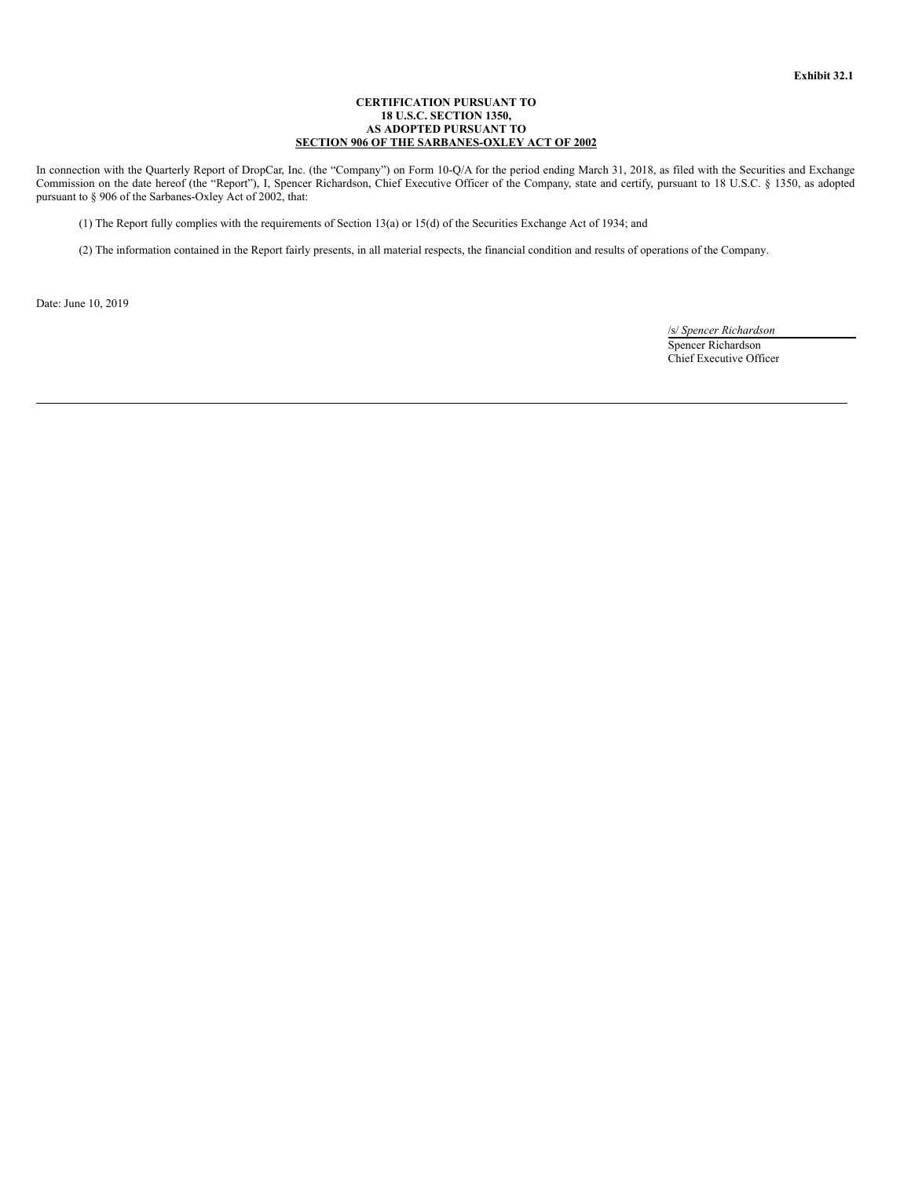# **CERTIFICATION PURSUANT TO 18 U.S.C. SECTION 1350, AS ADOPTED PURSUANT TO SECTION 906 OF THE SARBANES-OXLEY ACT OF 2002**

In connection with the Quarterly Report of DropCar, Inc. (the "Company") on Form 10-Q/A for the period ending March 31, 2018, as filed with the Securities and Exchange Commission on the date hereof (the "Report"), I, Spencer Richardson, Chief Executive Officer of the Company, state and certify, pursuant to 18 U.S.C. § 1350, as adopted pursuant to § 906 of the Sarbanes-Oxley Act of 2002, that:

(1) The Report fully complies with the requirements of Section 13(a) or 15(d) of the Securities Exchange Act of 1934; and

(2) The information contained in the Report fairly presents, in all material respects, the financial condition and results of operations of the Company.

Date: June 10, 2019

/s/ *Spencer Richardson* Spencer Richardson Chief Executive Officer